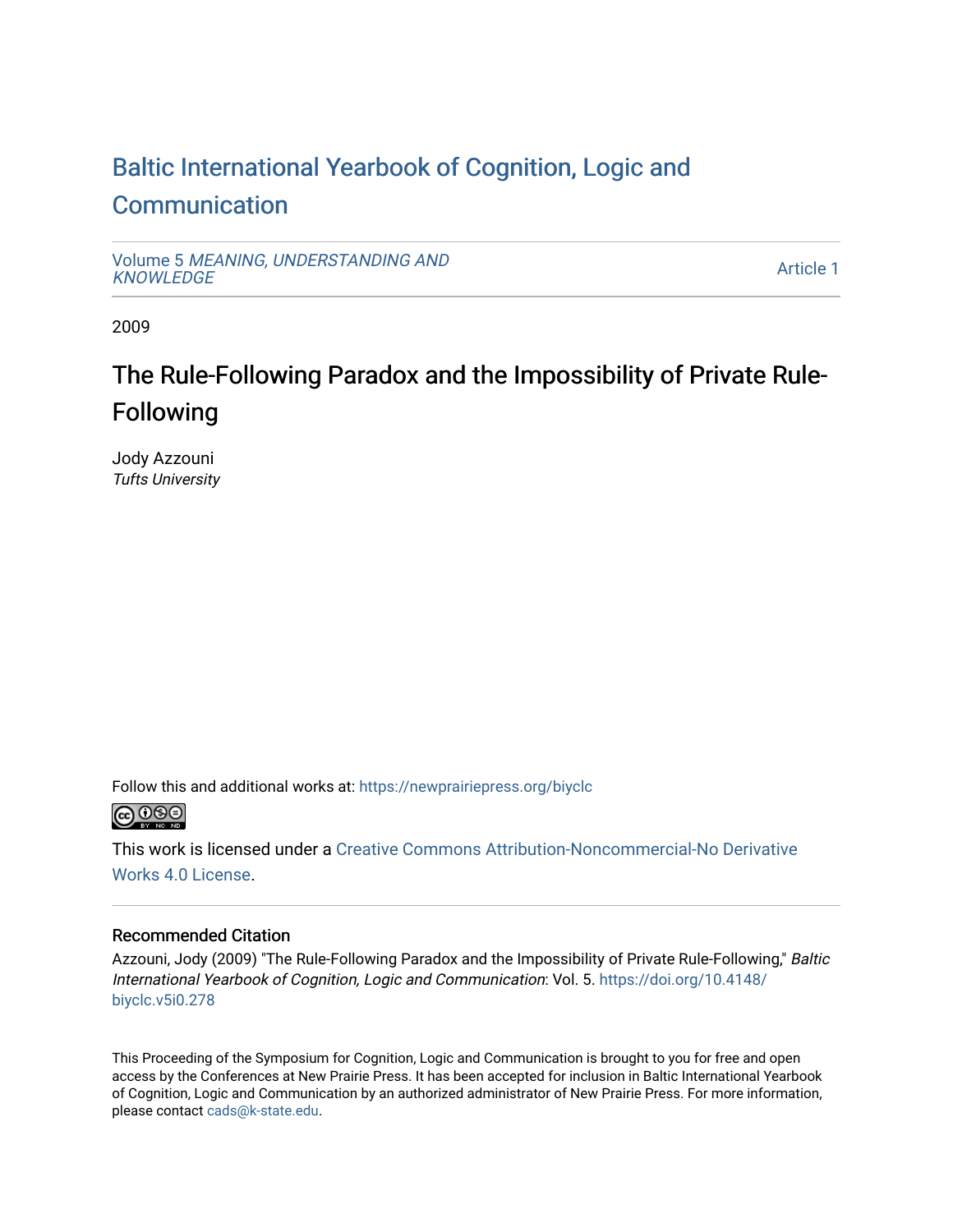# [Baltic International Yearbook of Cognition, Logic and](https://newprairiepress.org/biyclc)  **[Communication](https://newprairiepress.org/biyclc)**

Volume 5 [MEANING, UNDERSTANDING AND](https://newprairiepress.org/biyclc/vol5) **[KNOWLEDGE](https://newprairiepress.org/biyclc/vol5)** 

[Article 1](https://newprairiepress.org/biyclc/vol5/iss1/1) 

2009

# The Rule-Following Paradox and the Impossibility of Private Rule-Following

Jody Azzouni Tufts University

Follow this and additional works at: [https://newprairiepress.org/biyclc](https://newprairiepress.org/biyclc?utm_source=newprairiepress.org%2Fbiyclc%2Fvol5%2Fiss1%2F1&utm_medium=PDF&utm_campaign=PDFCoverPages) 



This work is licensed under a [Creative Commons Attribution-Noncommercial-No Derivative](https://creativecommons.org/licenses/by-nc-nd/4.0/)  [Works 4.0 License](https://creativecommons.org/licenses/by-nc-nd/4.0/).

## Recommended Citation

Azzouni, Jody (2009) "The Rule-Following Paradox and the Impossibility of Private Rule-Following," Baltic International Yearbook of Cognition, Logic and Communication: Vol. 5. [https://doi.org/10.4148/](https://doi.org/10.4148/biyclc.v5i0.278) [biyclc.v5i0.278](https://doi.org/10.4148/biyclc.v5i0.278)

This Proceeding of the Symposium for Cognition, Logic and Communication is brought to you for free and open access by the Conferences at New Prairie Press. It has been accepted for inclusion in Baltic International Yearbook of Cognition, Logic and Communication by an authorized administrator of New Prairie Press. For more information, please contact [cads@k-state.edu.](mailto:cads@k-state.edu)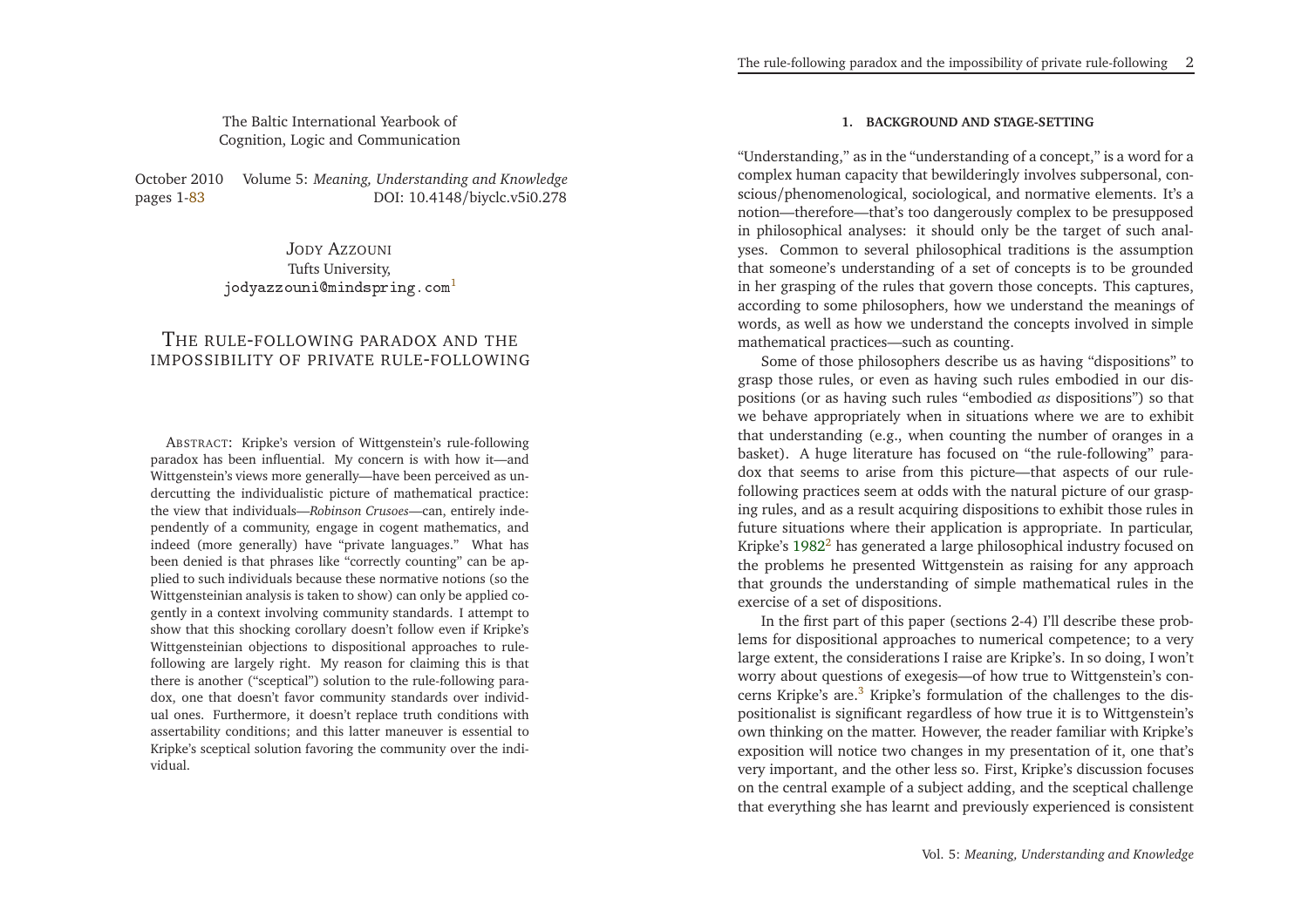<span id="page-1-1"></span>The Baltic International Yearbook ofCognition, Logic and Communication

October 2010 *Meaning, Understanding and Knowledge* DOI: 10.4148/biyclc.v5i0.278 pages 1[-83](#page-42-0)

> <span id="page-1-2"></span>Jody Azzouni Tufts University, jodyazzouni@mindspring.com<sup>[1](#page-37-0)</sup>

## THE RULE-FOLLOWING PARADOX AND THEIMPOSSIBILITY OF PRIVATE RULE-FOLLOWING

ABSTRACT: Kripke's version of Wittgenstein's rule-following paradox has been influential. My concern is with how it—and Wittgenstein's views more generally—have been perceived as undercutting the individualistic <sup>p</sup>icture of mathematical practice: the view that individuals—*Robinson Crusoes*—can, entirely independently of <sup>a</sup> community, engage in cogen<sup>t</sup> mathematics, and indeed (more generally) have "private languages." What has been denied is that <sup>p</sup>hrases like "correctly counting" can be ap<sup>p</sup>lied to such individuals because these normative notions (so the Wittgensteinian analysis is taken to show) can only be applied cogently in <sup>a</sup> context involving community standards. <sup>I</sup> attempt to show that this shocking corollary doesn't follow even if Kripke's Wittgensteinian objections to dispositional approaches to rulefollowing are largely right. My reason for claiming this is that there is another ("sceptical") solution to the rule-following paradox, one that doesn't favor community standards over individual ones. Furthermore, it doesn't replace truth conditions with assertability conditions; and this latter maneuver is essential to Kripke's sceptical solution favoring the community over the individual.

#### **1. BACKGROUND AND STAGE-SETTING**

"Understanding," as in the "understanding of <sup>a</sup> concept," is <sup>a</sup> word for <sup>a</sup> complex human capacity that bewilderingly involves subpersonal, conscious/phenomenological, sociological, and normative elements. It's <sup>a</sup> notion—therefore—that's too dangerously complex to be presupposed in <sup>p</sup>hilosophical analyses: it should only be the target of such analyses. Common to several <sup>p</sup>hilosophical traditions is the assumption that someone's understanding of <sup>a</sup> set of concepts is to be grounded in her grasping of the rules that govern those concepts. This captures, according to some <sup>p</sup>hilosophers, how we understand the meanings of words, as well as how we understand the concepts involved in simplemathematical practices—such as counting.

<span id="page-1-0"></span>Some of those <sup>p</sup>hilosophers describe us as having "dispositions" to grasp those rules, or even as having such rules embodied in our dispositions (or as having such rules "embodied *as* dispositions") so that we behave appropriately when in situations where we are to exhibit that understanding (e.g., when counting the number of oranges in <sup>a</sup> basket). <sup>A</sup> huge literature has focused on "the rule-following" paradox that seems to arise from this <sup>p</sup>icture—that aspects of our rulefollowing practices seem at odds with the natural <sup>p</sup>icture of our grasping rules, and as <sup>a</sup> result acquiring dispositions to exhibit those rules in future situations where their application is appropriate. In particular, Kripke's  $1982^2$  $1982^2$  $1982^2$  has generated a large philosophical industry focused on the problems he presented Wittgenstein as raising for any approach that grounds the understanding of simple mathematical rules in theexercise of <sup>a</sup> set of dispositions.

In the first par<sup>t</sup> of this paper (sections 2-4) I'll describe these problems for dispositional approaches to numerical competence; to <sup>a</sup> very large extent, the considerations <sup>I</sup> raise are Kripke's. In so doing, <sup>I</sup> won't worry about questions of exegesis—of how true to Wittgenstein's con-cerns Kripke's are.<sup>[3](#page-37-2)</sup> Kripke's formulation of the challenges to the dispositionalist is significant regardless of how true it is to Wittgenstein's own thinking on the matter. However, the reader familiar with Kripke's exposition will notice two changes in my presentation of it, one that's very important, and the other less so. First, Kripke's discussion focuses on the central example of <sup>a</sup> subject adding, and the sceptical challengethat everything she has learnt and previously experienced is consistent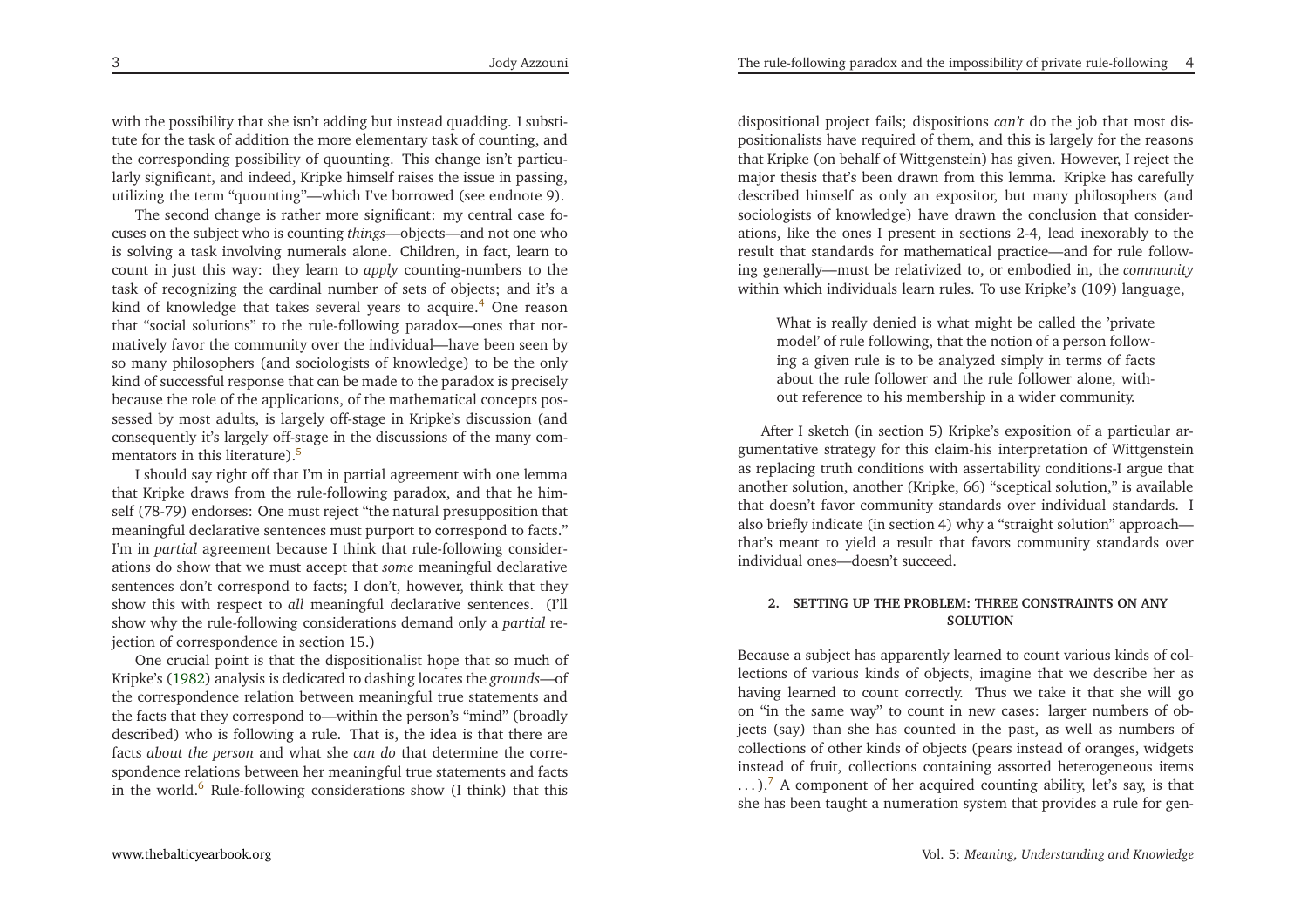<span id="page-2-3"></span>with the possibility that she isn't adding but instead quadding. <sup>I</sup> substitute for the task of addition the more elementary task of counting, and the corresponding possibility of quounting. This change isn't particularly significant, and indeed, Kripke himself raises the issue in passing, utilizing the term "quounting"—which I've borrowed (see endnote 9).

<span id="page-2-2"></span>The second change is rather more significant: my central case focuses on the subject who is counting *things*—objects—and not one who is solving <sup>a</sup> task involving numerals alone. Children, in fact, learn to count in just this way: they learn to *apply* counting-numbers to the task of recognizing the cardinal number of sets of objects; and it's <sup>a</sup> kind of knowledge that takes several years to acquire. [4](#page-38-0) One reason that "social solutions" to the rule-following paradox—ones that normatively favor the community over the individual—have been seen by so many <sup>p</sup>hilosophers (and sociologists of knowledge) to be the only kind of successful response that can be made to the paradox is precisely because the role of the applications, of the mathematical concepts possessed by most adults, is largely off-stage in Kripke's discussion (and consequently it's largely off-stage in the discussions of the many com-mentators in this literature).<sup>[5](#page-38-1)</sup>

<sup>I</sup> should say right off that I'm in partial agreemen<sup>t</sup> with one lemma that Kripke draws from the rule-following paradox, and that he himself (78-79) endorses: One must reject "the natural presupposition that meaningful declarative sentences must purpor<sup>t</sup> to correspond to facts." I'm in *partial* agreemen<sup>t</sup> because <sup>I</sup> think that rule-following considerations do show that we must accep<sup>t</sup> that *some* meaningful declarative sentences don't correspond to facts; <sup>I</sup> don't, however, think that they show this with respec<sup>t</sup> to *all* meaningful declarative sentences. (I'll show why the rule-following considerations demand only <sup>a</sup> *partial* rejection of correspondence in section 15.)

 One crucial point is that the dispositionalist hope that so much ofKripke's [\(1982](#page-41-0)) analysis is dedicated to dashing locates the *grounds*—of the correspondence relation between meaningful true statements and the facts that they correspond to—within the person's "mind" (broadly described) who is following <sup>a</sup> rule. That is, the idea is that there are facts *about the person* and what she *can do* that determine the correspondence relations between her meaningful true statements and factsin the world. [6](#page-38-2) Rule-following considerations show (I think) that this

[www.thebalticyearbook.org](http://www.thebalticyearbook.org/)

dispositional project fails; dispositions *can't* do the job that most dispositionalists have required of them, and this is largely for the reasons that Kripke (on behalf of Wittgenstein) has <sup>g</sup>iven. However, <sup>I</sup> reject the major thesis that's been drawn from this lemma. Kripke has carefully described himself as only an expositor, but many <sup>p</sup>hilosophers (and sociologists of knowledge) have drawn the conclusion that considerations, like the ones <sup>I</sup> presen<sup>t</sup> in sections 2-4, lead inexorably to the result that standards for mathematical practice—and for rule following generally—must be relativized to, or embodied in, the *community* within which individuals learn rules. To use Kripke's (109) language,

What is really denied is what might be called the 'private model' of rule following, that the notion of <sup>a</sup> person following <sup>a</sup> <sup>g</sup>iven rule is to be analyzed simply in terms of facts about the rule follower and the rule follower alone, without reference to his membership in <sup>a</sup> wider community.

<span id="page-2-1"></span><span id="page-2-0"></span>After <sup>I</sup> sketch (in section 5) Kripke's exposition of <sup>a</sup> particular argumentative strategy for this claim-his interpretation of Wittgenstein as replacing truth conditions with assertability conditions-I argue that another solution, another (Kripke, 66) "sceptical solution," is available that doesn't favor community standards over individual standards. <sup>I</sup> also briefly indicate (in section 4) why <sup>a</sup> "straight solution" approach that's meant to <sup>y</sup>ield <sup>a</sup> result that favors community standards overindividual ones—doesn't succeed.

#### **2. SETTING UP THE PROBLEM: THREE CONSTRAINTS ON ANYSOLUTION**

Because <sup>a</sup> subject has apparently learned to count various kinds of collections of various kinds of objects, imagine that we describe her as having learned to count correctly. Thus we take it that she will go on "in the same way" to count in new cases: larger numbers of ob jects (say) than she has counted in the past, as well as numbers of collections of other kinds of objects (pears instead of oranges, widgets instead of fruit, collections containing assorted heterogeneous items $\dots$ ).<sup>[7](#page-38-3)</sup> A component of her acquired counting ability, let's say, is that she has been taught <sup>a</sup> numeration system that provides <sup>a</sup> rule for gen-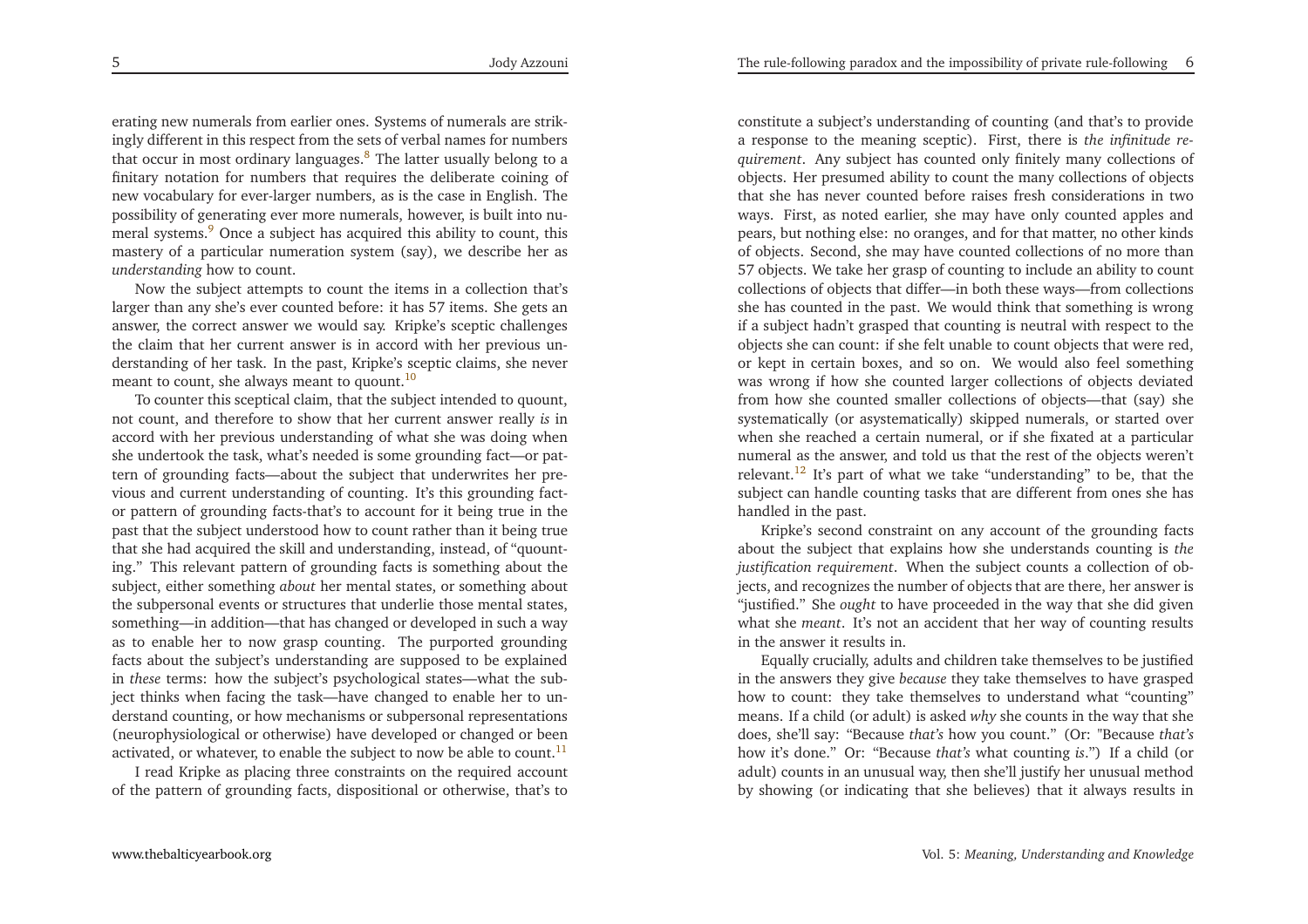erating new numerals from earlier ones. Systems of numerals are strikingly different in this respec<sup>t</sup> from the sets of verbal names for numbers that occur in most ordinary languages. $8$  The latter usually belong to a finitary notation for numbers that requires the deliberate coining of new vocabulary for ever-larger numbers, as is the case in English. The possibility of generating ever more numerals, however, is built into nu-meral systems.<sup>[9](#page-38-5)</sup> Once a subject has acquired this ability to count, this mastery of <sup>a</sup> particular numeration system (say), we describe her as*understanding* how to count.

Now the subject attempts to count the items in <sup>a</sup> collection that's larger than any she's ever counted before: it has <sup>57</sup> items. She gets an answer, the correct answer we would say. Kripke's sceptic challenges the claim that her current answer is in accord with her previous understanding of her task. In the past, Kripke's sceptic claims, she nevermeant to count, she always meant to quount.<sup>[10](#page-38-6)</sup>

<span id="page-3-3"></span>To counter this sceptical claim, that the subject intended to quount, not count, and therefore to show that her current answer really *is* in accord with her previous understanding of what she was doing when she undertook the task, what's needed is some grounding fact—or pattern of grounding facts—about the subject that underwrites her previous and current understanding of counting. It's this grounding factor pattern of grounding facts-that's to account for it being true in the pas<sup>t</sup> that the subject understood how to count rather than it being true that she had acquired the skill and understanding, instead, of "quounting." This relevant pattern of grounding facts is something about the subject, either something *about* her mental states, or something about the subpersonal events or structures that underlie those mental states, something—in addition—that has changed or developed in such <sup>a</sup> way as to enable her to now grasp counting. The purported grounding facts about the subject's understanding are supposed to be explainedin *these* terms: how the subject's psychological states—what the sub ject thinks when facing the task—have changed to enable her to understand counting, or how mechanisms or subpersonal representations (neurophysiological or otherwise) have developed or changed or beenactivated, or whatever, to enable the subject to now be able to count.<sup>[11](#page-38-7)</sup>

<sup>I</sup> read Kripke as <sup>p</sup>lacing three constraints on the required accountof the pattern of grounding facts, dispositional or otherwise, that's to

<span id="page-3-4"></span><span id="page-3-1"></span>constitute <sup>a</sup> subject's understanding of counting (and that's to provide <sup>a</sup> response to the meaning sceptic). First, there is *the infinitude requirement*. Any subject has counted only finitely many collections of objects. Her presumed ability to count the many collections of objects that she has never counted before raises fresh considerations in two ways. First, as noted earlier, she may have only counted apples and pears, but nothing else: no oranges, and for that matter, no other kinds of objects. Second, she may have counted collections of no more than <sup>57</sup> objects. We take her grasp of counting to include an ability to countcollections of objects that differ—in both these ways—from collections<br>also has accurated in the next. We would think that comptiting is www.gr she has counted in the past. We would think that something is wrong if <sup>a</sup> subject hadn't grasped that counting is neutral with respec<sup>t</sup> to the objects she can count: if she felt unable to count objects that were red, or kept in certain boxes, and so on. We would also feel something was wrong if how she counted larger collections of objects deviated from how she counted smaller collections of objects—that (say) she systematically (or asystematically) skipped numerals, or started over when she reached <sup>a</sup> certain numeral, or if she fixated at <sup>a</sup> particular numeral as the answer, and told us that the rest of the objects weren't relevant.<sup>[12](#page-38-8)</sup> It's part of what we take "understanding" to be, that the subject can handle counting tasks that are different from ones she hashandled in the past.

<span id="page-3-2"></span><span id="page-3-0"></span>Kripke's second constraint on any account of the grounding facts about the subject that explains how she understands counting is *the justification requirement*. When the subject counts <sup>a</sup> collection of objects, and recognizes the number of objects that are there, her answer is "justified." She *ought* to have proceeded in the way that she did <sup>g</sup>iven what she *meant*. It's not an accident that her way of counting results in the answer it results in.

Equally crucially, adults and children take themselves to be justified in the answers they <sup>g</sup>ive *because* they take themselves to have grasped how to count: they take themselves to understand what "counting" means. If <sup>a</sup> child (or adult) is asked *why* she counts in the way that she does, she'll say: "Because *that's* how you count." (Or: "Because *that's* how it's done." Or: "Because *that's* what counting *is*.") If <sup>a</sup> child (or adult) counts in an unusual way, then she'll justify her unusual methodby showing (or indicating that she believes) that it always results in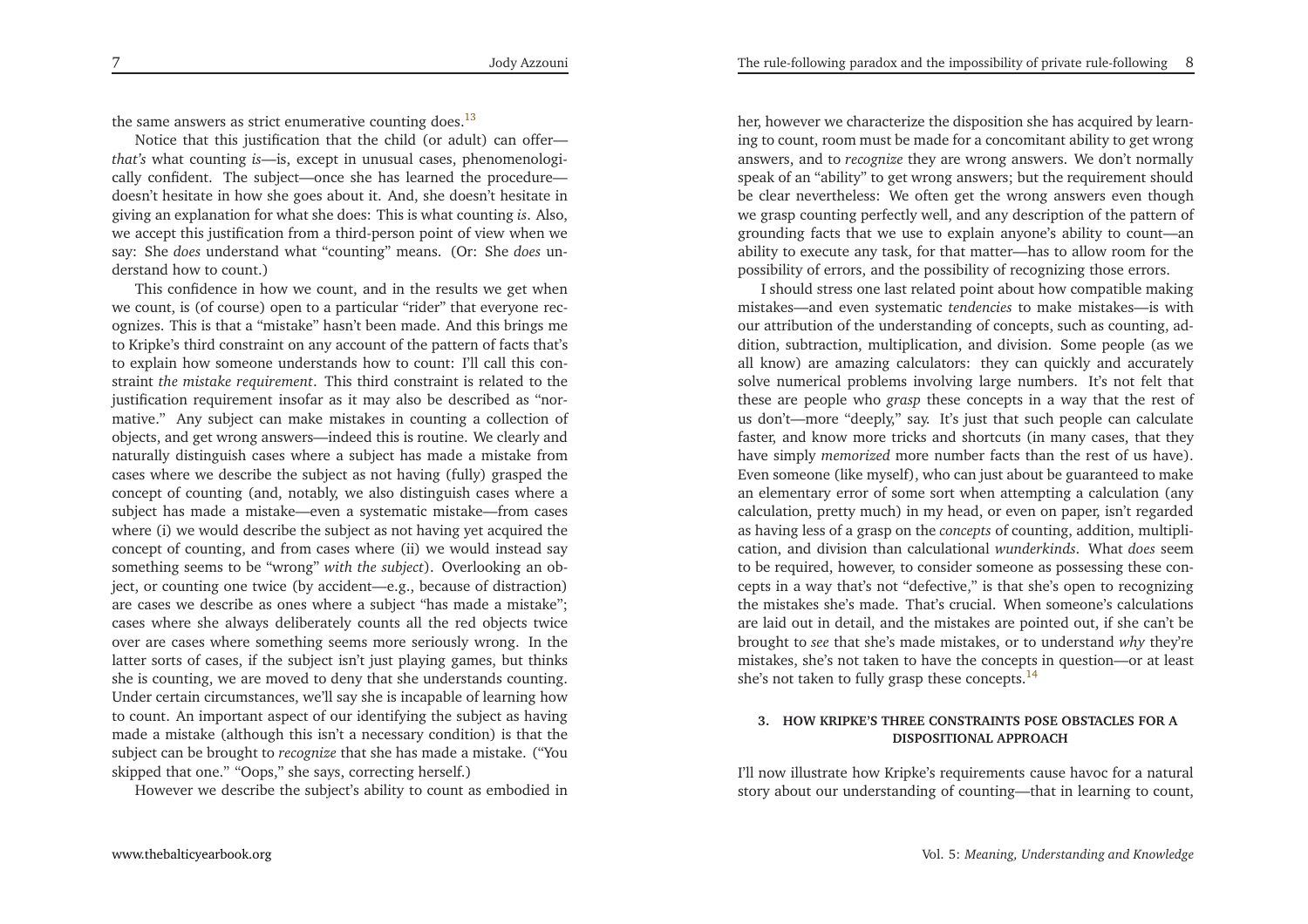7

the same answers as strict enumerative counting does. $^{13}$  $^{13}$  $^{13}$ 

Notice that this justification that the child (or adult) can offer *that's* what counting *is*—is, excep<sup>t</sup> in unusual cases, <sup>p</sup>henomenologically confident. The subject—once she has learned the procedure doesn't hesitate in how she goes about it. And, she doesn't hesitate in <sup>g</sup>iving an explanation for what she does: This is what counting *is*. Also, we accep<sup>t</sup> this justification from <sup>a</sup> third-person point of view when we say: She *does* understand what "counting" means. (Or: She *does* understand how to count.)

<span id="page-4-1"></span> This confidence in how we count, and in the results we ge<sup>t</sup> when we count, is (of course) open to <sup>a</sup> particular "rider" that everyone recognizes. This is that <sup>a</sup> "mistake" hasn't been made. And this brings me to Kripke's third constraint on any account of the pattern of facts that's to explain how someone understands how to count: I'll call this constraint *the mistake requirement*. This third constraint is related to the justification requirement insofar as it may also be described as "normative." Any subject can make mistakes in counting <sup>a</sup> collection of objects, and ge<sup>t</sup> wrong answers—indeed this is routine. We clearly and naturally distinguish cases where <sup>a</sup> subject has made <sup>a</sup> mistake from cases where we describe the subject as not having (fully) grasped the concep<sup>t</sup> of counting (and, notably, we also distinguish cases where <sup>a</sup> subject has made <sup>a</sup> mistake—even <sup>a</sup> systematic mistake—from cases where (i) we would describe the subject as not having ye<sup>t</sup> acquired the concep<sup>t</sup> of counting, and from cases where (ii) we would instead say something seems to be "wrong" *with the subject*). Overlooking an object, or counting one twice (by accident—e.g., because of distraction) are cases we describe as ones where <sup>a</sup> subject "has made <sup>a</sup> mistake"; cases where she always deliberately counts all the red objects twice over are cases where something seems more seriously wrong. In the latter sorts of cases, if the subject isn't just <sup>p</sup>laying games, but thinks she is counting, we are moved to deny that she understands counting. Under certain circumstances, we'll say she is incapable of learning how to count. An important aspec<sup>t</sup> of our identifying the subject as having made <sup>a</sup> mistake (although this isn't <sup>a</sup> necessary condition) is that the subject can be brought to *recognize* that she has made <sup>a</sup> mistake. ("Youskipped that one." "Oops," she says, correcting herself.)

However we describe the subject's ability to count as embodied in

her, however we characterize the disposition she has acquired by learning to count, room must be made for <sup>a</sup> concomitant ability to ge<sup>t</sup> wrong answers, and to *recognize* they are wrong answers. We don't normally speak of an "ability" to ge<sup>t</sup> wrong answers; but the requirement should be clear nevertheless: We often ge<sup>t</sup> the wrong answers even though we grasp counting perfectly well, and any description of the pattern of grounding facts that we use to explain anyone's ability to count—an ability to execute any task, for that matter—has to allow room for thepossibility of errors, and the possibility of recognizing those errors.

<span id="page-4-0"></span><sup>I</sup> should stress one last related point about how compatible making mistakes—and even systematic *tendencies* to make mistakes—is with our attribution of the understanding of concepts, such as counting, addition, subtraction, multiplication, and division. Some people (as we all know) are amazing calculators: they can quickly and accurately solve numerical problems involving large numbers. It's not felt that these are people who *grasp* these concepts in <sup>a</sup> way that the rest of us don't—more "deeply," say. It's just that such people can calculate faster, and know more tricks and shortcuts (in many cases, that they have simply *memorized* more number facts than the rest of us have). Even someone (like myself), who can just about be guaranteed to make an elementary error of some sort when attempting <sup>a</sup> calculation (any calculation, pretty much) in my head, or even on paper, isn't regarded as having less of <sup>a</sup> grasp on the *concepts* of counting, addition, multiplication, and division than calculational *wunderkinds*. What *does* seem to be required, however, to consider someone as possessing these concepts in <sup>a</sup> way that's not "defective," is that she's open to recognizing the mistakes she's made. That's crucial. When someone's calculations are laid out in detail, and the mistakes are pointed out, if she can't be brought to *see* that she's made mistakes, or to understand *why* they're mistakes, she's not taken to have the concepts in question—or at leastshe's not taken to fully grasp these concepts. $^{14}$  $^{14}$  $^{14}$ 

#### **3. HOW KRIPKE'S THREE CONSTRAINTS POSE OBSTACLES FOR <sup>A</sup>DISPOSITIONAL APPROACH**

I'll now illustrate how Kripke's requirements cause havoc for <sup>a</sup> naturalstory about our understanding of counting—that in learning to count,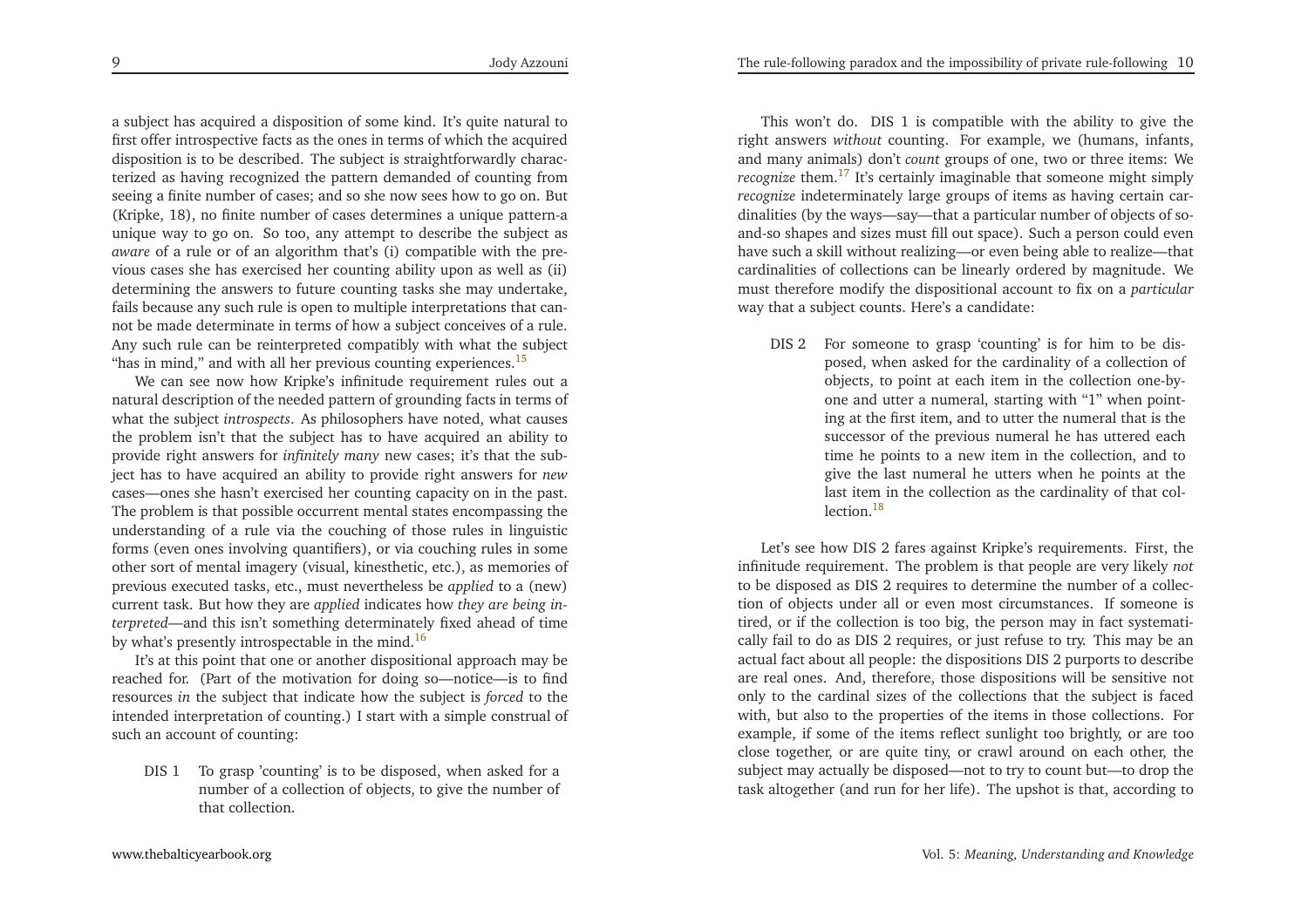<span id="page-5-3"></span><sup>a</sup> subject has acquired <sup>a</sup> disposition of some kind. It's quite natural to first offer introspective facts as the ones in terms of which the acquired disposition is to be described. The subject is straightforwardly characterized as having recognized the pattern demanded of counting from seeing <sup>a</sup> finite number of cases; and so she now sees how to go on. But (Kripke, 18), no finite number of cases determines <sup>a</sup> unique pattern-a unique way to go on. So too, any attempt to describe the subject as *aware* of <sup>a</sup> rule or of an algorithm that's (i) compatible with the pre vious cases she has exercised her counting ability upon as well as (ii) determining the answers to future counting tasks she may undertake, fails because any such rule is open to multiple interpretations that cannot be made determinate in terms of how <sup>a</sup> subject conceives of <sup>a</sup> rule. Any such rule can be reinterpreted compatibly with what the subject"has in mind," and with all her previous counting experiences. $15$ 

<span id="page-5-1"></span>We can see now how Kripke's infinitude requirement rules out <sup>a</sup> natural description of the needed pattern of grounding facts in terms of what the subject *introspects*. As <sup>p</sup>hilosophers have noted, what causes the problem isn't that the subject has to have acquired an ability to provide right answers for *infinitely many* new cases; it's that the subject has to have acquired an ability to provide right answers for *new* cases—ones she hasn't exercised her counting capacity on in the past. The problem is that possible occurrent mental states encompassing the understanding of <sup>a</sup> rule via the couching of those rules in linguistic forms (even ones involving quantifiers), or via couching rules in some other sort of mental imagery (visual, kinesthetic, etc.), as memories of previous executed tasks, etc., must nevertheless be *applied* to <sup>a</sup> (new) current task. But how they are *applied* indicates how *they are being interpreted*—and this isn't something determinately fixed ahead of timeby what's presently introspectable in the mind.<sup>[16](#page-38-12)</sup>

It's at this point that one or another dispositional approach may be reached for. (Part of the motivation for doing so—notice—is to find resources *in* the subject that indicate how the subject is *forced* to the intended interpretation of counting.) <sup>I</sup> start with <sup>a</sup> simple construal of such an account of counting:

DIS <sup>1</sup> To grasp 'counting' is to be disposed, when asked for <sup>a</sup> number of <sup>a</sup> collection of objects, to <sup>g</sup>ive the number ofthat collection.

<span id="page-5-2"></span>This won't do. DIS <sup>1</sup> is compatible with the ability to <sup>g</sup>ive the right answers *without* counting. For example, we (humans, infants, and many animals) don't *count* groups of one, two or three items: We *recognize* them.[17](#page-39-0) It's certainly imaginable that someone might simply *recognize* indeterminately large groups of items as having certain car dinalities (by the ways—say—that <sup>a</sup> particular number of objects of soand-so shapes and sizes must fill out space). Such <sup>a</sup> person could even have such <sup>a</sup> skill without realizing—or even being able to realize—that cardinalities of collections can be linearly ordered by magnitude. We must therefore modify the dispositional account to fix on <sup>a</sup> *particular* way that <sup>a</sup> subject counts. Here's <sup>a</sup> candidate:

DIS 2 For someone to grasp 'counting' is for him to be disposed, when asked for the cardinality of <sup>a</sup> collection of objects, to point at each item in the collection one-byone and utter <sup>a</sup> numeral, starting with "1" when pointing at the first item, and to utter the numeral that is the successor of the previous numeral he has uttered each time he points to <sup>a</sup> new item in the collection, and to <sup>g</sup>ive the last numeral he utters when he points at the last item in the collection as the cardinality of that col-lection.<sup>[18](#page-39-1)</sup>

<span id="page-5-0"></span>Let's see how DIS <sup>2</sup> fares against Kripke's requirements. First, the infinitude requirement. The problem is that people are very likely *not* to be disposed as DIS <sup>2</sup> requires to determine the number of <sup>a</sup> collection of objects under all or even most circumstances. If someone is tired, or if the collection is too big, the person may in fact systematically fail to do as DIS <sup>2</sup> requires, or just refuse to try. This may be an actual fact about all people: the dispositions DIS <sup>2</sup> purports to describe are real ones. And, therefore, those dispositions will be sensitive not only to the cardinal sizes of the collections that the subject is faced with, but also to the properties of the items in those collections. For example, if some of the items reflect sunlight too brightly, or are too close together, or are quite tiny, or crawl around on each other, the subject may actually be disposed—not to try to count but—to drop thetask altogether (and run for her life). The upshot is that, according to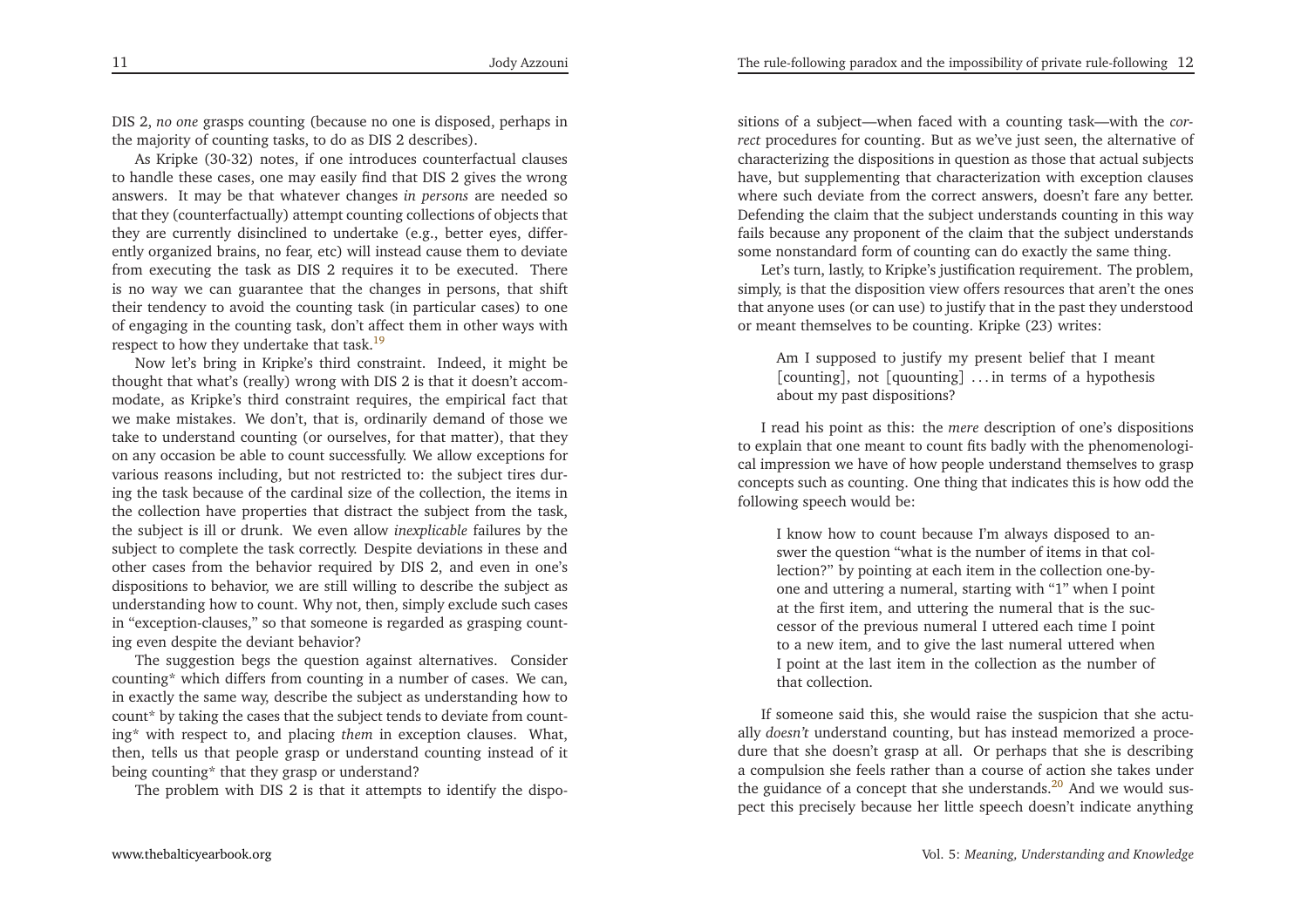DIS 2, *no one* grasps counting (because no one is disposed, perhaps inthe majority of counting tasks, to do as DIS <sup>2</sup> describes).

As Kripke (30-32) notes, if one introduces counterfactual clauses to handle these cases, one may easily find that DIS <sup>2</sup> <sup>g</sup>ives the wrong answers. It may be that whatever changes *in persons* are needed so that they (counterfactually) attempt counting collections of objects that they are currently disinclined to undertake (e.g., better eyes, differently organized brains, no fear, etc) will instead cause them to deviate from executing the task as DIS <sup>2</sup> requires it to be executed. There is no way we can guarantee that the changes in persons, that shift their tendency to avoid the counting task (in particular cases) to one of engaging in the counting task, don't affect them in other ways withrespect to how they undertake that task.<sup>[19](#page-39-2)</sup>

<span id="page-6-1"></span>Now let's bring in Kripke's third constraint. Indeed, it might be thought that what's (really) wrong with DIS <sup>2</sup> is that it doesn't accommodate, as Kripke's third constraint requires, the empirical fact that we make mistakes. We don't, that is, ordinarily demand of those we take to understand counting (or ourselves, for that matter), that they on any occasion be able to count successfully. We allow exceptions for various reasons including, but not restricted to: the subject tires during the task because of the cardinal size of the collection, the items in the collection have properties that distract the subject from the task, the subject is ill or drunk. We even allow *inexplicable* failures by the subject to complete the task correctly. Despite deviations in these and other cases from the behavior required by DIS 2, and even in one's dispositions to behavior, we are still willing to describe the subject as understanding how to count. Why not, then, simply exclude such cases in "exception-clauses," so that someone is regarded as grasping counting even despite the deviant behavior?

 The suggestion begs the question against alternatives. Consider counting\* which differs from counting in <sup>a</sup> number of cases. We can, in exactly the same way, describe the subject as understanding how to count\* by taking the cases that the subject tends to deviate from counting\* with respec<sup>t</sup> to, and <sup>p</sup>lacing *them* in exception clauses. What, then, tells us that people grasp or understand counting instead of itbeing counting\* that they grasp or understand?

The problem with DIS <sup>2</sup> is that it attempts to identify the dispo-

sitions of <sup>a</sup> subject—when faced with <sup>a</sup> counting task—with the *correct* procedures for counting. But as we've just seen, the alternative of characterizing the dispositions in question as those that actual subjects have, but supplementing that characterization with exception clauses where such deviate from the correct answers, doesn't fare any better. Defending the claim that the subject understands counting in this way fails because any proponen<sup>t</sup> of the claim that the subject understandssome nonstandard form of counting can do exactly the same thing.

Let's turn, lastly, to Kripke's justification requirement. The problem, simply, is that the disposition view offers resources that aren't the ones that anyone uses (or can use) to justify that in the pas<sup>t</sup> they understoodor meant themselves to be counting. Kripke (23) writes:

Am <sup>I</sup> supposed to justify my presen<sup>t</sup> belief that <sup>I</sup> meant [counting], not [quounting] . . . in terms of <sup>a</sup> hypothesis about my pas<sup>t</sup> dispositions?

<span id="page-6-0"></span><sup>I</sup> read his point as this: the *mere* description of one's dispositions to explain that one meant to count fits badly with the <sup>p</sup>henomenological impression we have of how people understand themselves to grasp concepts such as counting. One thing that indicates this is how odd thefollowing speech would be:

<sup>I</sup> know how to count because I'm always disposed to answer the question "what is the number of items in that collection?" by pointing at each item in the collection one-byone and uttering <sup>a</sup> numeral, starting with "1" when <sup>I</sup> point at the first item, and uttering the numeral that is the successor of the previous numeral <sup>I</sup> uttered each time <sup>I</sup> point to <sup>a</sup> new item, and to <sup>g</sup>ive the last numeral uttered when <sup>I</sup> point at the last item in the collection as the number ofthat collection.

If someone said this, she would raise the suspicion that she actually *doesn't* understand counting, but has instead memorized <sup>a</sup> procedure that she doesn't grasp at all. Or perhaps that she is describing <sup>a</sup> compulsion she feels rather than <sup>a</sup> course of action she takes underthe guidance of a concept that she understands.<sup>[20](#page-39-3)</sup> And we would suspec<sup>t</sup> this precisely because her little speech doesn't indicate anything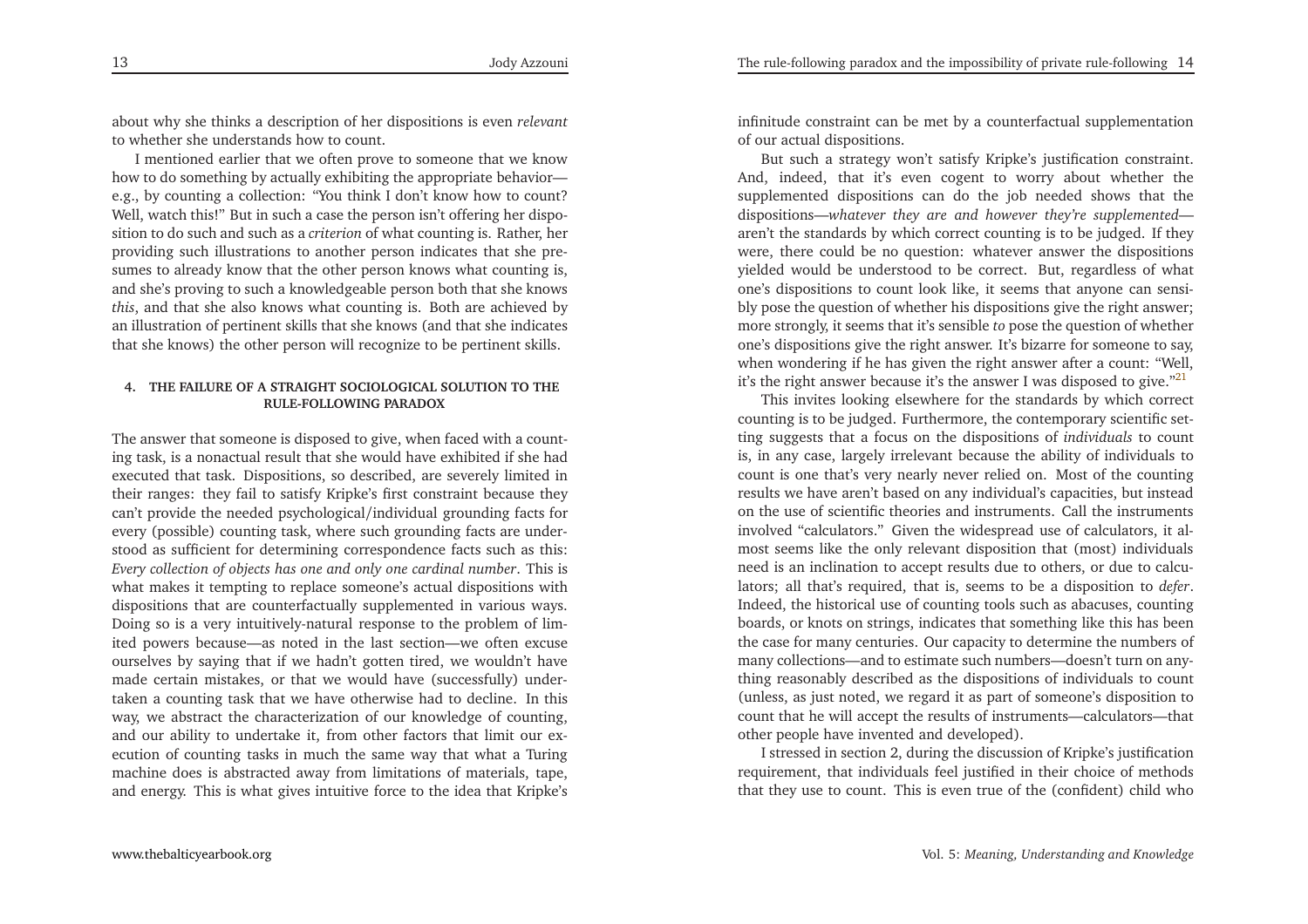about why she thinks <sup>a</sup> description of her dispositions is even *relevant* to whether she understands how to count.

<sup>I</sup> mentioned earlier that we often prove to someone that we know how to do something by actually exhibiting the appropriate behavior e.g., by counting <sup>a</sup> collection: "You think <sup>I</sup> don't know how to count? Well, watch this!" But in such a case the person isn't offering her disposition to do such and such as <sup>a</sup> *criterion* of what counting is. Rather, her providing such illustrations to another person indicates that she presumes to already know that the other person knows what counting is, and she's proving to such <sup>a</sup> knowledgeable person both that she knows *this*, and that she also knows what counting is. Both are achieved by an illustration of pertinent skills that she knows (and that she indicatesthat she knows) the other person will recognize to be pertinent skills.

#### **4. THE FAILURE OF <sup>A</sup> STRAIGHT SOCIOLOGICAL SOLUTION TO THERULE-FOLLOWING PARADOX**

The answer that someone is disposed to <sup>g</sup>ive, when faced with <sup>a</sup> counting task, is <sup>a</sup> nonactual result that she would have exhibited if she had executed that task. Dispositions, so described, are severely limited in their ranges: they fail to satisfy Kripke's first constraint because they can't provide the needed psychological/individual grounding facts for every (possible) counting task, where such grounding facts are understood as sufficient for determining correspondence facts such as this: *Every collection of objects has one and only one cardinal number*. This is what makes it tempting to replace someone's actual dispositions with dispositions that are counterfactually supplemented in various ways. Doing so is <sup>a</sup> very intuitively-natural response to the problem of limited powers because—as noted in the last section—we often excuse ourselves by saying that if we hadn't gotten tired, we wouldn't have made certain mistakes, or that we would have (successfully) undertaken <sup>a</sup> counting task that we have otherwise had to decline. In this way, we abstract the characterization of our knowledge of counting, and our ability to undertake it, from other factors that limit our execution of counting tasks in much the same way that what <sup>a</sup> Turing machine does is abstracted away from limitations of materials, tape, and energy. This is what <sup>g</sup>ives intuitive force to the idea that Kripke's

infinitude constraint can be met by <sup>a</sup> counterfactual supplementationof our actual dispositions.

But such <sup>a</sup> strategy won't satisfy Kripke's justification constraint. And, indeed, that it's even cogen<sup>t</sup> to worry about whether the supplemented dispositions can do the job needed shows that the dispositions—*whatever they are and however they're supplemented* aren't the standards by which correct counting is to be judged. If they were, there could be no question: whatever answer the dispositions <sup>y</sup>ielded would be understood to be correct. But, regardless of what one's dispositions to count look like, it seems that anyone can sensibly pose the question of whether his dispositions <sup>g</sup>ive the right answer; more strongly, it seems that it's sensible *to* pose the question of whether one's dispositions <sup>g</sup>ive the right answer. It's bizarre for someone to say, when wondering if he has <sup>g</sup>iven the right answer after <sup>a</sup> count: "Well, it's the right answer because it's the answer I was disposed to give." $21$ 

<span id="page-7-0"></span>This invites looking elsewhere for the standards by which correct counting is to be judged. Furthermore, the contemporary scientific setting suggests that <sup>a</sup> focus on the dispositions of *individuals* to count is, in any case, largely irrelevant because the ability of individuals to count is one that's very nearly never relied on. Most of the counting results we have aren't based on any individual's capacities, but instead on the use of scientific theories and instruments. Call the instruments involved "calculators." Given the widespread use of calculators, it almost seems like the only relevant disposition that (most) individuals need is an inclination to accep<sup>t</sup> results due to others, or due to calculators; all that's required, that is, seems to be <sup>a</sup> disposition to *defer*. Indeed, the historical use of counting tools such as abacuses, counting boards, or knots on strings, indicates that something like this has been the case for many centuries. Our capacity to determine the numbers of many collections—and to estimate such numbers—doesn't turn on anything reasonably described as the dispositions of individuals to count (unless, as just noted, we regard it as par<sup>t</sup> of someone's disposition to count that he will accep<sup>t</sup> the results of instruments—calculators—thatother people have invented and developed).

<sup>I</sup> stressed in section 2, during the discussion of Kripke's justification requirement, that individuals feel justified in their choice of methodsthat they use to count. This is even true of the (confident) child who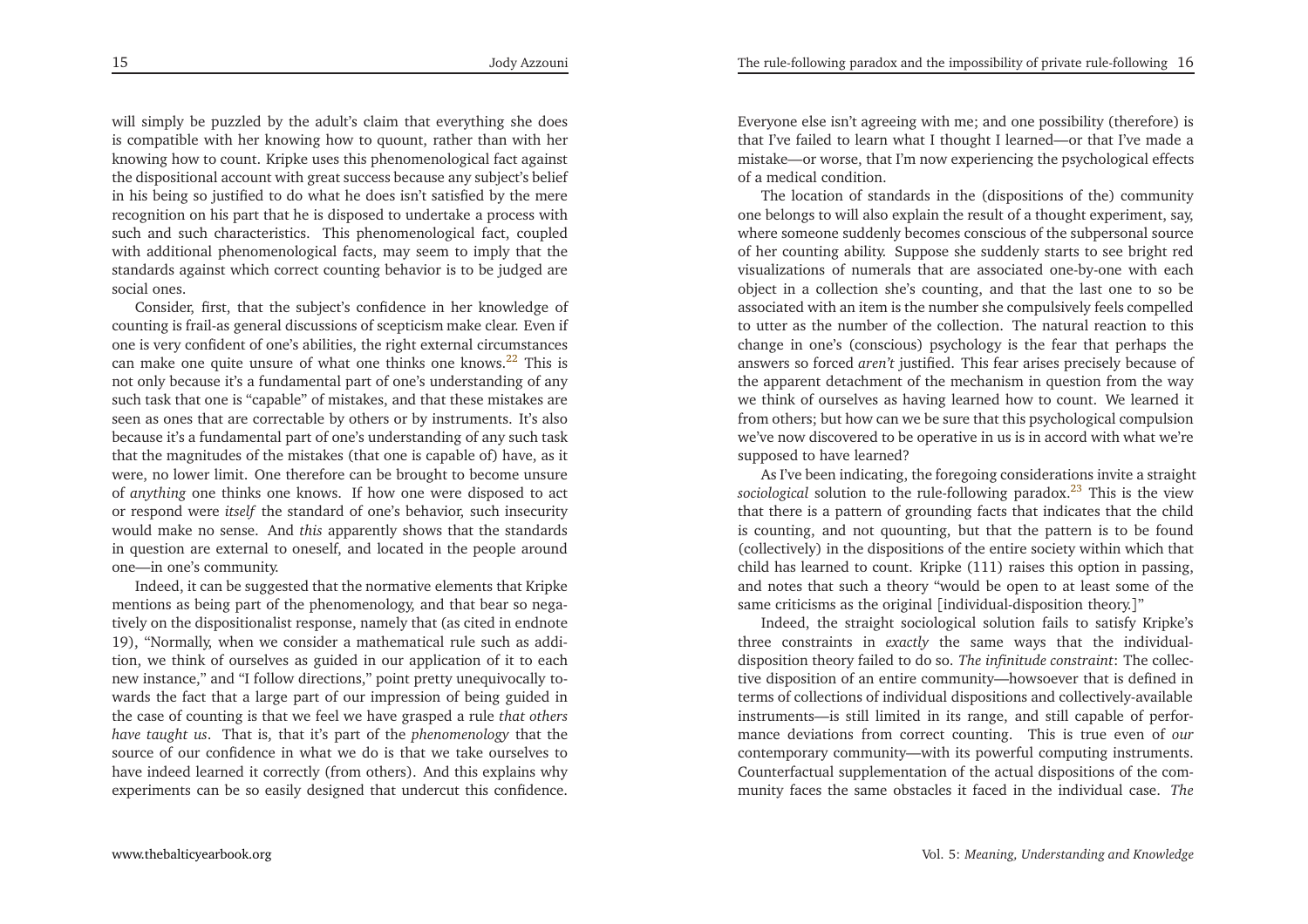will simply be puzzled by the adult's claim that everything she does is compatible with her knowing how to quount, rather than with her knowing how to count. Kripke uses this <sup>p</sup>henomenological fact against the dispositional account with grea<sup>t</sup> success because any subject's belief in his being so justified to do what he does isn't satisfied by the mere recognition on his par<sup>t</sup> that he is disposed to undertake <sup>a</sup> process with such and such characteristics. This <sup>p</sup>henomenological fact, coupled with additional <sup>p</sup>henomenological facts, may seem to imply that the standards against which correct counting behavior is to be judged aresocial ones.

Consider, first, that the subject's confidence in her knowledge of counting is frail-as general discussions of scepticism make clear. Even if one is very confident of one's abilities, the right external circumstancescan make one quite unsure of what one thinks one knows.<sup>[22](#page-39-5)</sup> This is not only because it's <sup>a</sup> fundamental par<sup>t</sup> of one's understanding of any such task that one is "capable" of mistakes, and that these mistakes are seen as ones that are correctable by others or by instruments. It's also because it's <sup>a</sup> fundamental par<sup>t</sup> of one's understanding of any such task that the magnitudes of the mistakes (that one is capable of) have, as it were, no lower limit. One therefore can be brought to become unsure of *anything* one thinks one knows. If how one were disposed to act or respond were *itself* the standard of one's behavior, such insecurity would make no sense. And *this* apparently shows that the standards in question are external to oneself, and located in the people aroundone—in one's community.

Indeed, it can be suggested that the normative elements that Kripke mentions as being par<sup>t</sup> of the <sup>p</sup>henomenology, and that bear so negatively on the dispositionalist response, namely that (as cited in endnote 19), "Normally, when we consider <sup>a</sup> mathematical rule such as addition, we think of ourselves as guided in our application of it to each new instance," and "I follow directions," point pretty unequivocally towards the fact that <sup>a</sup> large par<sup>t</sup> of our impression of being guided in the case of counting is that we feel we have grasped <sup>a</sup> rule *that others have taught us*. That is, that it's par<sup>t</sup> of the *<sup>p</sup>henomenology* that the source of our confidence in what we do is that we take ourselves to have indeed learned it correctly (from others). And this explains whyexperiments can be so easily designed that undercut this confidence.

Everyone else isn't agreeing with me; and one possibility (therefore) is that I've failed to learn what <sup>I</sup> thought <sup>I</sup> learned—or that I've made <sup>a</sup> mistake—or worse, that I'm now experiencing the psychological effectsof <sup>a</sup> medical condition.

The location of standards in the (dispositions of the) community one belongs to will also explain the result of <sup>a</sup> thought experiment, say, where someone suddenly becomes conscious of the subpersonal source of her counting ability. Suppose she suddenly starts to see bright red visualizations of numerals that are associated one-by-one with each object in <sup>a</sup> collection she's counting, and that the last one to so be associated with an item is the number she compulsively feels compelled to utter as the number of the collection. The natural reaction to this change in one's (conscious) psychology is the fear that perhaps the answers so forced *aren't* justified. This fear arises precisely because of the apparen<sup>t</sup> detachment of the mechanism in question from the way we think of ourselves as having learned how to count. We learned it from others; but how can we be sure that this psychological compulsion we've now discovered to be operative in us is in accord with what we'resupposed to have learned?

<span id="page-8-1"></span><span id="page-8-0"></span> As I've been indicating, the foregoing considerations invite <sup>a</sup> straight *sociological* solution to the rule-following paradox.[23](#page-39-6) This is the view that there is <sup>a</sup> pattern of grounding facts that indicates that the child is counting, and not quounting, but that the pattern is to be found (collectively) in the dispositions of the entire society within which that child has learned to count. Kripke (111) raises this option in passing, and notes that such <sup>a</sup> theory "would be open to at least some of thesame criticisms as the original [individual-disposition theory.]"

 Indeed, the straight sociological solution fails to satisfy Kripke's three constraints in *exactly* the same ways that the individualdisposition theory failed to do so. *The infinitude constraint*: The collective disposition of an entire community—howsoever that is defined in terms of collections of individual dispositions and collectively-available instruments—is still limited in its range, and still capable of performance deviations from correct counting. This is true even of *our* contemporary community—with its powerful computing instruments. Counterfactual supplementation of the actual dispositions of the community faces the same obstacles it faced in the individual case. *The*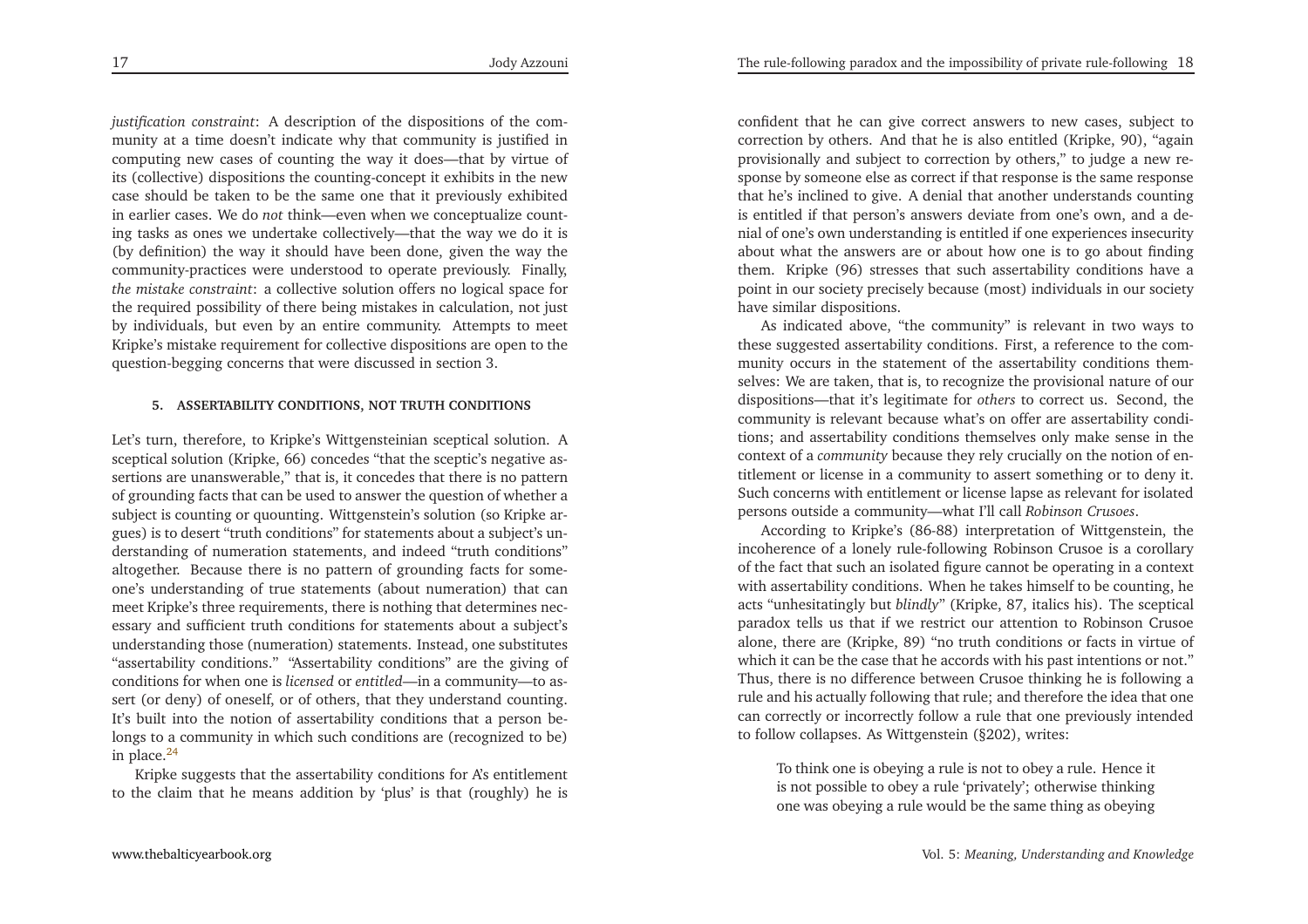17

<span id="page-9-0"></span>*justification constraint*: <sup>A</sup> description of the dispositions of the community at <sup>a</sup> time doesn't indicate why that community is justified in computing new cases of counting the way it does—that by virtue of its (collective) dispositions the counting-concept it exhibits in the new case should be taken to be the same one that it previously exhibited in earlier cases. We do *not* think—even when we conceptualize counting tasks as ones we undertake collectively—that the way we do it is (by definition) the way it should have been done, <sup>g</sup>iven the way the community-practices were understood to operate previously. Finally, *the mistake constraint*: <sup>a</sup> collective solution offers no logical space for the required possibility of there being mistakes in calculation, not just by individuals, but even by an entire community. Attempts to meet Kripke's mistake requirement for collective dispositions are open to thequestion-begging concerns that were discussed in section 3.

### **5. ASSERTABILITY CONDITIONS, NOT TRUTH CONDITIONS**

Let's turn, therefore, to Kripke's Wittgensteinian sceptical solution. <sup>A</sup> sceptical solution (Kripke, 66) concedes "that the sceptic's negative assertions are unanswerable," that is, it concedes that there is no pattern of grounding facts that can be used to answer the question of whether <sup>a</sup> subject is counting or quounting. Wittgenstein's solution (so Kripke argues) is to desert "truth conditions" for statements about <sup>a</sup> subject's understanding of numeration statements, and indeed "truth conditions" altogether. Because there is no pattern of grounding facts for someone's understanding of true statements (about numeration) that can meet Kripke's three requirements, there is nothing that determines necessary and sufficient truth conditions for statements about <sup>a</sup> subject's understanding those (numeration) statements. Instead, one substitutes "assertability conditions." "Assertability conditions" are the <sup>g</sup>iving of conditions for when one is *licensed* or *entitled*—in <sup>a</sup> community—to assert (or deny) of oneself, or of others, that they understand counting. It's built into the notion of assertability conditions that <sup>a</sup> person belongs to <sup>a</sup> community in which such conditions are (recognized to be)in place. $24$ 

Kripke suggests that the assertability conditions for A's entitlementto the claim that he means addition by 'plus' is that (roughly) he is

confident that he can <sup>g</sup>ive correct answers to new cases, subject to correction by others. And that he is also entitled (Kripke, 90), "again provisionally and subject to correction by others," to judge <sup>a</sup> new response by someone else as correct if that response is the same response that he's inclined to <sup>g</sup>ive. <sup>A</sup> denial that another understands counting is entitled if that person's answers deviate from one's own, and <sup>a</sup> denial of one's own understanding is entitled if one experiences insecurity about what the answers are or about how one is to go about finding them. Kripke (96) stresses that such assertability conditions have <sup>a</sup> point in our society precisely because (most) individuals in our societyhave similar dispositions.

As indicated above, "the community" is relevant in two ways to these suggested assertability conditions. First, <sup>a</sup> reference to the community occurs in the statement of the assertability conditions themselves: We are taken, that is, to recognize the provisional nature of our dispositions—that it's legitimate for *others* to correct us. Second, the community is relevant because what's on offer are assertability conditions; and assertability conditions themselves only make sense in the context of <sup>a</sup> *community* because they rely crucially on the notion of entitlement or license in <sup>a</sup> community to assert something or to deny it. Such concerns with entitlement or license lapse as relevant for isolatedpersons outside <sup>a</sup> community—what I'll call *Robinson Crusoes*.

According to Kripke's (86-88) interpretation of Wittgenstein, the incoherence of <sup>a</sup> lonely rule-following Robinson Crusoe is <sup>a</sup> corollary of the fact that such an isolated figure cannot be operating in <sup>a</sup> context with assertability conditions. When he takes himself to be counting, he acts "unhesitatingly but *blindly*" (Kripke, 87, italics his). The sceptical paradox tells us that if we restrict our attention to Robinson Crusoe alone, there are (Kripke, 89) "no truth conditions or facts in virtue of which it can be the case that he accords with his pas<sup>t</sup> intentions or not." Thus, there is no difference between Crusoe thinking he is following <sup>a</sup> rule and his actually following that rule; and therefore the idea that one can correctly or incorrectly follow <sup>a</sup> rule that one previously intendedto follow collapses. As Wittgenstein (§202), writes:

To think one is obeying <sup>a</sup> rule is not to obey <sup>a</sup> rule. Hence it is not possible to obey <sup>a</sup> rule 'privately'; otherwise thinkingone was obeying <sup>a</sup> rule would be the same thing as obeying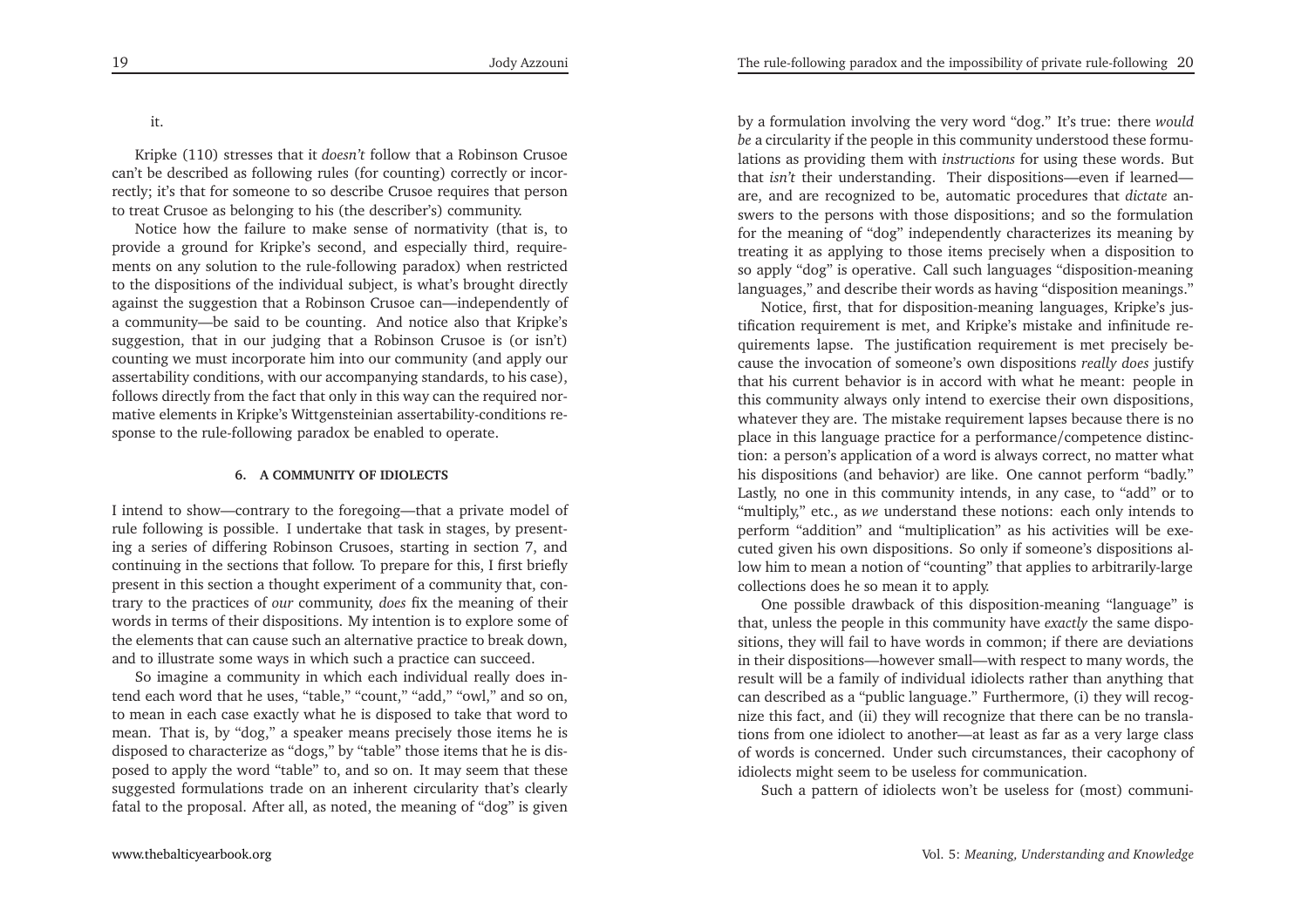it.

Kripke (110) stresses that it *doesn't* follow that <sup>a</sup> Robinson Crusoe can't be described as following rules (for counting) correctly or incorrectly; it's that for someone to so describe Crusoe requires that personto treat Crusoe as belonging to his (the describer's) community.

Notice how the failure to make sense of normativity (that is, to provide <sup>a</sup> ground for Kripke's second, and especially third, requirements on any solution to the rule-following paradox) when restricted to the dispositions of the individual subject, is what's brought directly against the suggestion that <sup>a</sup> Robinson Crusoe can—independently of <sup>a</sup> community—be said to be counting. And notice also that Kripke's suggestion, that in our judging that <sup>a</sup> Robinson Crusoe is (or isn't) counting we must incorporate him into our community (and apply our assertability conditions, with our accompanying standards, to his case), follows directly from the fact that only in this way can the required normative elements in Kripke's Wittgensteinian assertability-conditions response to the rule-following paradox be enabled to operate.

#### **6. <sup>A</sup> COMMUNITY OF IDIOLECTS**

<sup>I</sup> intend to show—contrary to the foregoing—that <sup>a</sup> private model of rule following is possible. <sup>I</sup> undertake that task in stages, by presenting <sup>a</sup> series of differing Robinson Crusoes, starting in section 7, and continuing in the sections that follow. To prepare for this, <sup>I</sup> first briefly presen<sup>t</sup> in this section <sup>a</sup> thought experiment of <sup>a</sup> community that, contrary to the practices of *our* community, *does* fix the meaning of their words in terms of their dispositions. My intention is to explore some of the elements that can cause such an alternative practice to break down, and to illustrate some ways in which such <sup>a</sup> practice can succeed.

So imagine <sup>a</sup> community in which each individual really does intend each word that he uses, "table," "count," "add," "owl," and so on, to mean in each case exactly what he is disposed to take that word to mean. That is, by "dog," <sup>a</sup> speaker means precisely those items he is disposed to characterize as "dogs," by "table" those items that he is disposed to apply the word "table" to, and so on. It may seem that these suggested formulations trade on an inherent circularity that's clearlyfatal to the proposal. After all, as noted, the meaning of "dog" is <sup>g</sup>iven

by <sup>a</sup> formulation involving the very word "dog." It's true: there *would be* <sup>a</sup> circularity if the people in this community understood these formulations as providing them with *instructions* for using these words. But that *isn't* their understanding. Their dispositions—even if learned are, and are recognized to be, automatic procedures that *dictate* answers to the persons with those dispositions; and so the formulation for the meaning of "dog" independently characterizes its meaning by treating it as applying to those items precisely when <sup>a</sup> disposition to so apply "dog" is operative. Call such languages "disposition-meaninglanguages," and describe their words as having "disposition meanings."

 Notice, first, that for disposition-meaning languages, Kripke's justification requirement is met, and Kripke's mistake and infinitude requirements lapse. The justification requirement is met precisely because the invocation of someone's own dispositions *really does* justify that his current behavior is in accord with what he meant: people in this community always only intend to exercise their own dispositions, whatever they are. The mistake requirement lapses because there is no <sup>p</sup>lace in this language practice for <sup>a</sup> performance/competence distinction: <sup>a</sup> person's application of <sup>a</sup> word is always correct, no matter what his dispositions (and behavior) are like. One cannot perform "badly." Lastly, no one in this community intends, in any case, to "add" or to "multiply," etc., as *we* understand these notions: each only intends to perform "addition" and "multiplication" as his activities will be executed <sup>g</sup>iven his own dispositions. So only if someone's dispositions allow him to mean <sup>a</sup> notion of "counting" that applies to arbitrarily-largecollections does he so mean it to apply.

One possible drawback of this disposition-meaning "language" is that, unless the people in this community have *exactly* the same dispositions, they will fail to have words in common; if there are deviations in their dispositions—however small—with respec<sup>t</sup> to many words, the result will be <sup>a</sup> family of individual idiolects rather than anything that can described as <sup>a</sup> "public language." Furthermore, (i) they will recognize this fact, and (ii) they will recognize that there can be no translations from one idiolect to another—at least as far as <sup>a</sup> very large class of words is concerned. Under such circumstances, their cacophony ofidiolects might seem to be useless for communication.

Such <sup>a</sup> pattern of idiolects won't be useless for (most) communi-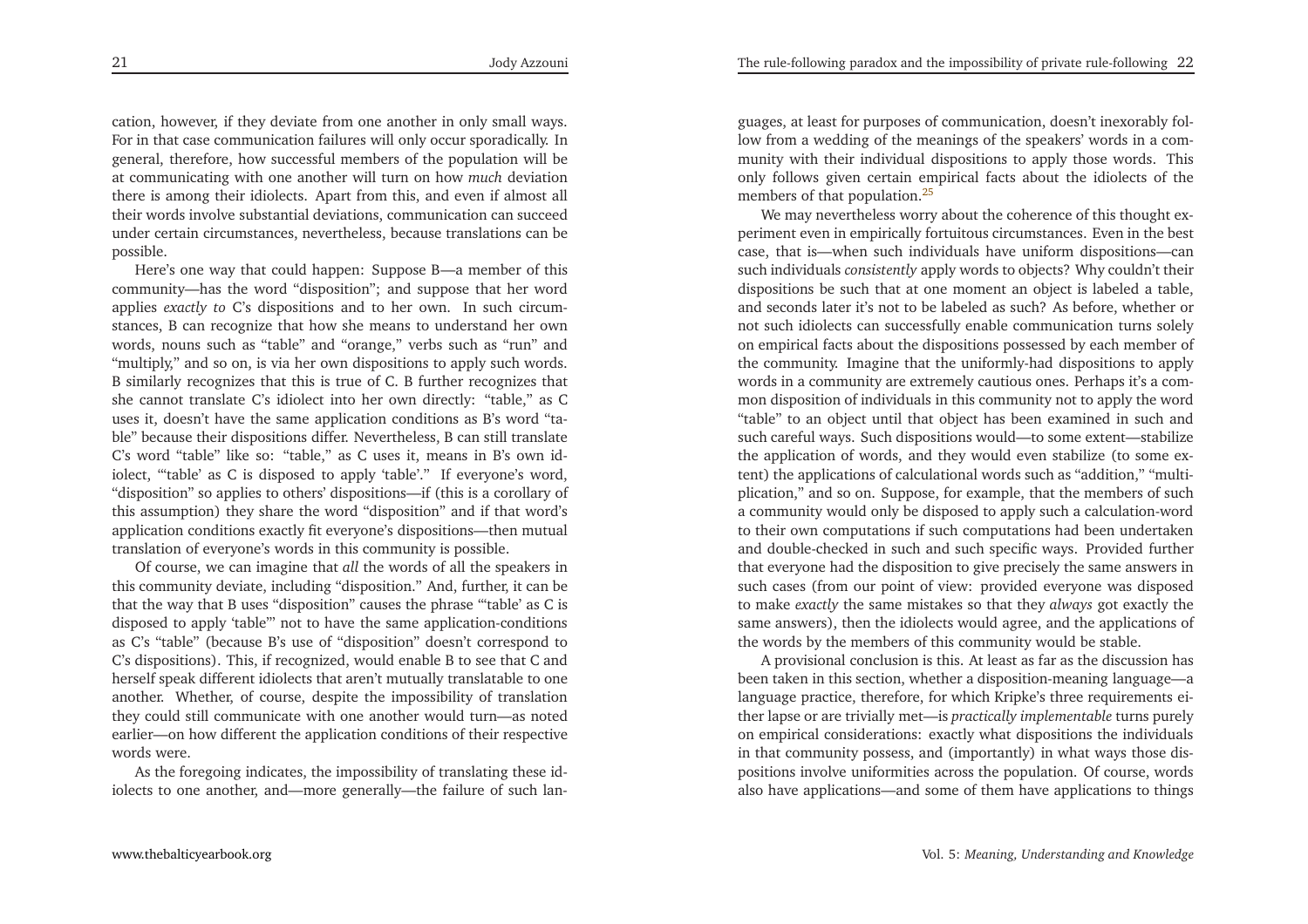cation, however, if they deviate from one another in only small ways. For in that case communication failures will only occur sporadically. In general, therefore, how successful members of the population will be at communicating with one another will turn on how *much* deviation there is among their idiolects. Apart from this, and even if almost all their words involve substantial deviations, communication can succeed under certain circumstances, nevertheless, because translations can bepossible.

 Here's one way that could happen: Suppose B—a member of this community—has the word "disposition"; and suppose that her word applies *exactly to* C's dispositions and to her own. In such circumstances, <sup>B</sup> can recognize that how she means to understand her own words, nouns such as "table" and "orange," verbs such as "run" and "multiply," and so on, is via her own dispositions to apply such words. <sup>B</sup> similarly recognizes that this is true of C. <sup>B</sup> further recognizes that she cannot translate C's idiolect into her own directly: "table," as <sup>C</sup> uses it, doesn't have the same application conditions as B's word "table" because their dispositions differ. Nevertheless, <sup>B</sup> can still translate C's word "table" like so: "table," as <sup>C</sup> uses it, means in B's own idiolect, "'table' as <sup>C</sup> is disposed to apply 'table'." If everyone's word, "disposition" so applies to others' dispositions—if (this is <sup>a</sup> corollary of this assumption) they share the word "disposition" and if that word's application conditions exactly fit everyone's dispositions—then mutualtranslation of everyone's words in this community is possible.

Of course, we can imagine that *all* the words of all the speakers in this community deviate, including "disposition." And, further, it can be that the way that <sup>B</sup> uses "disposition" causes the <sup>p</sup>hrase "'table' as <sup>C</sup> is disposed to apply 'table"' not to have the same application-conditions as C's "table" (because B's use of "disposition" doesn't correspond to C's dispositions). This, if recognized, would enable <sup>B</sup> to see that <sup>C</sup> and herself speak different idiolects that aren't mutually translatable to one another. Whether, of course, despite the impossibility of translation they could still communicate with one another would turn—as noted earlier—on how different the application conditions of their respectivewords were.

As the foregoing indicates, the impossibility of translating these idiolects to one another, and—more generally—the failure of such lan-

guages, at least for purposes of communication, doesn't inexorably follow from <sup>a</sup> wedding of the meanings of the speakers' words in <sup>a</sup> community with their individual dispositions to apply those words. This only follows <sup>g</sup>iven certain empirical facts about the idiolects of themembers of that population.<sup>[25](#page-39-8)</sup>

<span id="page-11-0"></span>We may nevertheless worry about the coherence of this thought experiment even in empirically fortuitous circumstances. Even in the best case, that is—when such individuals have uniform dispositions—can such individuals *consistently* apply words to objects? Why couldn't their dispositions be such that at one moment an object is labeled <sup>a</sup> table, and seconds later it's not to be labeled as such? As before, whether or not such idiolects can successfully enable communication turns solely on empirical facts about the dispositions possessed by each member of the community. Imagine that the uniformly-had dispositions to apply words in <sup>a</sup> community are extremely cautious ones. Perhaps it's <sup>a</sup> common disposition of individuals in this community not to apply the word "table" to an object until that object has been examined in such and such careful ways. Such dispositions would—to some extent—stabilize the application of words, and they would even stabilize (to some extent) the applications of calculational words such as "addition," "multi<sup>p</sup>lication," and so on. Suppose, for example, that the members of such <sup>a</sup> community would only be disposed to apply such <sup>a</sup> calculation-word to their own computations if such computations had been undertaken and double-checked in such and such specific ways. Provided further that everyone had the disposition to <sup>g</sup>ive precisely the same answers in such cases (from our point of view: provided everyone was disposed to make *exactly* the same mistakes so that they *always* go<sup>t</sup> exactly the same answers), then the idiolects would agree, and the applications ofthe words by the members of this community would be stable.

<sup>A</sup> provisional conclusion is this. At least as far as the discussion has been taken in this section, whether <sup>a</sup> disposition-meaning language—a language practice, therefore, for which Kripke's three requirements either lapse or are trivially met—is *practically implementable* turns purely on empirical considerations: exactly what dispositions the individuals in that community possess, and (importantly) in what ways those dispositions involve uniformities across the population. Of course, wordsalso have applications—and some of them have applications to things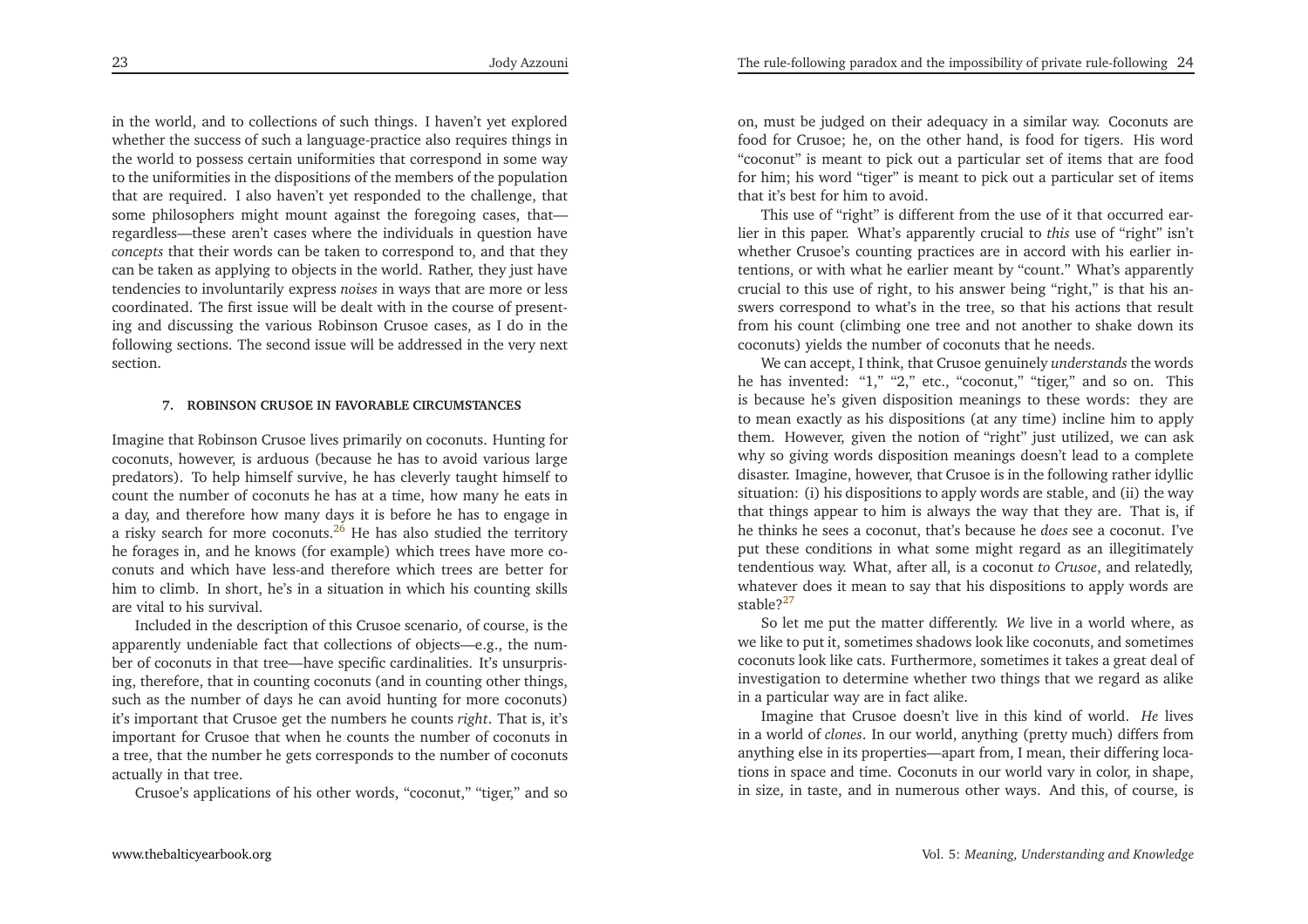23

<span id="page-12-1"></span>in the world, and to collections of such things. <sup>I</sup> haven't ye<sup>t</sup> explored whether the success of such <sup>a</sup> language-practice also requires things in the world to possess certain uniformities that correspond in some way to the uniformities in the dispositions of the members of the population that are required. <sup>I</sup> also haven't ye<sup>t</sup> responded to the challenge, that some <sup>p</sup>hilosophers might mount against the foregoing cases, that regardless—these aren't cases where the individuals in question have *concepts* that their words can be taken to correspond to, and that they can be taken as applying to objects in the world. Rather, they just have tendencies to involuntarily express *noises* in ways that are more or less coordinated. The first issue will be dealt with in the course of presenting and discussing the various Robinson Crusoe cases, as <sup>I</sup> do in the following sections. The second issue will be addressed in the very nextsection.

#### <span id="page-12-0"></span>**7. ROBINSON CRUSOE IN FAVORABLE CIRCUMSTANCES**

Imagine that Robinson Crusoe lives primarily on coconuts. Hunting for coconuts, however, is arduous (because he has to avoid various large predators). To help himself survive, he has cleverly taught himself to count the number of coconuts he has at <sup>a</sup> time, how many he eats in <sup>a</sup> day, and therefore how many days it is before he has to engage ina risky search for more coconuts.<sup>[26](#page-39-9)</sup> He has also studied the territory he forages in, and he knows (for example) which trees have more coconuts and which have less-and therefore which trees are better for him to climb. In short, he's in <sup>a</sup> situation in which his counting skillsare vital to his survival.

Included in the description of this Crusoe scenario, of course, is the apparently undeniable fact that collections of objects—e.g., the number of coconuts in that tree—have specific cardinalities. It's unsurprising, therefore, that in counting coconuts (and in counting other things, such as the number of days he can avoid hunting for more coconuts) it's important that Crusoe ge<sup>t</sup> the numbers he counts *right*. That is, it's important for Crusoe that when he counts the number of coconuts in <sup>a</sup> tree, that the number he gets corresponds to the number of coconutsactually in that tree.

Crusoe's applications of his other words, "coconut," "tiger," and so

on, must be judged on their adequacy in <sup>a</sup> similar way. Coconuts are food for Crusoe; he, on the other hand, is food for tigers. His word "coconut" is meant to <sup>p</sup>ick out <sup>a</sup> particular set of items that are food for him; his word "tiger" is meant to <sup>p</sup>ick out <sup>a</sup> particular set of itemsthat it's best for him to avoid.

This use of "right" is different from the use of it that occurred earlier in this paper. What's apparently crucial to *this* use of "right" isn't whether Crusoe's counting practices are in accord with his earlier intentions, or with what he earlier meant by "count." What's apparently crucial to this use of right, to his answer being "right," is that his answers correspond to what's in the tree, so that his actions that result from his count (climbing one tree and not another to shake down itscoconuts) <sup>y</sup>ields the number of coconuts that he needs.

We can accept, <sup>I</sup> think, that Crusoe genuinely *understands* the words he has invented: "1," "2," etc., "coconut," "tiger," and so on. This is because he's <sup>g</sup>iven disposition meanings to these words: they are to mean exactly as his dispositions (at any time) incline him to apply them. However, <sup>g</sup>iven the notion of "right" just utilized, we can ask why so <sup>g</sup>iving words disposition meanings doesn't lead to <sup>a</sup> complete disaster. Imagine, however, that Crusoe is in the following rather idyllic situation: (i) his dispositions to apply words are stable, and (ii) the way that things appear to him is always the way that they are. That is, if he thinks he sees <sup>a</sup> coconut, that's because he *does* see <sup>a</sup> coconut. I've pu<sup>t</sup> these conditions in what some might regard as an illegitimately tendentious way. What, after all, is <sup>a</sup> coconut *to Crusoe*, and relatedly, whatever does it mean to say that his dispositions to apply words arestable?<sup>[27](#page-39-10)</sup>

So let me pu<sup>t</sup> the matter differently. *We* live in <sup>a</sup> world where, as we like to pu<sup>t</sup> it, sometimes shadows look like coconuts, and sometimes coconuts look like cats. Furthermore, sometimes it takes <sup>a</sup> grea<sup>t</sup> deal of investigation to determine whether two things that we regard as alikein <sup>a</sup> particular way are in fact alike.

Imagine that Crusoe doesn't live in this kind of world. *He* lives in <sup>a</sup> world of *clones*. In our world, anything (pretty much) differs from anything else in its properties—apart from, <sup>I</sup> mean, their differing locations in space and time. Coconuts in our world vary in color, in shape, in size, in taste, and in numerous other ways. And this, of course, is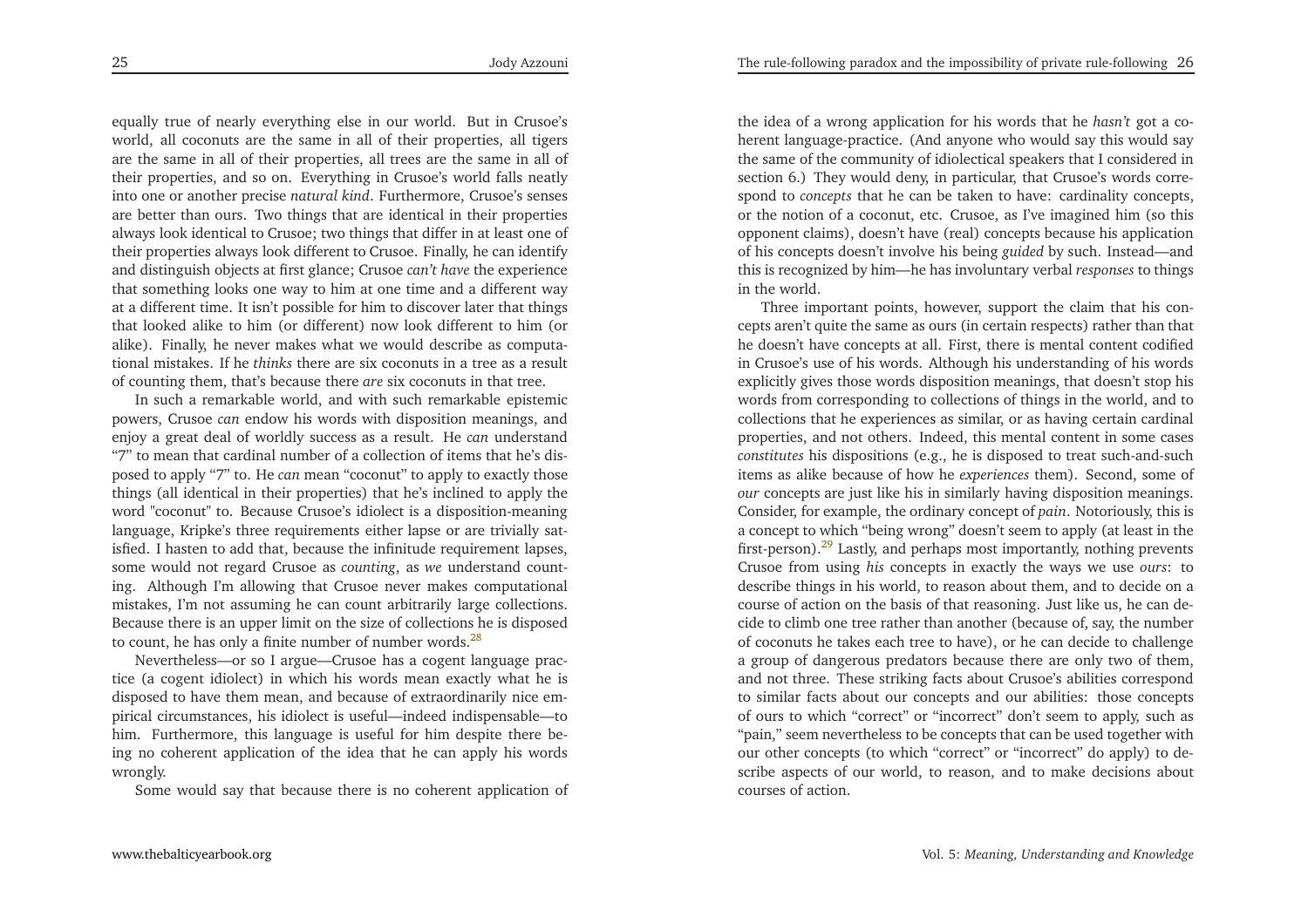25

<span id="page-13-1"></span>equally true of nearly everything else in our world. But in Crusoe's world, all coconuts are the same in all of their properties, all tigers are the same in all of their properties, all trees are the same in all of their properties, and so on. Everything in Crusoe's world falls neatly into one or another precise *natural kind*. Furthermore, Crusoe's senses are better than ours. Two things that are identical in their properties always look identical to Crusoe; two things that differ in at least one of their properties always look different to Crusoe. Finally, he can identify and distinguish objects at first <sup>g</sup>lance; Crusoe *can't have* the experience that something looks one way to him at one time and <sup>a</sup> different way at <sup>a</sup> different time. It isn't possible for him to discover later that things that looked alike to him (or different) now look different to him (or alike). Finally, he never makes what we would describe as computational mistakes. If he *thinks* there are six coconuts in <sup>a</sup> tree as <sup>a</sup> result of counting them, that's because there *are* six coconuts in that tree.

<span id="page-13-0"></span>In such <sup>a</sup> remarkable world, and with such remarkable epistemic powers, Crusoe *can* endow his words with disposition meanings, and enjoy <sup>a</sup> grea<sup>t</sup> deal of worldly success as <sup>a</sup> result. He *can* understand "7" to mean that cardinal number of <sup>a</sup> collection of items that he's disposed to apply "7" to. He *can* mean "coconut" to apply to exactly those things (all identical in their properties) that he's inclined to apply the word "coconut" to. Because Crusoe's idiolect is <sup>a</sup> disposition-meaning language, Kripke's three requirements either lapse or are trivially satisfied. <sup>I</sup> hasten to add that, because the infinitude requirement lapses, some would not regard Crusoe as *counting*, as *we* understand counting. Although I'm allowing that Crusoe never makes computationalmistakes, I'm not assuming he can count arbitrarily large collections. Because there is an upper limit on the size of collections he is disposedto count, he has only a finite number of number words. $^{28}$  $^{28}$  $^{28}$ 

Nevertheless—or so <sup>I</sup> argue—Crusoe has <sup>a</sup> cogen<sup>t</sup> language practice (a cogen<sup>t</sup> idiolect) in which his words mean exactly what he is disposed to have them mean, and because of extraordinarily nice em<sup>p</sup>irical circumstances, his idiolect is useful—indeed indispensable—to him. Furthermore, this language is useful for him despite there being no coherent application of the idea that he can apply his wordswrongly.

Some would say that because there is no coherent application of

the idea of <sup>a</sup> wrong application for his words that he *hasn't* go<sup>t</sup> <sup>a</sup> coherent language-practice. (And anyone who would say this would say the same of the community of idiolectical speakers that <sup>I</sup> considered in section 6.) They would deny, in particular, that Crusoe's words correspond to *concepts* that he can be taken to have: cardinality concepts, or the notion of <sup>a</sup> coconut, etc. Crusoe, as I've imagined him (so this opponen<sup>t</sup> claims), doesn't have (real) concepts because his application of his concepts doesn't involve his being *guided* by such. Instead—and this is recognized by him—he has involuntary verbal *responses* to thingsin the world.

Three important points, however, suppor<sup>t</sup> the claim that his concepts aren't quite the same as ours (in certain respects) rather than that he doesn't have concepts at all. First, there is mental content codified in Crusoe's use of his words. Although his understanding of his words explicitly <sup>g</sup>ives those words disposition meanings, that doesn't stop his words from corresponding to collections of things in the world, and to collections that he experiences as similar, or as having certain cardinal properties, and not others. Indeed, this mental content in some cases *constitutes* his dispositions (e.g., he is disposed to treat such-and-such items as alike because of how he *experiences* them). Second, some of *our* concepts are just like his in similarly having disposition meanings. Consider, for example, the ordinary concep<sup>t</sup> of *pain*. Notoriously, this is <sup>a</sup> concep<sup>t</sup> to which "being wrong" doesn't seem to apply (at least in thefirst-person).<sup>[29](#page-39-12)</sup> Lastly, and perhaps most importantly, nothing prevents Crusoe from using *his* concepts in exactly the ways we use *ours*: to describe things in his world, to reason about them, and to decide on <sup>a</sup> course of action on the basis of that reasoning. Just like us, he can decide to climb one tree rather than another (because of, say, the number of coconuts he takes each tree to have), or he can decide to challenge <sup>a</sup> group of dangerous predators because there are only two of them, and not three. These striking facts about Crusoe's abilities correspond to similar facts about our concepts and our abilities: those concepts of ours to which "correct" or "incorrect" don't seem to apply, such as "pain," seem nevertheless to be concepts that can be used together with our other concepts (to which "correct" or "incorrect" do apply) to describe aspects of our world, to reason, and to make decisions about courses of action.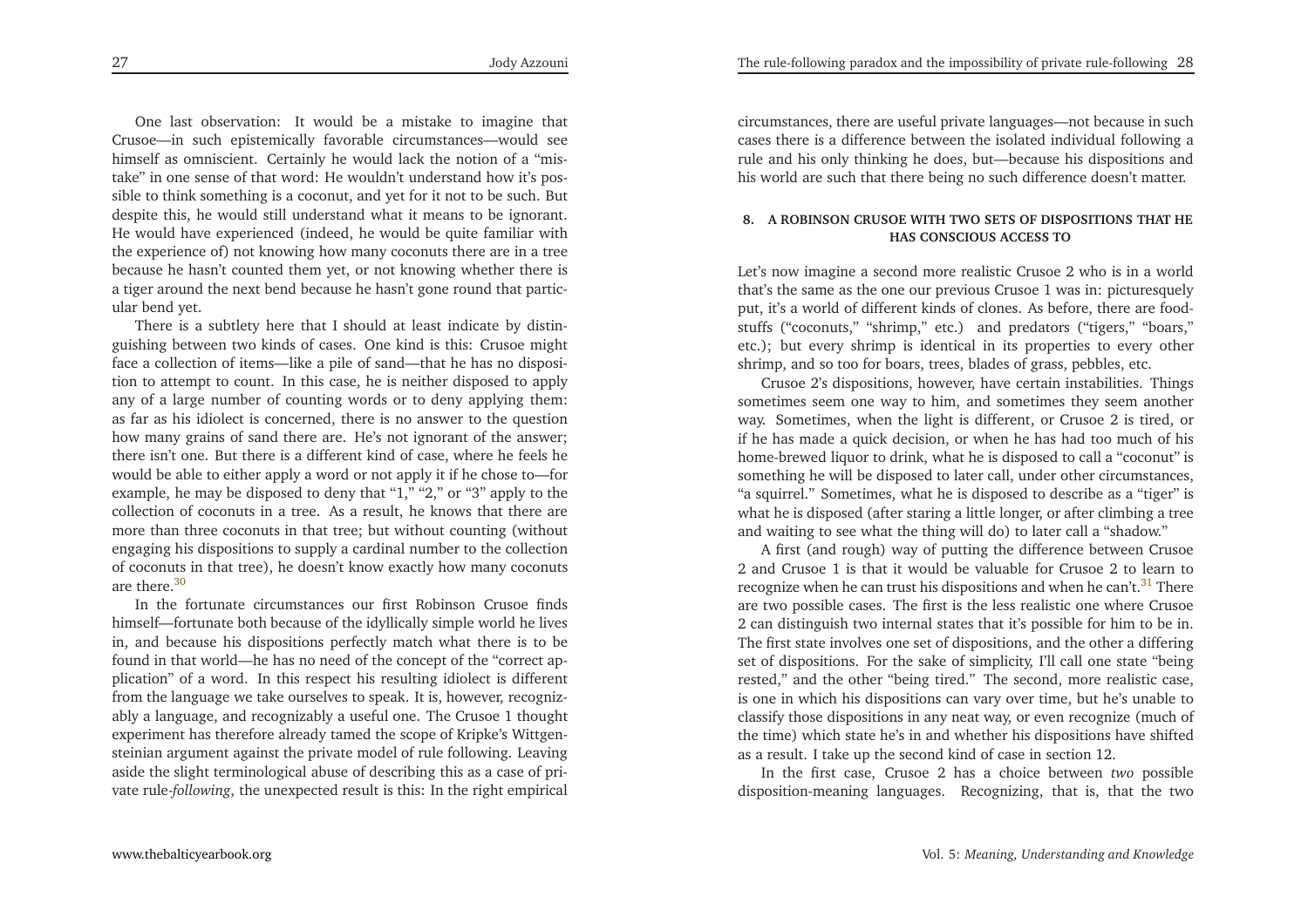<span id="page-14-0"></span>

One last observation: It would be <sup>a</sup> mistake to imagine that Crusoe—in such epistemically favorable circumstances—would see himself as omniscient. Certainly he would lack the notion of <sup>a</sup> "mistake" in one sense of that word: He wouldn't understand how it's possible to think something is <sup>a</sup> coconut, and ye<sup>t</sup> for it not to be such. But despite this, he would still understand what it means to be ignorant. He would have experienced (indeed, he would be quite familiar with the experience of) not knowing how many coconuts there are in <sup>a</sup> tree because he hasn't counted them yet, or not knowing whether there is <sup>a</sup> tiger around the next bend because he hasn't gone round that particular bend yet.

There is <sup>a</sup> subtlety here that <sup>I</sup> should at least indicate by distinguishing between two kinds of cases. One kind is this: Crusoe might face <sup>a</sup> collection of items—like <sup>a</sup> <sup>p</sup>ile of sand—that he has no disposition to attempt to count. In this case, he is neither disposed to apply any of <sup>a</sup> large number of counting words or to deny applying them: as far as his idiolect is concerned, there is no answer to the question how many grains of sand there are. He's not ignorant of the answer; there isn't one. But there is <sup>a</sup> different kind of case, where he feels he would be able to either apply <sup>a</sup> word or not apply it if he chose to—for example, he may be disposed to deny that "1," "2," or "3" apply to the collection of coconuts in <sup>a</sup> tree. As <sup>a</sup> result, he knows that there are more than three coconuts in that tree; but without counting (without engaging his dispositions to supply <sup>a</sup> cardinal number to the collection of coconuts in that tree), he doesn't know exactly how many coconutsare there.[30](#page-39-13)

<span id="page-14-1"></span>In the fortunate circumstances our first Robinson Crusoe finds himself—fortunate both because of the idyllically simple world he lives in, and because his dispositions perfectly match what there is to be found in that world—he has no need of the concep<sup>t</sup> of the "correct ap<sup>p</sup>lication" of <sup>a</sup> word. In this respec<sup>t</sup> his resulting idiolect is different from the language we take ourselves to speak. It is, however, recognizably <sup>a</sup> language, and recognizably <sup>a</sup> useful one. The Crusoe <sup>1</sup> thought experiment has therefore already tamed the scope of Kripke's Wittgensteinian argumen<sup>t</sup> against the private model of rule following. Leaving aside the slight terminological abuse of describing this as <sup>a</sup> case of private rule-*following*, the unexpected result is this: In the right empirical

circumstances, there are useful private languages—not because in such cases there is <sup>a</sup> difference between the isolated individual following <sup>a</sup> rule and his only thinking he does, but—because his dispositions andhis world are such that there being no such difference doesn't matter.

## **8. <sup>A</sup> ROBINSON CRUSOE WITH TWO SETS OF DISPOSITIONS THAT HEHAS CONSCIOUS ACCESS TO**

Let's now imagine <sup>a</sup> second more realistic Crusoe <sup>2</sup> who is in <sup>a</sup> world that's the same as the one our previous Crusoe <sup>1</sup> was in: <sup>p</sup>icturesquely put, it's <sup>a</sup> world of different kinds of clones. As before, there are foodstuffs ("coconuts," "shrimp," etc.) and predators ("tigers," "boars," etc.); but every shrimp is identical in its properties to every othershrimp, and so too for boars, trees, blades of grass, pebbles, etc.

Crusoe 2's dispositions, however, have certain instabilities. Things sometimes seem one way to him, and sometimes they seem another way. Sometimes, when the light is different, or Crusoe <sup>2</sup> is tired, or if he has made <sup>a</sup> quick decision, or when he has had too much of his home-brewed liquor to drink, what he is disposed to call <sup>a</sup> "coconut" is something he will be disposed to later call, under other circumstances, "a squirrel." Sometimes, what he is disposed to describe as <sup>a</sup> "tiger" is what he is disposed (after staring <sup>a</sup> little longer, or after climbing <sup>a</sup> treeand waiting to see what the thing will do) to later call <sup>a</sup> "shadow."

 <sup>A</sup> first (and rough) way of putting the difference between Crusoe <sup>2</sup> and Crusoe <sup>1</sup> is that it would be valuable for Crusoe <sup>2</sup> to learn to recognize when he can trust his dispositions and when he can't.<sup>[31](#page-39-14)</sup> There are two possible cases. The first is the less realistic one where Crusoe <sup>2</sup> can distinguish two internal states that it's possible for him to be in. The first state involves one set of dispositions, and the other <sup>a</sup> differing set of dispositions. For the sake of simplicity, I'll call one state "being rested," and the other "being tired." The second, more realistic case, is one in which his dispositions can vary over time, but he's unable to classify those dispositions in any neat way, or even recognize (much of the time) which state he's in and whether his dispositions have shiftedas <sup>a</sup> result. <sup>I</sup> take up the second kind of case in section 12.

In the first case, Crusoe <sup>2</sup> has <sup>a</sup> choice between *two* possible disposition-meaning languages. Recognizing, that is, that the two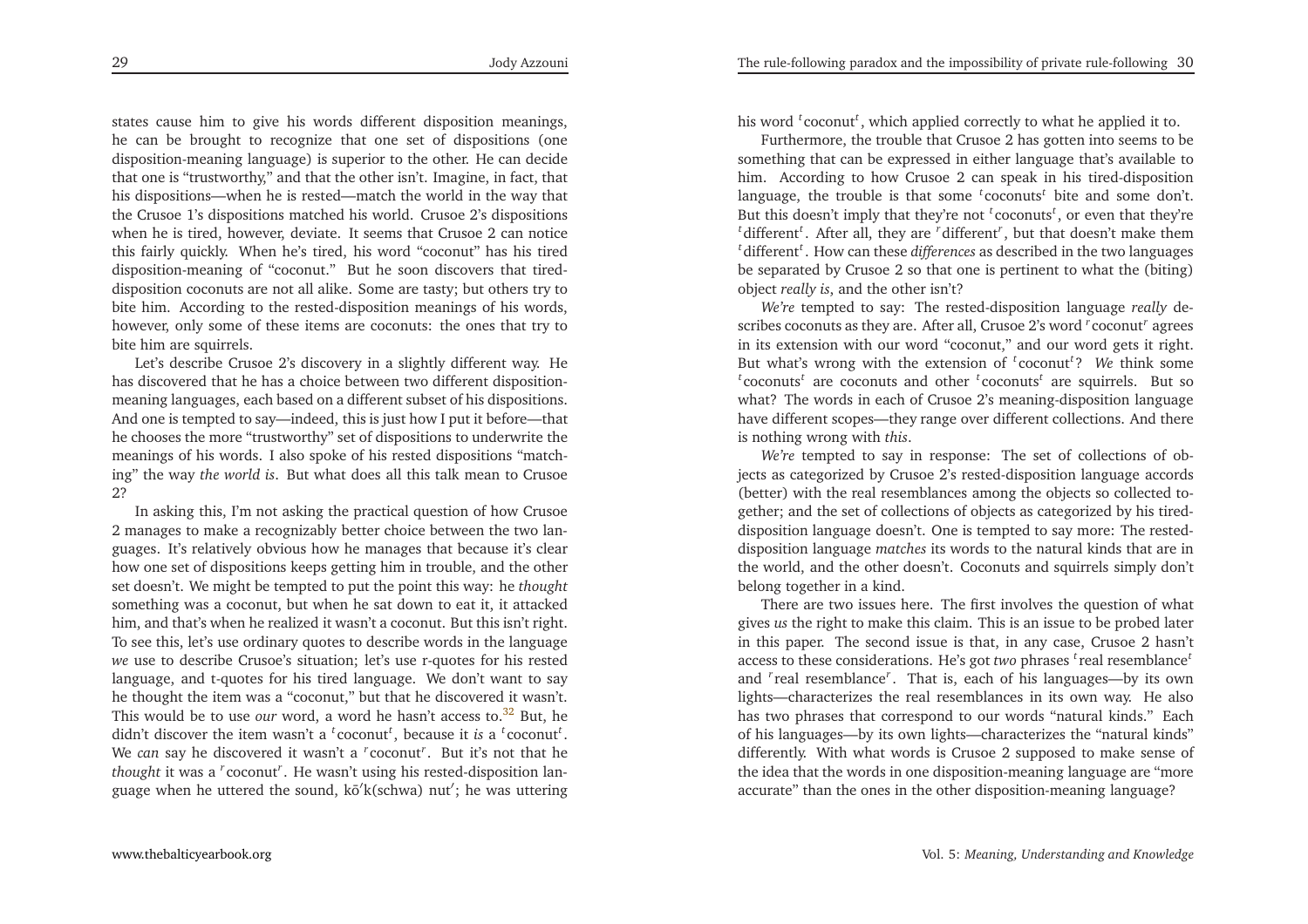states cause him to <sup>g</sup>ive his words different disposition meanings, he can be brought to recognize that one set of dispositions (one disposition-meaning language) is superior to the other. He can decide that one is "trustworthy," and that the other isn't. Imagine, in fact, that his dispositions—when he is rested—match the world in the way that the Crusoe 1's dispositions matched his world. Crusoe 2's dispositions when he is tired, however, deviate. It seems that Crusoe <sup>2</sup> can notice this fairly quickly. When he's tired, his word "coconut" has his tired disposition-meaning of "coconut." But he soon discovers that tireddisposition coconuts are not all alike. Some are tasty; but others try to bite him. According to the rested-disposition meanings of his words, however, only some of these items are coconuts: the ones that try tobite him are squirrels.

Let's describe Crusoe 2's discovery in <sup>a</sup> slightly different way. He has discovered that he has <sup>a</sup> choice between two different dispositionmeaning languages, each based on <sup>a</sup> different subset of his dispositions. And one is tempted to say—indeed, this is just how <sup>I</sup> pu<sup>t</sup> it before—that he chooses the more "trustworthy" set of dispositions to underwrite the meanings of his words. <sup>I</sup> also spoke of his rested dispositions "matching" the way *the world is*. But what does all this talk mean to Crusoe 2?

<span id="page-15-0"></span>In asking this, I'm not asking the practical question of how Crusoe <sup>2</sup> manages to make <sup>a</sup> recognizably better choice between the two languages. It's relatively obvious how he manages that because it's clear how one set of dispositions keeps getting him in trouble, and the other set doesn't. We might be tempted to pu<sup>t</sup> the point this way: he *thought* something was <sup>a</sup> coconut, but when he sat down to eat it, it attacked him, and that's when he realized it wasn't <sup>a</sup> coconut. But this isn't right. To see this, let's use ordinary quotes to describe words in the language *we* use to describe Crusoe's situation; let's use r-quotes for his rested language, and t-quotes for his tired language. We don't want to say he thought the item was <sup>a</sup> "coconut," but that he discovered it wasn't. This would be to use *our* word, a word he hasn't access to.<sup>[32](#page-40-0)</sup> But, he didn't discover the item wasn't <sup>a</sup> *<sup>t</sup>* coconut*t*, because it *is* <sup>a</sup> *<sup>t</sup>*coconut*t*. We *can* say he discovered it wasn't <sup>a</sup> *<sup>r</sup>*coconut*<sup>r</sup>*. But it's not that he *thought* it was <sup>a</sup> *<sup>r</sup>*coconut*<sup>r</sup>*. He wasn't using his rested-disposition language when he uttered the sound,  $k\bar{o}'k$ (schwa) nut'; he was uttering his word <sup>*t*</sup> coconut<sup>*t*</sup>, which applied correctly to what he applied it to.

Furthermore, the trouble that Crusoe <sup>2</sup> has gotten into seems to be something that can be expressed in either language that's available to him. According to how Crusoe <sup>2</sup> can speak in his tired-disposition language, the trouble is that some *<sup>t</sup>*coconuts*<sup>t</sup>* bite and some don't. But this doesn't imply that they're not *<sup>t</sup>* coconuts*t*, or even that they're $<sup>t</sup>$  different<sup>*t*</sup>. After all, they are *<sup>r</sup>* different<sup>*r*</sup>, but that doesn't make them</sup> *<sup>t</sup>*different*<sup>t</sup>* . How can these *differences* as described in the two languages be separated by Crusoe <sup>2</sup> so that one is pertinent to what the (biting)object *really is*, and the other isn't?

 *We're* tempted to say: The rested-disposition language *really* describes coconuts as they are. After all, Crusoe 2's word *<sup>r</sup>*coconut*<sup>r</sup>* agrees in its extension with our word "coconut," and our word gets it right. But what's wrong with the extension of *<sup>t</sup>* coconut*<sup>t</sup>*? *We* think some $t$  coconuts<sup> $t$ </sup> are coconuts and other  $t$  coconuts<sup> $t$ </sup> are squirrels. But so what? The words in each of Crusoe 2's meaning-disposition language have different scopes—they range over different collections. And thereis nothing wrong with *this*.

*We're* tempted to say in response: The set of collections of objects as categorized by Crusoe 2's rested-disposition language accords (better) with the real resemblances among the objects so collected together; and the set of collections of objects as categorized by his tireddisposition language doesn't. One is tempted to say more: The resteddisposition language *matches* its words to the natural kinds that are in the world, and the other doesn't. Coconuts and squirrels simply don'tbelong together in <sup>a</sup> kind.

There are two issues here. The first involves the question of what gives *us* the right to make this claim. This is an issue to be probed later in this paper. The second issue is that, in any case, Crusoe <sup>2</sup> hasn't access to these considerations. He's go<sup>t</sup> *two* <sup>p</sup>hrases *<sup>t</sup>*real resemblance*<sup>t</sup>* and *<sup>r</sup>*real resemblance*<sup>r</sup>*. That is, each of his languages—by its own lights—characterizes the real resemblances in its own way. He also has two <sup>p</sup>hrases that correspond to our words "natural kinds." Each of his languages—by its own lights—characterizes the "natural kinds" differently. With what words is Crusoe <sup>2</sup> supposed to make sense of the idea that the words in one disposition-meaning language are "more accurate" than the ones in the other disposition-meaning language?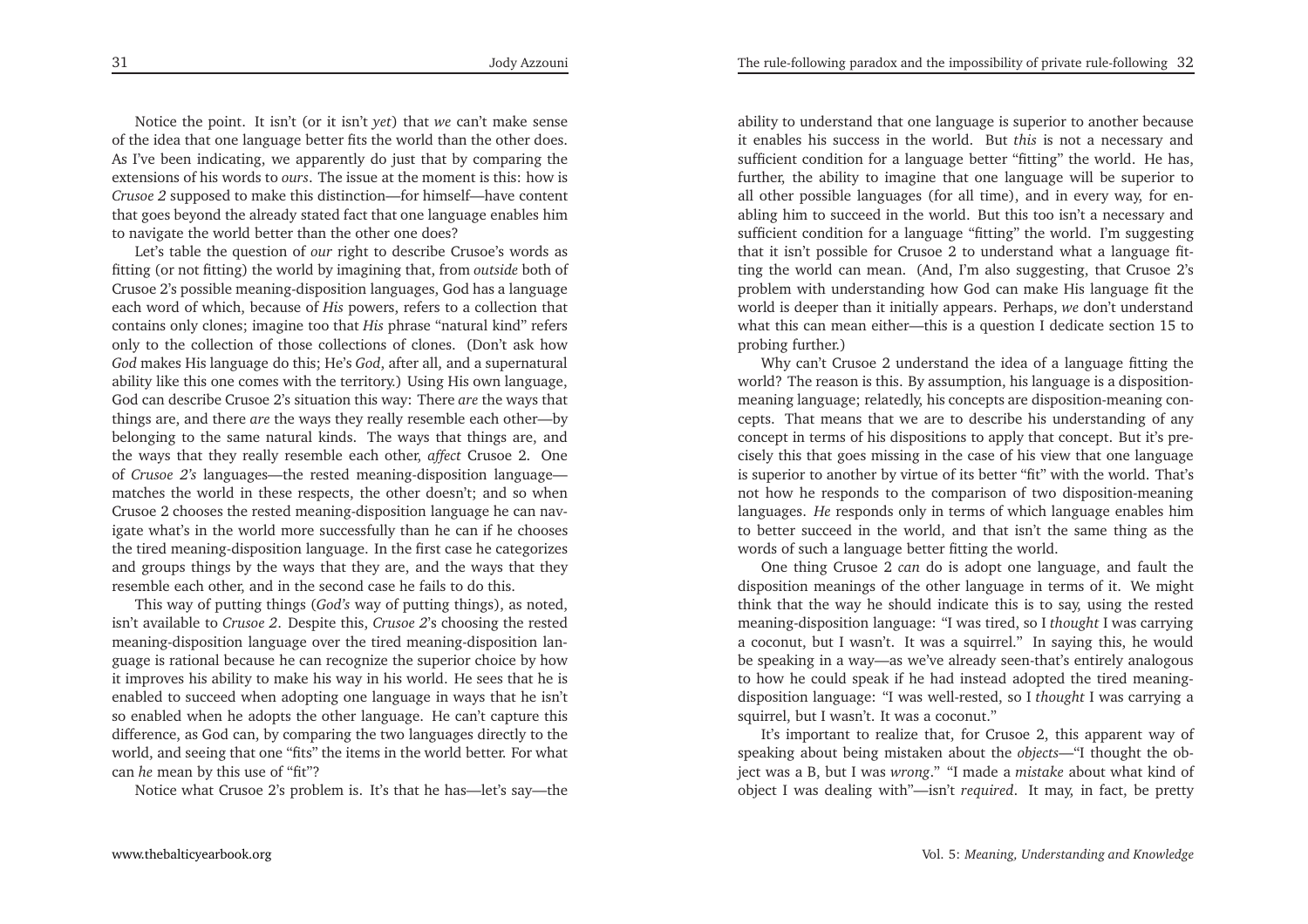Notice the point. It isn't (or it isn't *yet*) that *we* can't make sense of the idea that one language better fits the world than the other does. As I've been indicating, we apparently do just that by comparing the extensions of his words to *ours*. The issue at the moment is this: how is *Crusoe 2* supposed to make this distinction—for himself—have content that goes beyond the already stated fact that one language enables himto navigate the world better than the other one does?

 Let's table the question of *our* right to describe Crusoe's words as fitting (or not fitting) the world by imagining that, from *outside* both of Crusoe 2's possible meaning-disposition languages, God has <sup>a</sup> language each word of which, because of *His* powers, refers to <sup>a</sup> collection that contains only clones; imagine too that *His* <sup>p</sup>hrase "natural kind" refers only to the collection of those collections of clones. (Don't ask how *God* makes His language do this; He's *God*, after all, and <sup>a</sup> supernatural ability like this one comes with the territory.) Using His own language, God can describe Crusoe 2's situation this way: There *are* the ways that things are, and there *are* the ways they really resemble each other—by belonging to the same natural kinds. The ways that things are, and the ways that they really resemble each other, *affect* Crusoe 2. One of *Crusoe 2's* languages—the rested meaning-disposition language matches the world in these respects, the other doesn't; and so when Crusoe <sup>2</sup> chooses the rested meaning-disposition language he can navigate what's in the world more successfully than he can if he chooses the tired meaning-disposition language. In the first case he categorizes and groups things by the ways that they are, and the ways that theyresemble each other, and in the second case he fails to do this.

This way of putting things (*God's* way of putting things), as noted, isn't available to *Crusoe <sup>2</sup>*. Despite this, *Crusoe <sup>2</sup>*'s choosing the rested meaning-disposition language over the tired meaning-disposition language is rational because he can recognize the superior choice by how it improves his ability to make his way in his world. He sees that he is enabled to succeed when adopting one language in ways that he isn't so enabled when he adopts the other language. He can't capture this difference, as God can, by comparing the two languages directly to the world, and seeing that one "fits" the items in the world better. For whatcan *he* mean by this use of "fit"?

Notice what Crusoe 2's problem is. It's that he has—let's say—the

ability to understand that one language is superior to another because it enables his success in the world. But *this* is not <sup>a</sup> necessary and sufficient condition for <sup>a</sup> language better "fitting" the world. He has, further, the ability to imagine that one language will be superior to all other possible languages (for all time), and in every way, for enabling him to succeed in the world. But this too isn't <sup>a</sup> necessary and sufficient condition for <sup>a</sup> language "fitting" the world. I'm suggesting that it isn't possible for Crusoe <sup>2</sup> to understand what <sup>a</sup> language fitting the world can mean. (And, I'm also suggesting, that Crusoe 2's problem with understanding how God can make His language fit the world is deeper than it initially appears. Perhaps, *we* don't understand what this can mean either—this is <sup>a</sup> question <sup>I</sup> dedicate section <sup>15</sup> toprobing further.)

 Why can't Crusoe <sup>2</sup> understand the idea of <sup>a</sup> language fitting the world? The reason is this. By assumption, his language is <sup>a</sup> dispositionmeaning language; relatedly, his concepts are disposition-meaning concepts. That means that we are to describe his understanding of any concep<sup>t</sup> in terms of his dispositions to apply that concept. But it's precisely this that goes missing in the case of his view that one language is superior to another by virtue of its better "fit" with the world. That's not how he responds to the comparison of two disposition-meaning languages. *He* responds only in terms of which language enables him to better succeed in the world, and that isn't the same thing as thewords of such <sup>a</sup> language better fitting the world.

One thing Crusoe <sup>2</sup> *can* do is adopt one language, and fault the disposition meanings of the other language in terms of it. We might think that the way he should indicate this is to say, using the rested meaning-disposition language: "I was tired, so <sup>I</sup> *thought* <sup>I</sup> was carrying <sup>a</sup> coconut, but <sup>I</sup> wasn't. It was <sup>a</sup> squirrel." In saying this, he would be speaking in <sup>a</sup> way—as we've already seen-that's entirely analogous to how he could speak if he had instead adopted the tired meaningdisposition language: "I was well-rested, so <sup>I</sup> *thought* <sup>I</sup> was carrying <sup>a</sup>squirrel, but <sup>I</sup> wasn't. It was <sup>a</sup> coconut."

 It's important to realize that, for Crusoe 2, this apparen<sup>t</sup> way of speaking about being mistaken about the *objects*—"I thought the object was <sup>a</sup> B, but <sup>I</sup> was *wrong*." "I made <sup>a</sup> *mistake* about what kind of object <sup>I</sup> was dealing with"—isn't *required*. It may, in fact, be pretty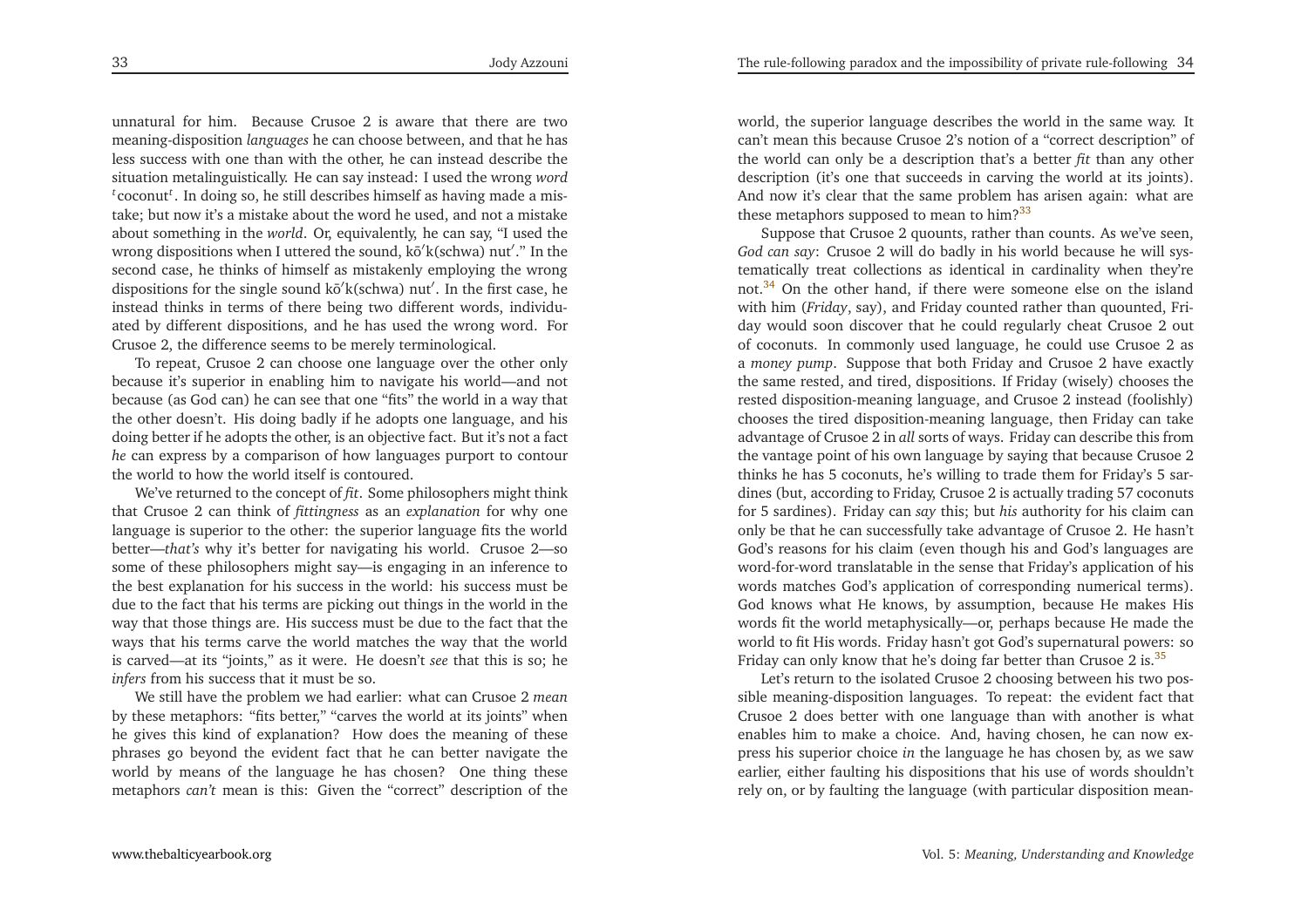unnatural for him. Because Crusoe <sup>2</sup> is aware that there are two meaning-disposition *languages* he can choose between, and that he has less success with one than with the other, he can instead describe the situation metalinguistically. He can say instead: <sup>I</sup> used the wrong *word* <sup>t</sup> coconut<sup>t</sup>. In doing so, he still describes himself as having made a mistake; but now it's <sup>a</sup> mistake about the word he used, and not <sup>a</sup> mistake about something in the *world*. Or, equivalently, he can say, "I used the wrong dispositions when I uttered the sound,  $k\bar{o}'k$ (schwa) nut'." In the second case, he thinks of himself as mistakenly employing the wrongdispositions for the single sound kō′k(schwa) nut $^\prime$ . In the first case, he instead thinks in terms of there being two different words, individuated by different dispositions, and he has used the wrong word. ForCrusoe 2, the difference seems to be merely terminological.

To repeat, Crusoe <sup>2</sup> can choose one language over the other only because it's superior in enabling him to navigate his world—and not because (as God can) he can see that one "fits" the world in <sup>a</sup> way that the other doesn't. His doing badly if he adopts one language, and his doing better if he adopts the other, is an objective fact. But it's not <sup>a</sup> fact *he* can express by <sup>a</sup> comparison of how languages purpor<sup>t</sup> to contour the world to how the world itself is contoured.

<span id="page-17-2"></span>We've returned to the concep<sup>t</sup> of *fit*. Some <sup>p</sup>hilosophers might think that Crusoe <sup>2</sup> can think of *fittingness* as an *explanation* for why one language is superior to the other: the superior language fits the world better—*that's* why it's better for navigating his world. Crusoe 2—so some of these <sup>p</sup>hilosophers might say—is engaging in an inference to the best explanation for his success in the world: his success must be due to the fact that his terms are <sup>p</sup>icking out things in the world in the way that those things are. His success must be due to the fact that the ways that his terms carve the world matches the way that the world is carved—at its "joints," as it were. He doesn't *see* that this is so; he*infers* from his success that it must be so.

We still have the problem we had earlier: what can Crusoe <sup>2</sup> *mean* by these metaphors: "fits better," "carves the world at its joints" when he <sup>g</sup>ives this kind of explanation? How does the meaning of these <sup>p</sup>hrases go beyond the evident fact that he can better navigate the world by means of the language he has chosen? One thing thesemetaphors *can't* mean is this: Given the "correct" description of the

<span id="page-17-1"></span>world, the superior language describes the world in the same way. It can't mean this because Crusoe 2's notion of <sup>a</sup> "correct description" of the world can only be <sup>a</sup> description that's <sup>a</sup> better *fit* than any other description (it's one that succeeds in carving the world at its joints). And now it's clear that the same problem has arisen again: what arethese metaphors supposed to mean to  $him?$ <sup>[33](#page-40-1)</sup>

<span id="page-17-0"></span>Suppose that Crusoe <sup>2</sup> quounts, rather than counts. As we've seen, *God can say*: Crusoe <sup>2</sup> will do badly in his world because he will systematically treat collections as identical in cardinality when they're not.[34](#page-40-2) On the other hand, if there were someone else on the island with him (*Friday*, say), and Friday counted rather than quounted, Friday would soon discover that he could regularly cheat Crusoe <sup>2</sup> out of coconuts. In commonly used language, he could use Crusoe <sup>2</sup> as a *money pump*. Suppose that both Friday and Crusoe <sup>2</sup> have exactly the same rested, and tired, dispositions. If Friday (wisely) chooses the rested disposition-meaning language, and Crusoe <sup>2</sup> instead (foolishly) chooses the tired disposition-meaning language, then Friday can take advantage of Crusoe <sup>2</sup> in *all* sorts of ways. Friday can describe this from the vantage point of his own language by saying that because Crusoe <sup>2</sup> thinks he has <sup>5</sup> coconuts, he's willing to trade them for Friday's <sup>5</sup> sardines (but, according to Friday, Crusoe <sup>2</sup> is actually trading <sup>57</sup> coconuts for <sup>5</sup> sardines). Friday can *say* this; but *his* authority for his claim can only be that he can successfully take advantage of Crusoe 2. He hasn't God's reasons for his claim (even though his and God's languages are word-for-word translatable in the sense that Friday's application of his words matches God's application of corresponding numerical terms). God knows what He knows, by assumption, because He makes His words fit the world metaphysically—or, perhaps because He made the world to fit His words. Friday hasn't go<sup>t</sup> God's supernatural powers: soFriday can only know that he's doing far better than Crusoe 2 is.<sup>[35](#page-40-3)</sup>

Let's return to the isolated Crusoe <sup>2</sup> choosing between his two possible meaning-disposition languages. To repeat: the evident fact that Crusoe <sup>2</sup> does better with one language than with another is what enables him to make <sup>a</sup> choice. And, having chosen, he can now ex press his superior choice *in* the language he has chosen by, as we saw earlier, either faulting his dispositions that his use of words shouldn'trely on, or by faulting the language (with particular disposition mean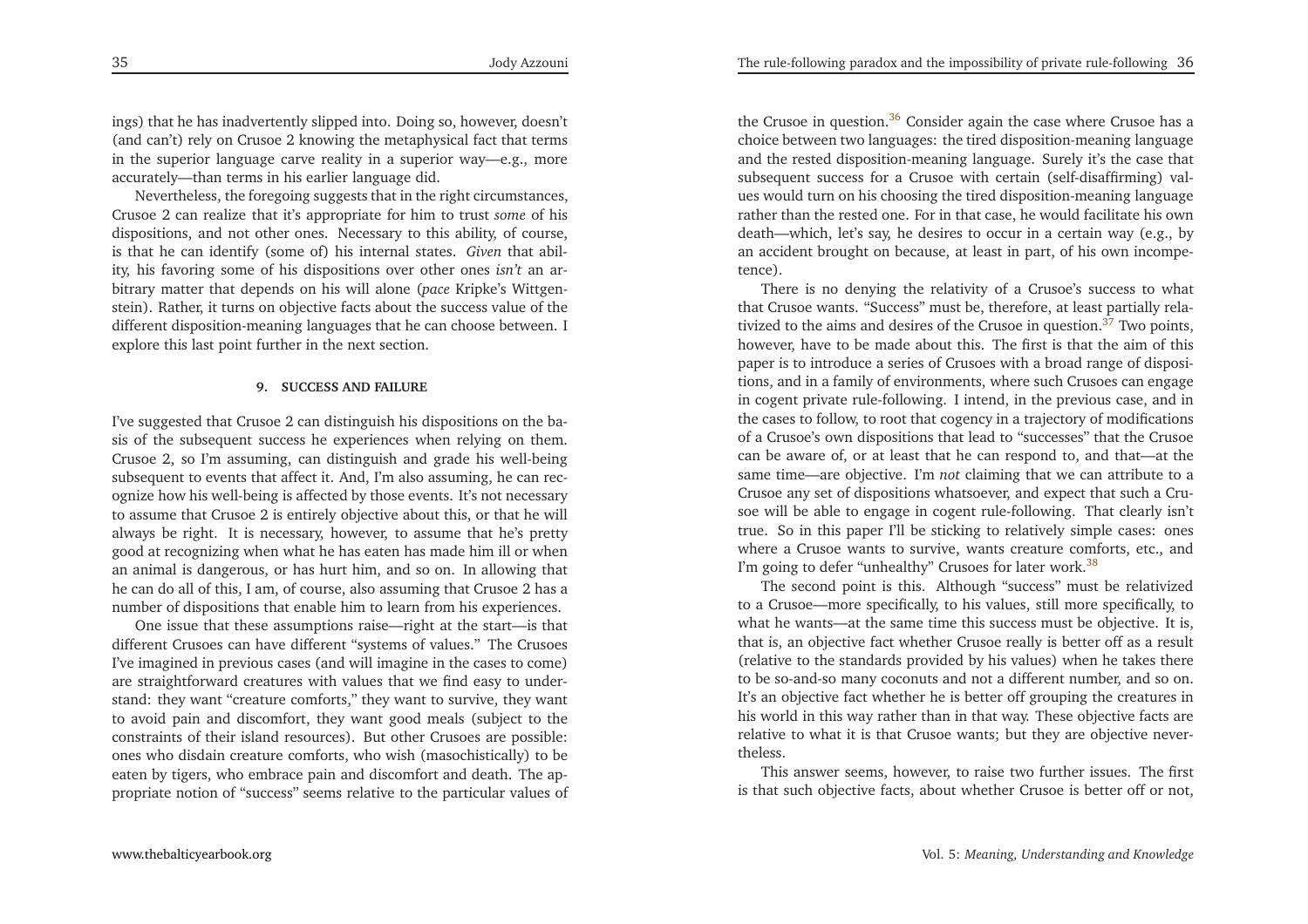ings) that he has inadvertently slipped into. Doing so, however, doesn't (and can't) rely on Crusoe <sup>2</sup> knowing the metaphysical fact that terms in the superior language carve reality in <sup>a</sup> superior way—e.g., moreaccurately—than terms in his earlier language did.

Nevertheless, the foregoing suggests that in the right circumstances, Crusoe <sup>2</sup> can realize that it's appropriate for him to trust *some* of his dispositions, and not other ones. Necessary to this ability, of course, is that he can identify (some of) his internal states. *Given* that ability, his favoring some of his dispositions over other ones *isn't* an arbitrary matter that depends on his will alone (*pace* Kripke's Wittgenstein). Rather, it turns on objective facts about the success value of the different disposition-meaning languages that he can choose between. <sup>I</sup>explore this last point further in the next section.

#### <span id="page-18-2"></span>**9. SUCCESS AND FAILURE**

I've suggested that Crusoe <sup>2</sup> can distinguish his dispositions on the basis of the subsequent success he experiences when relying on them. Crusoe 2, so I'm assuming, can distinguish and grade his well-being subsequent to events that affect it. And, I'm also assuming, he can recognize how his well-being is affected by those events. It's not necessary to assume that Crusoe <sup>2</sup> is entirely objective about this, or that he will always be right. It is necessary, however, to assume that he's pretty good at recognizing when what he has eaten has made him ill or when an animal is dangerous, or has hurt him, and so on. In allowing that he can do all of this, <sup>I</sup> am, of course, also assuming that Crusoe <sup>2</sup> has <sup>a</sup>number of dispositions that enable him to learn from his experiences.

One issue that these assumptions raise—right at the start—is that different Crusoes can have different "systems of values." The Crusoes I've imagined in previous cases (and will imagine in the cases to come) are straightforward creatures with values that we find easy to understand: they want "creature comforts," they want to survive, they want to avoid pain and discomfort, they want good meals (subject to the constraints of their island resources). But other Crusoes are possible: ones who disdain creature comforts, who wish (masochistically) to be eaten by tigers, who embrace pain and discomfort and death. The appropriate notion of "success" seems relative to the particular values of the Crusoe in question. $36$  Consider again the case where Crusoe has a choice between two languages: the tired disposition-meaning language and the rested disposition-meaning language. Surely it's the case that subsequent success for <sup>a</sup> Crusoe with certain (self-disaffirming) values would turn on his choosing the tired disposition-meaning language rather than the rested one. For in that case, he would facilitate his own death—which, let's say, he desires to occur in <sup>a</sup> certain way (e.g., by an accident brought on because, at least in part, of his own incompetence).

<span id="page-18-0"></span> There is no denying the relativity of <sup>a</sup> Crusoe's success to what that Crusoe wants. "Success" must be, therefore, at least partially relativized to the aims and desires of the Crusoe in question. $37$  Two points, however, have to be made about this. The first is that the aim of this paper is to introduce <sup>a</sup> series of Crusoes with <sup>a</sup> broad range of dispositions, and in <sup>a</sup> family of environments, where such Crusoes can engage in cogen<sup>t</sup> private rule-following. <sup>I</sup> intend, in the previous case, and in the cases to follow, to root that cogency in <sup>a</sup> trajectory of modifications of <sup>a</sup> Crusoe's own dispositions that lead to "successes" that the Crusoe can be aware of, or at least that he can respond to, and that—at the same time—are objective. I'm *not* claiming that we can attribute to <sup>a</sup> Crusoe any set of dispositions whatsoever, and expec<sup>t</sup> that such <sup>a</sup> Crusoe will be able to engage in cogen<sup>t</sup> rule-following. That clearly isn't true. So in this paper I'll be sticking to relatively simple cases: ones where <sup>a</sup> Crusoe wants to survive, wants creature comforts, etc., andI'm going to defer "unhealthy" Crusoes for later work.<sup>[38](#page-40-6)</sup>

<span id="page-18-1"></span>The second point is this. Although "success" must be relativized to <sup>a</sup> Crusoe—more specifically, to his values, still more specifically, to what he wants—at the same time this success must be objective. It is, that is, an objective fact whether Crusoe really is better off as <sup>a</sup> result (relative to the standards provided by his values) when he takes there to be so-and-so many coconuts and not <sup>a</sup> different number, and so on. It's an objective fact whether he is better off grouping the creatures in his world in this way rather than in that way. These objective facts are relative to what it is that Crusoe wants; but they are objective nevertheless.

 This answer seems, however, to raise two further issues. The first is that such objective facts, about whether Crusoe is better off or not,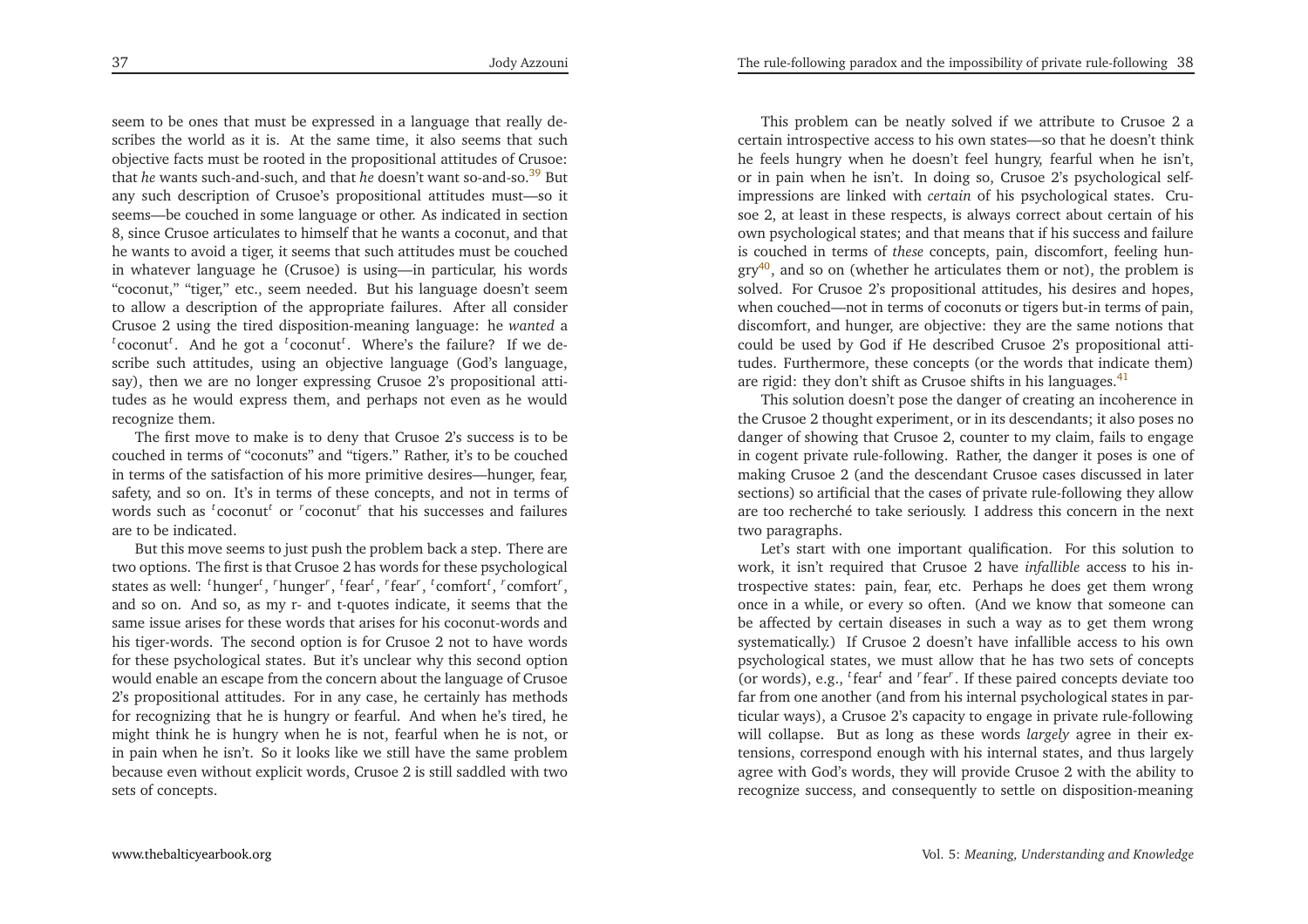seem to be ones that must be expressed in <sup>a</sup> language that really describes the world as it is. At the same time, it also seems that such objective facts must be rooted in the propositional attitudes of Crusoe: that *he* wants such-and-such, and that *he* doesn't want so-and-so.[39](#page-40-7) But any such description of Crusoe's propositional attitudes must—so it seems—be couched in some language or other. As indicated in section 8, since Crusoe articulates to himself that he wants <sup>a</sup> coconut, and that he wants to avoid <sup>a</sup> tiger, it seems that such attitudes must be couched in whatever language he (Crusoe) is using—in particular, his words "coconut," "tiger," etc., seem needed. But his language doesn't seem to allow <sup>a</sup> description of the appropriate failures. After all consider Crusoe <sup>2</sup> using the tired disposition-meaning language: he *wanted* <sup>a</sup> *<sup>t</sup>*coconut*t*. And he go<sup>t</sup> <sup>a</sup> *<sup>t</sup>*coconut*t*. Where's the failure? If we describe such attitudes, using an objective language (God's language, say), then we are no longer expressing Crusoe 2's propositional attitudes as he would express them, and perhaps not even as he wouldrecognize them.

The first move to make is to deny that Crusoe 2's success is to be couched in terms of "coconuts" and "tigers." Rather, it's to be couched in terms of the satisfaction of his more primitive desires—hunger, fear, safety, and so on. It's in terms of these concepts, and not in terms of words such as *<sup>t</sup>*coconut*<sup>t</sup>* or *<sup>r</sup>*coconut*<sup>r</sup>* that his successes and failures are to be indicated.

But this move seems to just push the problem back <sup>a</sup> step. There are two options. The first is that Crusoe <sup>2</sup> has words for these psychologicalstates as well: *<sup>t</sup>*hunger*<sup>t</sup>* , *<sup>r</sup>*hunger*<sup>r</sup>*, *<sup>t</sup>*fear*<sup>t</sup>* , *<sup>r</sup>*fear*<sup>r</sup>*, *<sup>t</sup>* comfort*<sup>t</sup>*, *<sup>r</sup>*comfort*<sup>r</sup>*, and so on. And so, as my r- and t-quotes indicate, it seems that the same issue arises for these words that arises for his coconut-words and his tiger-words. The second option is for Crusoe <sup>2</sup> not to have words for these psychological states. But it's unclear why this second option would enable an escape from the concern about the language of Crusoe 2's propositional attitudes. For in any case, he certainly has methods for recognizing that he is hungry or fearful. And when he's tired, he might think he is hungry when he is not, fearful when he is not, or in pain when he isn't. So it looks like we still have the same problem because even without explicit words, Crusoe <sup>2</sup> is still saddled with twosets of concepts.

<span id="page-19-1"></span>This problem can be neatly solved if we attribute to Crusoe <sup>2</sup> <sup>a</sup> certain introspective access to his own states—so that he doesn't think he feels hungry when he doesn't feel hungry, fearful when he isn't, or in pain when he isn't. In doing so, Crusoe 2's psychological selfimpressions are linked with *certain* of his psychological states. Crusoe 2, at least in these respects, is always correct about certain of his own psychological states; and that means that if his success and failure is couched in terms of *these* concepts, pain, discomfort, feeling hun- $gry^{40}$  $gry^{40}$  $gry^{40}$ , and so on (whether he articulates them or not), the problem is solved. For Crusoe 2's propositional attitudes, his desires and hopes, when couched—not in terms of coconuts or tigers but-in terms of pain, discomfort, and hunger, are objective: they are the same notions that could be used by God if He described Crusoe 2's propositional attitudes. Furthermore, these concepts (or the words that indicate them)are rigid: they don't shift as Crusoe shifts in his languages. $41$ 

<span id="page-19-2"></span>This solution doesn't pose the danger of creating an incoherence in the Crusoe <sup>2</sup> thought experiment, or in its descendants; it also poses no danger of showing that Crusoe 2, counter to my claim, fails to engage in cogen<sup>t</sup> private rule-following. Rather, the danger it poses is one of making Crusoe <sup>2</sup> (and the descendant Crusoe cases discussed in later sections) so artificial that the cases of private rule-following they allow are too recherché to take seriously. <sup>I</sup> address this concern in the nexttwo paragraphs.

<span id="page-19-0"></span>Let's start with one important qualification. For this solution to work, it isn't required that Crusoe <sup>2</sup> have *infallible* access to his introspective states: pain, fear, etc. Perhaps he does ge<sup>t</sup> them wrong once in <sup>a</sup> while, or every so often. (And we know that someone can be affected by certain diseases in such <sup>a</sup> way as to ge<sup>t</sup> them wrong systematically.) If Crusoe <sup>2</sup> doesn't have infallible access to his own psychological states, we must allow that he has two sets of concepts (or words), e.g., *<sup>t</sup>*fear*<sup>t</sup>* and *<sup>r</sup>*fear*<sup>r</sup>*. If these paired concepts deviate too far from one another (and from his internal psychological states in particular ways), <sup>a</sup> Crusoe 2's capacity to engage in private rule-following will collapse. But as long as these words *largely* agree in their extensions, correspond enough with his internal states, and thus largely agree with God's words, they will provide Crusoe <sup>2</sup> with the ability torecognize success, and consequently to settle on disposition-meaning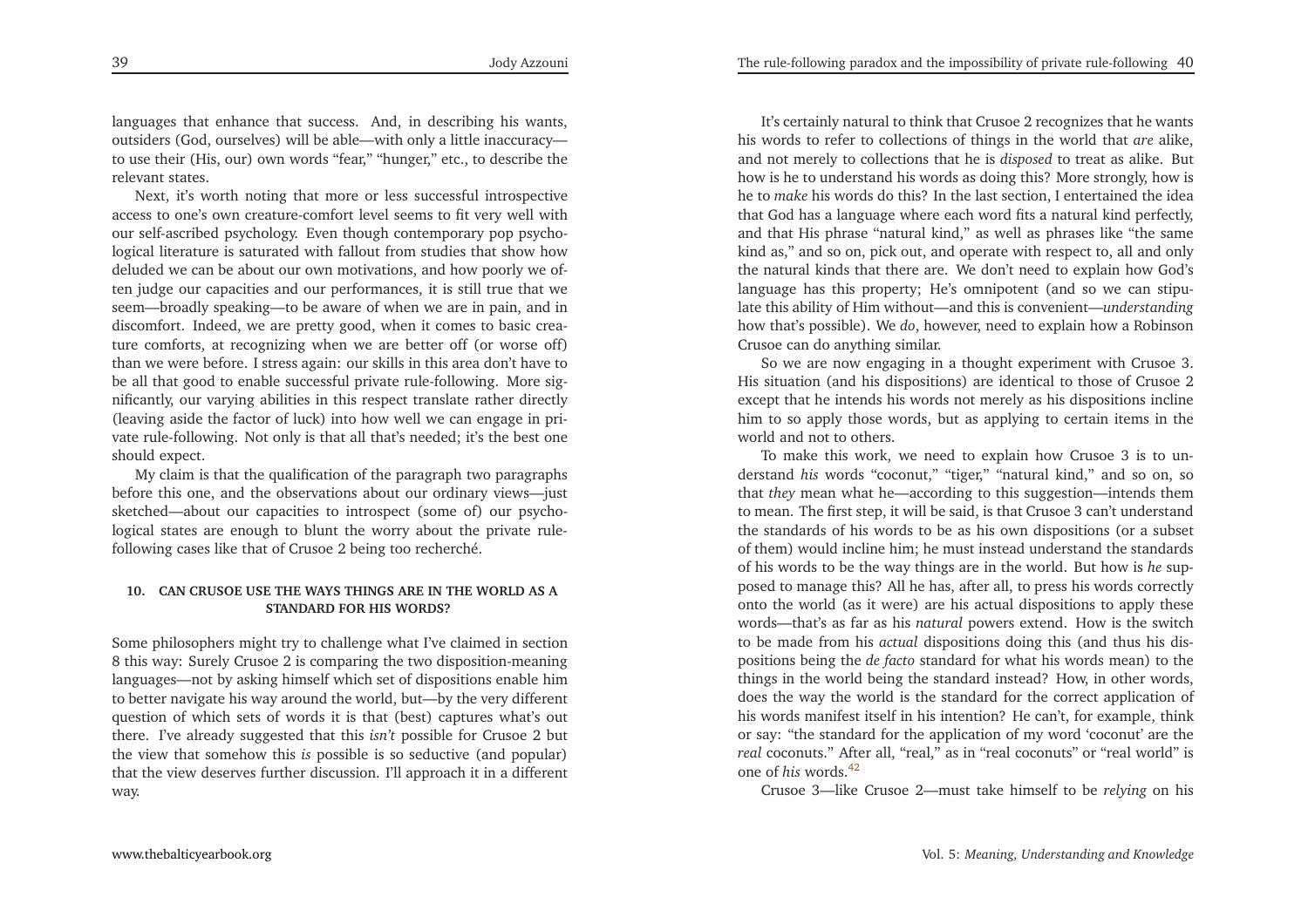languages that enhance that success. And, in describing his wants, outsiders (God, ourselves) will be able—with only <sup>a</sup> little inaccuracy to use their (His, our) own words "fear," "hunger," etc., to describe therelevant states.

<span id="page-20-0"></span>Next, it's worth noting that more or less successful introspective access to one's own creature-comfort level seems to fit very well with our self-ascribed psychology. Even though contemporary pop psychological literature is saturated with fallout from studies that show how deluded we can be about our own motivations, and how poorly we often judge our capacities and our performances, it is still true that we seem—broadly speaking—to be aware of when we are in pain, and in discomfort. Indeed, we are pretty good, when it comes to basic creature comforts, at recognizing when we are better off (or worse off) than we were before. <sup>I</sup> stress again: our skills in this area don't have to be all that good to enable successful private rule-following. More significantly, our varying abilities in this respec<sup>t</sup> translate rather directly (leaving aside the factor of luck) into how well we can engage in private rule-following. Not only is that all that's needed; it's the best oneshould expect.

My claim is that the qualification of the paragraph two paragraphs before this one, and the observations about our ordinary views—just sketched—about our capacities to introspect (some of) our psychological states are enough to blunt the worry about the private rulefollowing cases like that of Crusoe <sup>2</sup> being too recherché.

## 10. CAN CRUSOE USE THE WAYS THINGS ARE IN THE WORLD AS A **STANDARD FOR HIS WORDS?**

Some <sup>p</sup>hilosophers might try to challenge what I've claimed in section <sup>8</sup> this way: Surely Crusoe <sup>2</sup> is comparing the two disposition-meaning languages—not by asking himself which set of dispositions enable him to better navigate his way around the world, but—by the very different question of which sets of words it is that (best) captures what's out there. I've already suggested that this *isn't* possible for Crusoe <sup>2</sup> but the view that somehow this *is* possible is so seductive (and popular) that the view deserves further discussion. I'll approach it in <sup>a</sup> different way.

It's certainly natural to think that Crusoe <sup>2</sup> recognizes that he wants his words to refer to collections of things in the world that *are* alike, and not merely to collections that he is *disposed* to treat as alike. But how is he to understand his words as doing this? More strongly, how is he to *make* his words do this? In the last section, <sup>I</sup> entertained the idea that God has <sup>a</sup> language where each word fits <sup>a</sup> natural kind perfectly, and that His <sup>p</sup>hrase "natural kind," as well as <sup>p</sup>hrases like "the same kind as," and so on, <sup>p</sup>ick out, and operate with respec<sup>t</sup> to, all and only the natural kinds that there are. We don't need to explain how God's language has this property; He's omnipotent (and so we can stipulate this ability of Him without—and this is convenient—*understanding* how that's possible). We *do*, however, need to explain how <sup>a</sup> RobinsonCrusoe can do anything similar.

So we are now engaging in <sup>a</sup> thought experiment with Crusoe 3. His situation (and his dispositions) are identical to those of Crusoe <sup>2</sup> excep<sup>t</sup> that he intends his words not merely as his dispositions incline him to so apply those words, but as applying to certain items in theworld and not to others.

To make this work, we need to explain how Crusoe <sup>3</sup> is to understand *his* words "coconut," "tiger," "natural kind," and so on, so that *they* mean what he—according to this suggestion—intends them to mean. The first step, it will be said, is that Crusoe <sup>3</sup> can't understand the standards of his words to be as his own dispositions (or <sup>a</sup> subset of them) would incline him; he must instead understand the standards of his words to be the way things are in the world. But how is *he* supposed to manage this? All he has, after all, to press his words correctly onto the world (as it were) are his actual dispositions to apply these words—that's as far as his *natural* powers extend. How is the switch to be made from his *actual* dispositions doing this (and thus his dispositions being the *de facto* standard for what his words mean) to the things in the world being the standard instead? How, in other words, does the way the world is the standard for the correct application ofhis words manifest itself in his intention? He can't, for example, think or say: "the standard for the application of my word 'coconut' are the *real* coconuts." After all, "real," as in "real coconuts" or "real world" isone of *his* words.[42](#page-40-10)

Crusoe 3—like Crusoe 2—must take himself to be *relying* on his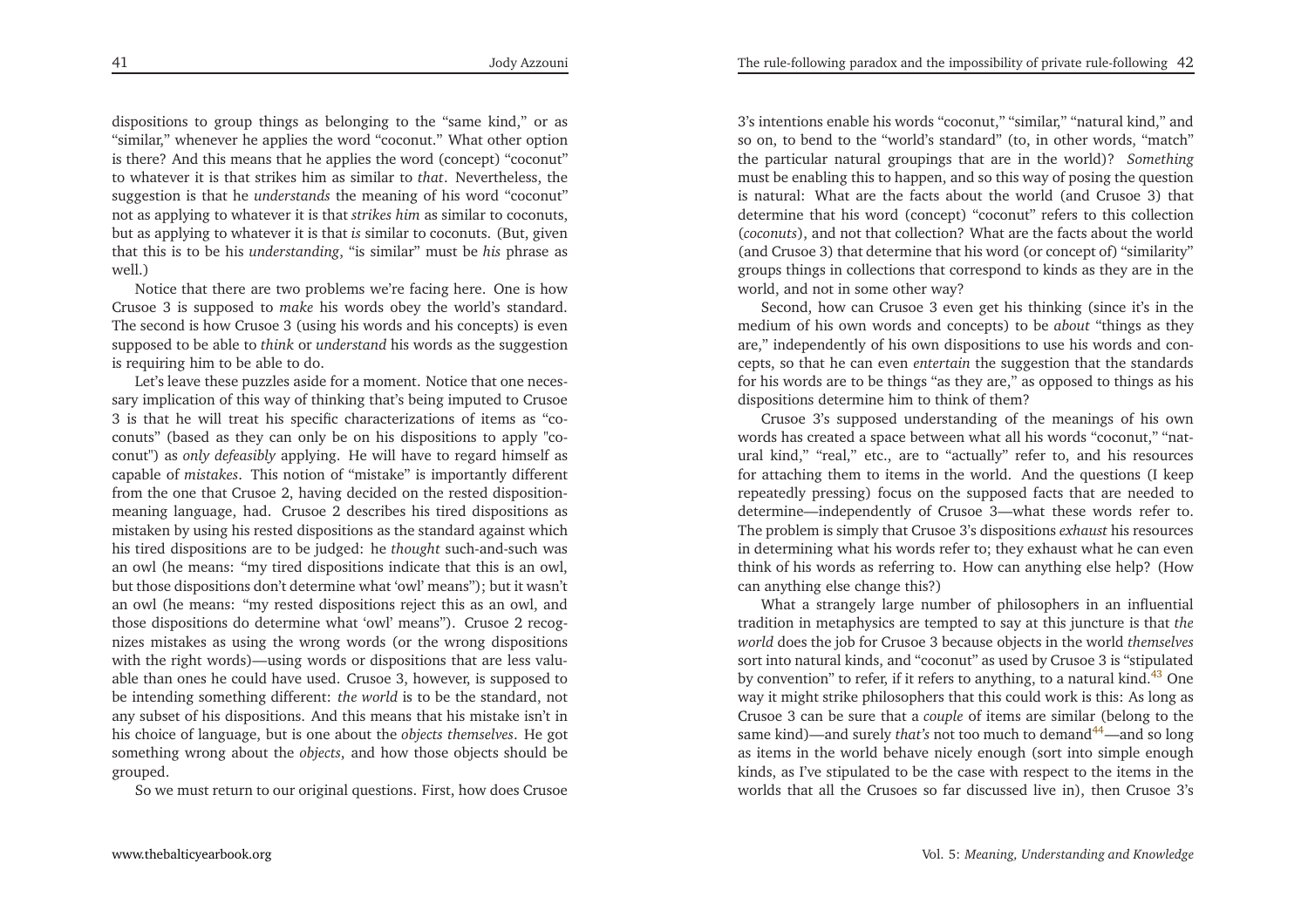41

dispositions to group things as belonging to the "same kind," or as "similar," whenever he applies the word "coconut." What other option is there? And this means that he applies the word (concept) "coconut" to whatever it is that strikes him as similar to *that*. Nevertheless, the suggestion is that he *understands* the meaning of his word "coconut" not as applying to whatever it is that *strikes him* as similar to coconuts, but as applying to whatever it is that *is* similar to coconuts. (But, <sup>g</sup>iven that this is to be his *understanding*, "is similar" must be *his* <sup>p</sup>hrase as well.)

 Notice that there are two problems we're facing here. One is how Crusoe <sup>3</sup> is supposed to *make* his words obey the world's standard. The second is how Crusoe <sup>3</sup> (using his words and his concepts) is even supposed to be able to *think* or *understand* his words as the suggestionis requiring him to be able to do.

<span id="page-21-1"></span><span id="page-21-0"></span>Let's leave these puzzles aside for <sup>a</sup> moment. Notice that one necessary implication of this way of thinking that's being imputed to Crusoe <sup>3</sup> is that he will treat his specific characterizations of items as "coconuts" (based as they can only be on his dispositions to apply "coconut") as *only defeasibly* applying. He will have to regard himself as capable of *mistakes*. This notion of "mistake" is importantly different from the one that Crusoe 2, having decided on the rested dispositionmeaning language, had. Crusoe <sup>2</sup> describes his tired dispositions as mistaken by using his rested dispositions as the standard against which his tired dispositions are to be judged: he *thought* such-and-such was an owl (he means: "my tired dispositions indicate that this is an owl, but those dispositions don't determine what 'owl' means"); but it wasn't an owl (he means: "my rested dispositions reject this as an owl, and those dispositions do determine what 'owl' means"). Crusoe <sup>2</sup> recognizes mistakes as using the wrong words (or the wrong dispositions with the right words)—using words or dispositions that are less valuable than ones he could have used. Crusoe 3, however, is supposed to be intending something different: *the world* is to be the standard, not any subset of his dispositions. And this means that his mistake isn't in his choice of language, but is one about the *objects themselves*. He go<sup>t</sup> something wrong about the *objects*, and how those objects should be grouped.

So we must return to our original questions. First, how does Crusoe

3's intentions enable his words "coconut," "similar," "natural kind," and so on, to bend to the "world's standard" (to, in other words, "match" the particular natural groupings that are in the world)? *Something* must be enabling this to happen, and so this way of posing the question is natural: What are the facts about the world (and Crusoe 3) that determine that his word (concept) "coconut" refers to this collection (*coconuts*), and not that collection? What are the facts about the world (and Crusoe 3) that determine that his word (or concep<sup>t</sup> of) "similarity" groups things in collections that correspond to kinds as they are in theworld, and not in some other way?

 Second, how can Crusoe <sup>3</sup> even ge<sup>t</sup> his thinking (since it's in the medium of his own words and concepts) to be *about* "things as they are," independently of his own dispositions to use his words and concepts, so that he can even *entertain* the suggestion that the standards for his words are to be things "as they are," as opposed to things as hisdispositions determine him to think of them?

 Crusoe 3's supposed understanding of the meanings of his own words has created <sup>a</sup> space between what all his words "coconut," "natural kind," "real," etc., are to "actually" refer to, and his resources for attaching them to items in the world. And the questions (I keep repeatedly pressing) focus on the supposed facts that are needed to determine—independently of Crusoe 3—what these words refer to. The problem is simply that Crusoe 3's dispositions *exhaust* his resources in determining what his words refer to; they exhaust what he can even think of his words as referring to. How can anything else help? (Howcan anything else change this?)

 What <sup>a</sup> strangely large number of <sup>p</sup>hilosophers in an influential tradition in metaphysics are tempted to say at this juncture is that *the world* does the job for Crusoe <sup>3</sup> because objects in the world *themselves* sort into natural kinds, and "coconut" as used by Crusoe <sup>3</sup> is "stipulatedby convention" to refer, if it refers to anything, to a natural kind.<sup>[43](#page-40-11)</sup> One way it might strike <sup>p</sup>hilosophers that this could work is this: As long as Crusoe <sup>3</sup> can be sure that <sup>a</sup> *couple* of items are similar (belong to the same kind)—and surely *that's* not too much to demand<sup>[44](#page-40-12)</sup>—and so long as items in the world behave nicely enough (sort into simple enough kinds, as I've stipulated to be the case with respec<sup>t</sup> to the items in theworlds that all the Crusoes so far discussed live in), then Crusoe 3's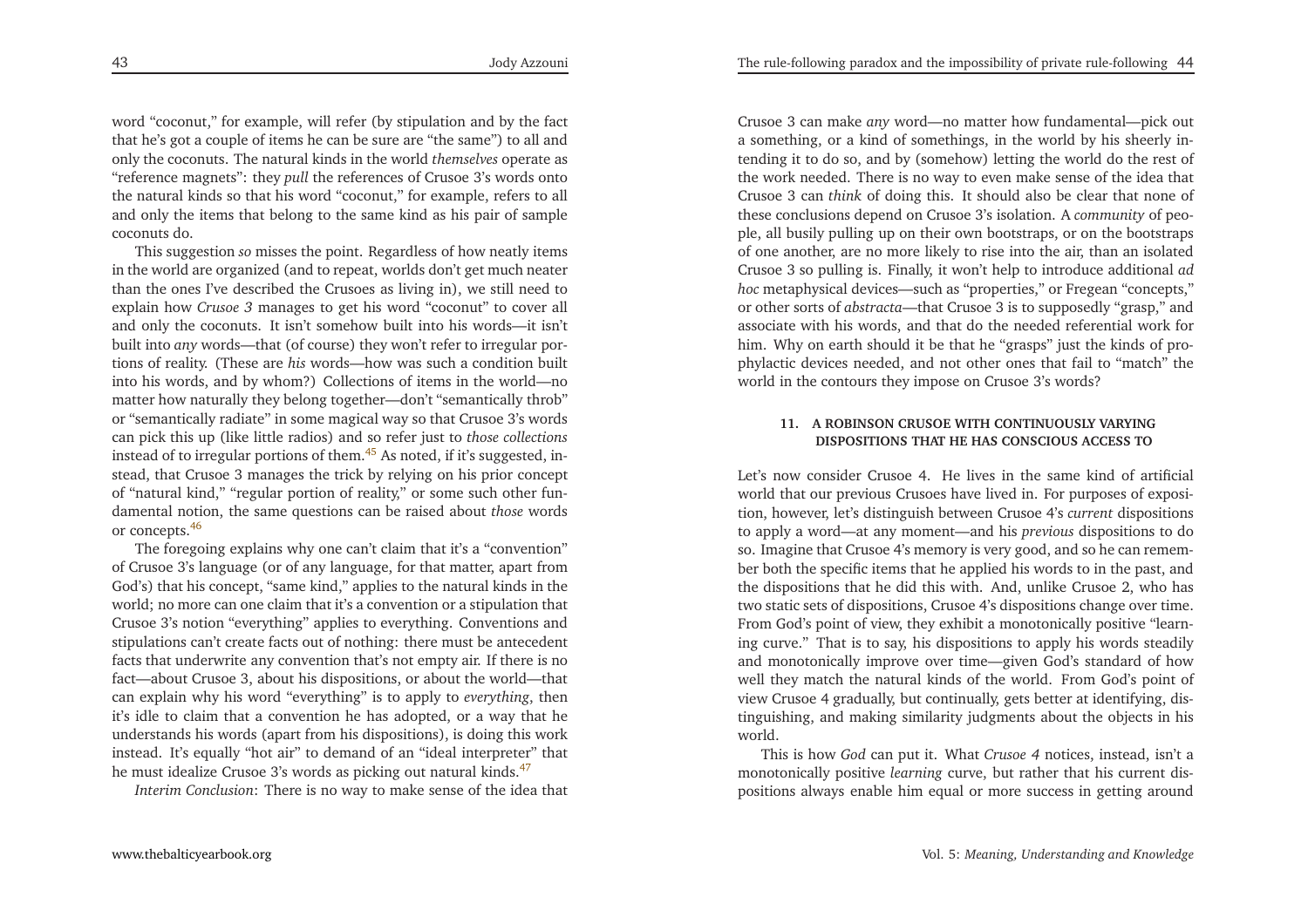word "coconut," for example, will refer (by stipulation and by the fact that he's go<sup>t</sup> <sup>a</sup> couple of items he can be sure are "the same") to all and only the coconuts. The natural kinds in the world *themselves* operate as "reference magnets": they *pull* the references of Crusoe 3's words onto the natural kinds so that his word "coconut," for example, refers to alland only the items that belong to the same kind as his pair of samplecoconuts do.

<span id="page-22-1"></span>This suggestion *so* misses the point. Regardless of how neatly items in the world are organized (and to repeat, worlds don't ge<sup>t</sup> much neater than the ones I've described the Crusoes as living in), we still need to explain how *Crusoe <sup>3</sup>* manages to ge<sup>t</sup> his word "coconut" to cover all and only the coconuts. It isn't somehow built into his words—it isn't built into *any* words—that (of course) they won't refer to irregular portions of reality. (These are *his* words—how was such <sup>a</sup> condition built into his words, and by whom?) Collections of items in the world—no matter how naturally they belong together—don't "semantically throb" or "semantically radiate" in some magical way so that Crusoe 3's words can <sup>p</sup>ick this up (like little radios) and so refer just to *those collections* instead of to irregular portions of them.<sup>[45](#page-40-13)</sup> As noted, if it's suggested, instead, that Crusoe <sup>3</sup> manages the trick by relying on his prior concep<sup>t</sup> of "natural kind," "regular portion of reality," or some such other fundamental notion, the same questions can be raised about *those* words or concepts.[46](#page-40-14)

<span id="page-22-2"></span>The foregoing explains why one can't claim that it's <sup>a</sup> "convention" of Crusoe 3's language (or of any language, for that matter, apar<sup>t</sup> from God's) that his concept, "same kind," applies to the natural kinds in the world; no more can one claim that it's <sup>a</sup> convention or <sup>a</sup> stipulation that Crusoe 3's notion "everything" applies to everything. Conventions and stipulations can't create facts out of nothing: there must be antecedent facts that underwrite any convention that's not empty air. If there is no fact—about Crusoe 3, about his dispositions, or about the world—that can explain why his word "everything" is to apply to *everything*, then it's idle to claim that <sup>a</sup> convention he has adopted, or <sup>a</sup> way that he understands his words (apart from his dispositions), is doing this work instead. It's equally "hot air" to demand of an "ideal interpreter" thathe must idealize Crusoe 3's words as picking out natural kinds.<sup>[47](#page-40-15)</sup>

*Interim Conclusion*: There is no way to make sense of the idea that

Crusoe <sup>3</sup> can make *any* word—no matter how fundamental—pick out <sup>a</sup> something, or <sup>a</sup> kind of somethings, in the world by his sheerly intending it to do so, and by (somehow) letting the world do the rest of the work needed. There is no way to even make sense of the idea that Crusoe 3 can *think* of doing this. It should also be clear that none of these conclusions depend on Crusoe 3's isolation. <sup>A</sup> *community* of peo<sup>p</sup>le, all busily pulling up on their own bootstraps, or on the bootstraps of one another, are no more likely to rise into the air, than an isolated Crusoe <sup>3</sup> so pulling is. Finally, it won't help to introduce additional *ad hoc* metaphysical devices—such as "properties," or Fregean "concepts," or other sorts of *abstracta*—that Crusoe <sup>3</sup> is to supposedly "grasp," and associate with his words, and that do the needed referential work for him. Why on earth should it be that he "grasps" just the kinds of pro<sup>p</sup>hylactic devices needed, and not other ones that fail to "match" theworld in the contours they impose on Crusoe 3's words?

## **11. <sup>A</sup> ROBINSON CRUSOE WITH CONTINUOUSLY VARYINGDISPOSITIONS THAT HE HAS CONSCIOUS ACCESS TO**

<span id="page-22-0"></span>Let's now consider Crusoe 4. He lives in the same kind of artificial world that our previous Crusoes have lived in. For purposes of exposition, however, let's distinguish between Crusoe 4's *current* dispositions to apply <sup>a</sup> word—at any moment—and his *previous* dispositions to do so. Imagine that Crusoe 4's memory is very good, and so he can remember both the specific items that he applied his words to in the past, and the dispositions that he did this with. And, unlike Crusoe 2, who has two static sets of dispositions, Crusoe 4's dispositions change over time. From God's point of view, they exhibit <sup>a</sup> monotonically positive "learning curve." That is to say, his dispositions to apply his words steadily and monotonically improve over time—given God's standard of how well they match the natural kinds of the world. From God's point of view Crusoe <sup>4</sup> gradually, but continually, gets better at identifying, distinguishing, and making similarity judgments about the objects in hisworld.

This is how *God* can pu<sup>t</sup> it. What *Crusoe <sup>4</sup>* notices, instead, isn't <sup>a</sup> monotonically positive *learning* curve, but rather that his current dispositions always enable him equal or more success in getting around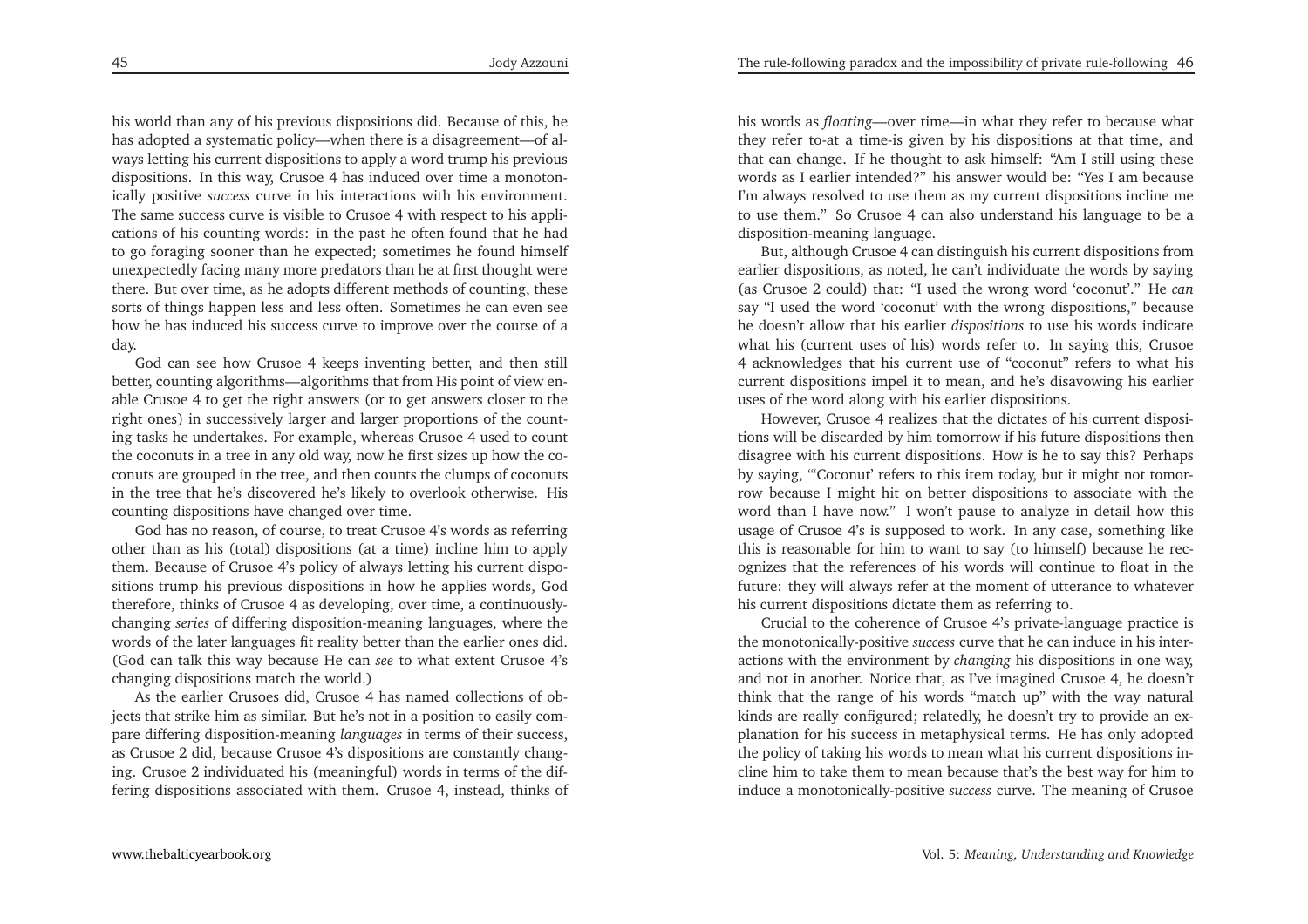45

his world than any of his previous dispositions did. Because of this, he has adopted <sup>a</sup> systematic policy—when there is <sup>a</sup> disagreement—of always letting his current dispositions to apply <sup>a</sup> word trump his previous dispositions. In this way, Crusoe 4 has induced over time <sup>a</sup> monotonically positive *success* curve in his interactions with his environment. The same success curve is visible to Crusoe 4 with respec<sup>t</sup> to his applications of his counting words: in the pas<sup>t</sup> he often found that he had to go foraging sooner than he expected; sometimes he found himself unexpectedly facing many more predators than he at first thought were there. But over time, as he adopts different methods of counting, these sorts of things happen less and less often. Sometimes he can even see how he has induced his success curve to improve over the course of <sup>a</sup>day.

 God can see how Crusoe 4 keeps inventing better, and then still better, counting algorithms—algorithms that from His point of view enable Crusoe 4 to ge<sup>t</sup> the right answers (or to ge<sup>t</sup> answers closer to the right ones) in successively larger and larger proportions of the counting tasks he undertakes. For example, whereas Crusoe 4 used to count the coconuts in <sup>a</sup> tree in any old way, now he first sizes up how the coconuts are grouped in the tree, and then counts the clumps of coconuts in the tree that he's discovered he's likely to overlook otherwise. Hiscounting dispositions have changed over time.

God has no reason, of course, to treat Crusoe 4's words as referring other than as his (total) dispositions (at <sup>a</sup> time) incline him to apply them. Because of Crusoe 4's policy of always letting his current dispositions trump his previous dispositions in how he applies words, God therefore, thinks of Crusoe <sup>4</sup> as developing, over time, <sup>a</sup> continuouslychanging *series* of differing disposition-meaning languages, where the words of the later languages fit reality better than the earlier ones did. (God can talk this way because He can *see* to what extent Crusoe 4's changing dispositions match the world.)

 As the earlier Crusoes did, Crusoe <sup>4</sup> has named collections of objects that strike him as similar. But he's not in <sup>a</sup> position to easily compare differing disposition-meaning *languages* in terms of their success, as Crusoe <sup>2</sup> did, because Crusoe 4's dispositions are constantly changing. Crusoe <sup>2</sup> individuated his (meaningful) words in terms of the differing dispositions associated with them. Crusoe 4, instead, thinks of

his words as *floating*—over time—in what they refer to because what they refer to-at <sup>a</sup> time-is <sup>g</sup>iven by his dispositions at that time, and that can change. If he thought to ask himself: "Am <sup>I</sup> still using these words as <sup>I</sup> earlier intended?" his answer would be: "Yes <sup>I</sup> am because I'm always resolved to use them as my current dispositions incline me to use them." So Crusoe 4 can also understand his language to be <sup>a</sup>disposition-meaning language.

But, although Crusoe <sup>4</sup> can distinguish his current dispositions from earlier dispositions, as noted, he can't individuate the words by saying (as Crusoe <sup>2</sup> could) that: "I used the wrong word 'coconut'." He *can* say "I used the word 'coconut' with the wrong dispositions," because he doesn't allow that his earlier *dispositions* to use his words indicate what his (current uses of his) words refer to. In saying this, Crusoe <sup>4</sup> acknowledges that his current use of "coconut" refers to what his current dispositions impel it to mean, and he's disavowing his earlieruses of the word along with his earlier dispositions.

However, Crusoe <sup>4</sup> realizes that the dictates of his current dispositions will be discarded by him tomorrow if his future dispositions then disagree with his current dispositions. How is he to say this? Perhaps by saying, "'Coconut' refers to this item today, but it might not tomorrow because <sup>I</sup> might hit on better dispositions to associate with the word than <sup>I</sup> have now." <sup>I</sup> won't pause to analyze in detail how this usage of Crusoe 4's is supposed to work. In any case, something like this is reasonable for him to want to say (to himself) because he recognizes that the references of his words will continue to float in the future: they will always refer at the moment of utterance to whateverhis current dispositions dictate them as referring to.

Crucial to the coherence of Crusoe 4's private-language practice is the monotonically-positive *success* curve that he can induce in his interactions with the environment by *changing* his dispositions in one way, and not in another. Notice that, as I've imagined Crusoe 4, he doesn't think that the range of his words "match up" with the way natural kinds are really configured; relatedly, he doesn't try to provide an ex<sup>p</sup>lanation for his success in metaphysical terms. He has only adopted the policy of taking his words to mean what his current dispositions incline him to take them to mean because that's the best way for him toinduce <sup>a</sup> monotonically-positive *success* curve. The meaning of Crusoe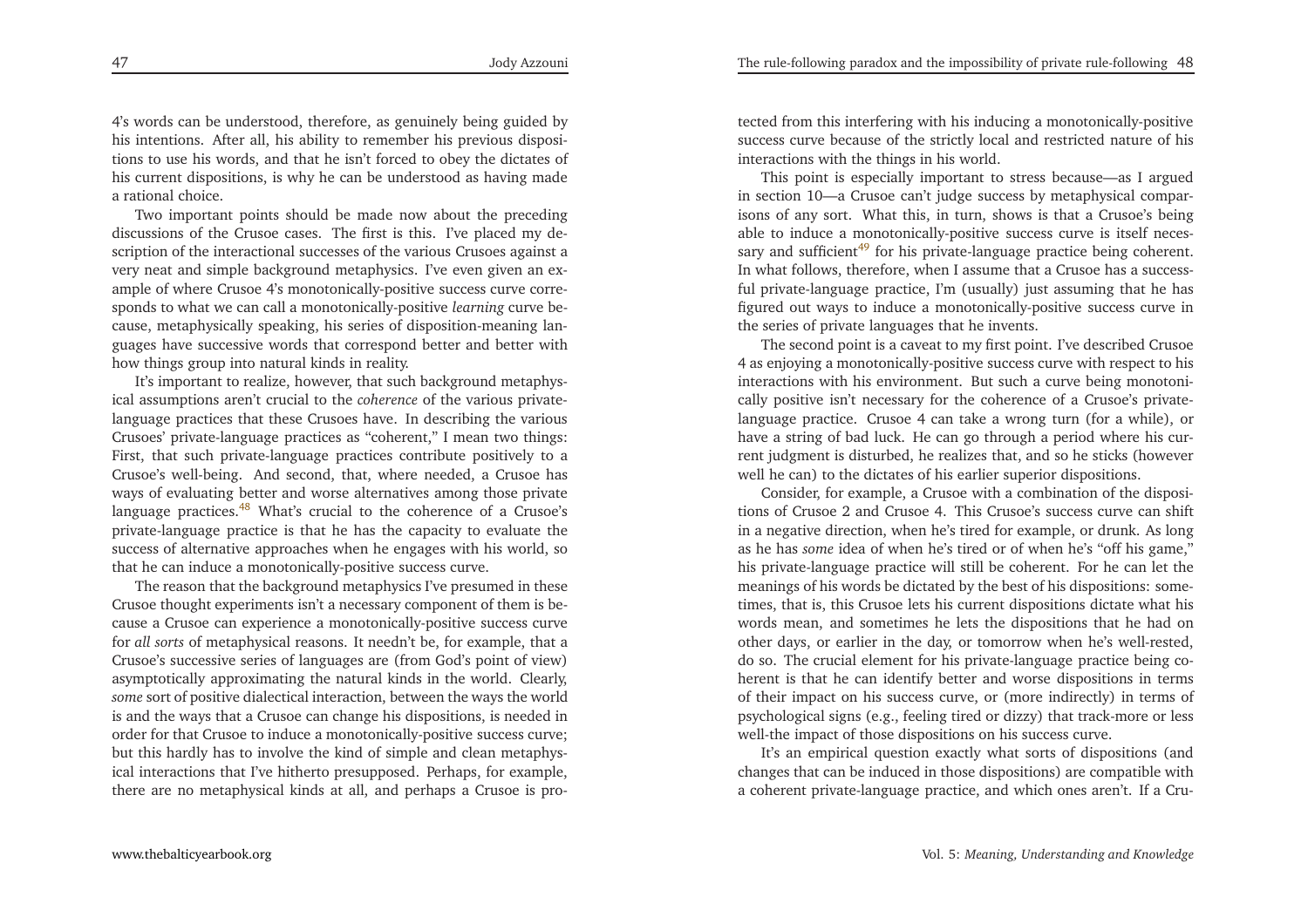4's words can be understood, therefore, as genuinely being guided by his intentions. After all, his ability to remember his previous dispositions to use his words, and that he isn't forced to obey the dictates of his current dispositions, is why he can be understood as having made<sup>a</sup> rational choice.

<span id="page-24-0"></span>Two important points should be made now about the preceding discussions of the Crusoe cases. The first is this. I've <sup>p</sup>laced my description of the interactional successes of the various Crusoes against <sup>a</sup> very neat and simple background metaphysics. I've even <sup>g</sup>iven an example of where Crusoe 4's monotonically-positive success curve corresponds to what we can call <sup>a</sup> monotonically-positive *learning* curve because, metaphysically speaking, his series of disposition-meaning languages have successive words that correspond better and better withhow things group into natural kinds in reality.

It's important to realize, however, that such background metaphysical assumptions aren't crucial to the *coherence* of the various privatelanguage practices that these Crusoes have. In describing the various Crusoes' private-language practices as "coherent," <sup>I</sup> mean two things: First, that such private-language practices contribute positively to <sup>a</sup> Crusoe's well-being. And second, that, where needed, <sup>a</sup> Crusoe has ways of evaluating better and worse alternatives among those privatelanguage practices.<sup>[48](#page-40-16)</sup> What's crucial to the coherence of a Crusoe's private-language practice is that he has the capacity to evaluate the success of alternative approaches when he engages with his world, sothat he can induce <sup>a</sup> monotonically-positive success curve.

The reason that the background metaphysics I've presumed in these Crusoe thought experiments isn't <sup>a</sup> necessary componen<sup>t</sup> of them is because <sup>a</sup> Crusoe can experience <sup>a</sup> monotonically-positive success curve for *all sorts* of metaphysical reasons. It needn't be, for example, that <sup>a</sup> Crusoe's successive series of languages are (from God's point of view) asymptotically approximating the natural kinds in the world. Clearly, *some* sort of positive dialectical interaction, between the ways the world is and the ways that <sup>a</sup> Crusoe can change his dispositions, is needed in order for that Crusoe to induce <sup>a</sup> monotonically-positive success curve; but this hardly has to involve the kind of simple and clean metaphysical interactions that I've hitherto presupposed. Perhaps, for example, there are no metaphysical kinds at all, and perhaps <sup>a</sup> Crusoe is protected from this interfering with his inducing <sup>a</sup> monotonically-positive success curve because of the strictly local and restricted nature of hisinteractions with the things in his world.

<span id="page-24-1"></span>This point is especially important to stress because—as <sup>I</sup> argued in section 10—a Crusoe can't judge success by metaphysical comparisons of any sort. What this, in turn, shows is that <sup>a</sup> Crusoe's being able to induce <sup>a</sup> monotonically-positive success curve is itself neces-sary and sufficient<sup>[49](#page-40-17)</sup> for his private-language practice being coherent. In what follows, therefore, when <sup>I</sup> assume that <sup>a</sup> Crusoe has <sup>a</sup> successful private-language practice, I'm (usually) just assuming that he has figured out ways to induce <sup>a</sup> monotonically-positive success curve inthe series of private languages that he invents.

The second point is <sup>a</sup> caveat to my first point. I've described Crusoe 4 as enjoying <sup>a</sup> monotonically-positive success curve with respec<sup>t</sup> to his interactions with his environment. But such <sup>a</sup> curve being monotonically positive isn't necessary for the coherence of <sup>a</sup> Crusoe's privatelanguage practice. Crusoe <sup>4</sup> can take <sup>a</sup> wrong turn (for <sup>a</sup> while), or have <sup>a</sup> string of bad luck. He can go through <sup>a</sup> period where his current judgment is disturbed, he realizes that, and so he sticks (howeverwell he can) to the dictates of his earlier superior dispositions.

Consider, for example, <sup>a</sup> Crusoe with <sup>a</sup> combination of the dispositions of Crusoe <sup>2</sup> and Crusoe 4. This Crusoe's success curve can shift in <sup>a</sup> negative direction, when he's tired for example, or drunk. As long as he has *some* idea of when he's tired or of when he's "off his game," his private-language practice will still be coherent. For he can let the meanings of his words be dictated by the best of his dispositions: sometimes, that is, this Crusoe lets his current dispositions dictate what his words mean, and sometimes he lets the dispositions that he had on other days, or earlier in the day, or tomorrow when he's well-rested, do so. The crucial element for his private-language practice being coherent is that he can identify better and worse dispositions in terms of their impact on his success curve, or (more indirectly) in terms of psychological signs (e.g., feeling tired or dizzy) that track-more or lesswell-the impact of those dispositions on his success curve.

It's an empirical question exactly what sorts of dispositions (and changes that can be induced in those dispositions) are compatible with<sup>a</sup> coherent private-language practice, and which ones aren't. If <sup>a</sup> Cru-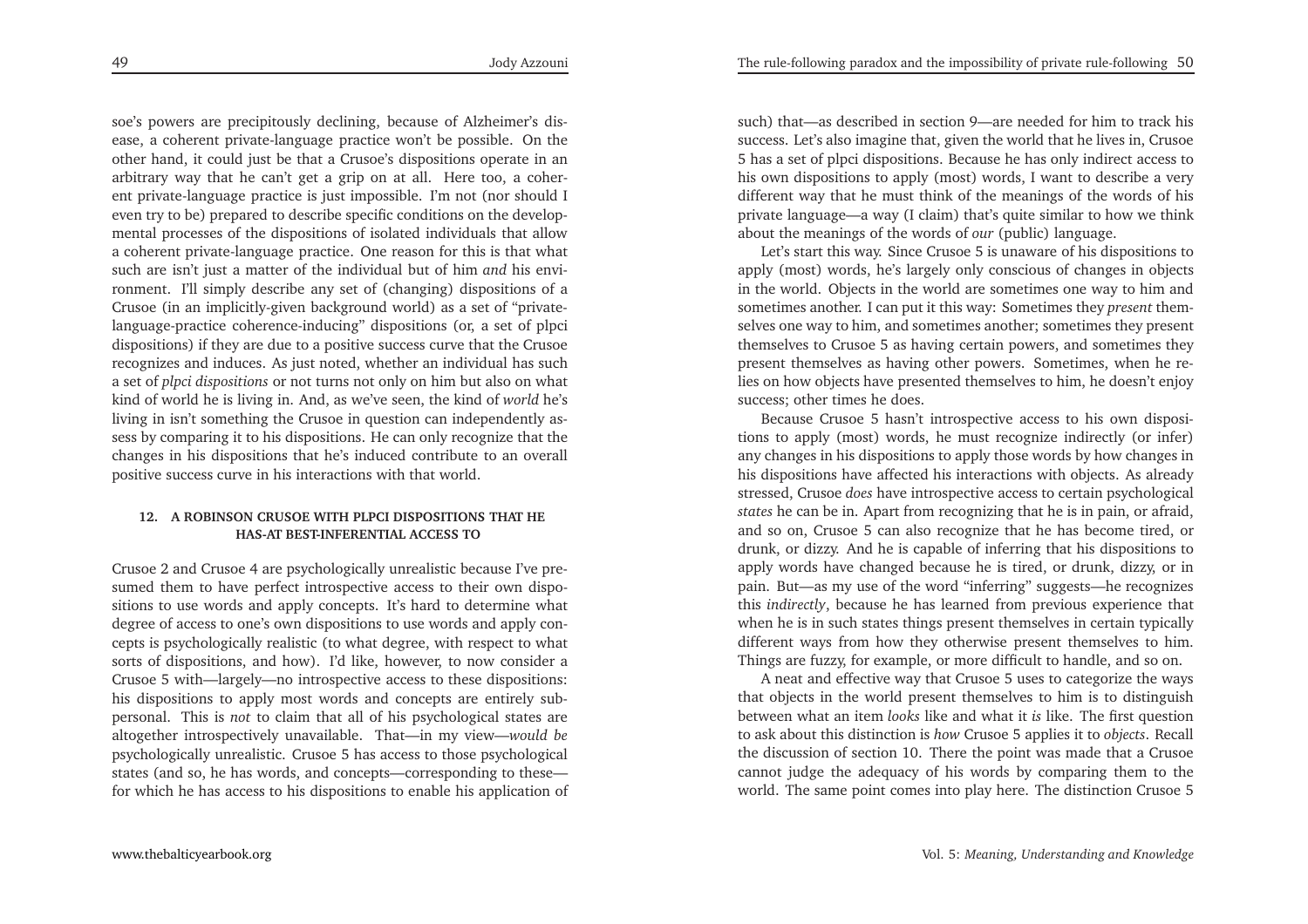soe's powers are precipitously declining, because of Alzheimer's disease, <sup>a</sup> coherent private-language practice won't be possible. On the other hand, it could just be that <sup>a</sup> Crusoe's dispositions operate in an arbitrary way that he can't ge<sup>t</sup> <sup>a</sup> grip on at all. Here too, <sup>a</sup> coherent private-language practice is just impossible. I'm not (nor should <sup>I</sup> even try to be) prepared to describe specific conditions on the developmental processes of the dispositions of isolated individuals that allow <sup>a</sup> coherent private-language practice. One reason for this is that whatsuch are isn't just a matter of the individual but of him *and* his environment. <sup>Fill</sup> simply describe agree of changing dispositions of a ronment. I'll simply describe any set of (changing) dispositions of <sup>a</sup> Crusoe (in an implicitly-given background world) as <sup>a</sup> set of "privatelanguage-practice coherence-inducing" dispositions (or, <sup>a</sup> set of <sup>p</sup>lpci dispositions) if they are due to <sup>a</sup> positive success curve that the Crusoe recognizes and induces. As just noted, whether an individual has such <sup>a</sup> set of *plpci dispositions* or not turns not only on him but also on what kind of world he is living in. And, as we've seen, the kind of *world* he's living in isn't something the Crusoe in question can independently assess by comparing it to his dispositions. He can only recognize that the changes in his dispositions that he's induced contribute to an overall positive success curve in his interactions with that world.

## **12. <sup>A</sup> ROBINSON CRUSOE WITH PLPCI DISPOSITIONS THAT HEHAS-AT BEST-INFERENTIAL ACCESS TO**

Crusoe <sup>2</sup> and Crusoe 4 are psychologically unrealistic because I've presumed them to have perfect introspective access to their own dispositions to use words and apply concepts. It's hard to determine what degree of access to one's own dispositions to use words and apply concepts is psychologically realistic (to what degree, with respec<sup>t</sup> to what sorts of dispositions, and how). I'd like, however, to now consider <sup>a</sup> Crusoe <sup>5</sup> with—largely—no introspective access to these dispositions: his dispositions to apply most words and concepts are entirely subpersonal. This is *not* to claim that all of his psychological states are altogether introspectively unavailable. That—in my view—*would be* psychologically unrealistic. Crusoe <sup>5</sup> has access to those psychological states (and so, he has words, and concepts—corresponding to thesefor which he has access to his dispositions to enable his application of

such) that—as described in section 9—are needed for him to track his success. Let's also imagine that, <sup>g</sup>iven the world that he lives in, Crusoe <sup>5</sup> has <sup>a</sup> set of <sup>p</sup>lpci dispositions. Because he has only indirect access to his own dispositions to apply (most) words, <sup>I</sup> want to describe <sup>a</sup> very different way that he must think of the meanings of the words of his private language—a way (I claim) that's quite similar to how we think about the meanings of the words of *our* (public) language.

Let's start this way. Since Crusoe <sup>5</sup> is unaware of his dispositions to apply (most) words, he's largely only conscious of changes in objectsin the world. Objects in the world are sometimes one way to him and<br>compating a grading Laon qut it this way formatimes they way ut them. sometimes another. <sup>I</sup> can pu<sup>t</sup> it this way: Sometimes they *presen<sup>t</sup>* themselves one way to him, and sometimes another; sometimes they presen<sup>t</sup> themselves to Crusoe <sup>5</sup> as having certain powers, and sometimes they presen<sup>t</sup> themselves as having other powers. Sometimes, when he relies on how objects have presented themselves to him, he doesn't enjoysuccess; other times he does.

Because Crusoe <sup>5</sup> hasn't introspective access to his own dispositions to apply (most) words, he must recognize indirectly (or infer) any changes in his dispositions to apply those words by how changes in his dispositions have affected his interactions with objects. As already stressed, Crusoe *does* have introspective access to certain psychological *states* he can be in. Apart from recognizing that he is in pain, or afraid, and so on, Crusoe <sup>5</sup> can also recognize that he has become tired, or drunk, or dizzy. And he is capable of inferring that his dispositions to apply words have changed because he is tired, or drunk, dizzy, or in pain. But—as my use of the word "inferring" suggests—he recognizes this *indirectly*, because he has learned from previous experience that when he is in such states things presen<sup>t</sup> themselves in certain typically different ways from how they otherwise presen<sup>t</sup> themselves to him. Things are fuzzy, for example, or more difficult to handle, and so on.

<sup>A</sup> neat and effective way that Crusoe <sup>5</sup> uses to categorize the ways that objects in the world presen<sup>t</sup> themselves to him is to distinguish between what an item *looks* like and what it *is* like. The first question to ask about this distinction is *how* Crusoe <sup>5</sup> applies it to *objects*. Recall the discussion of section 10. There the point was made that <sup>a</sup> Crusoe cannot judge the adequacy of his words by comparing them to theworld. The same point comes into <sup>p</sup>lay here. The distinction Crusoe <sup>5</sup>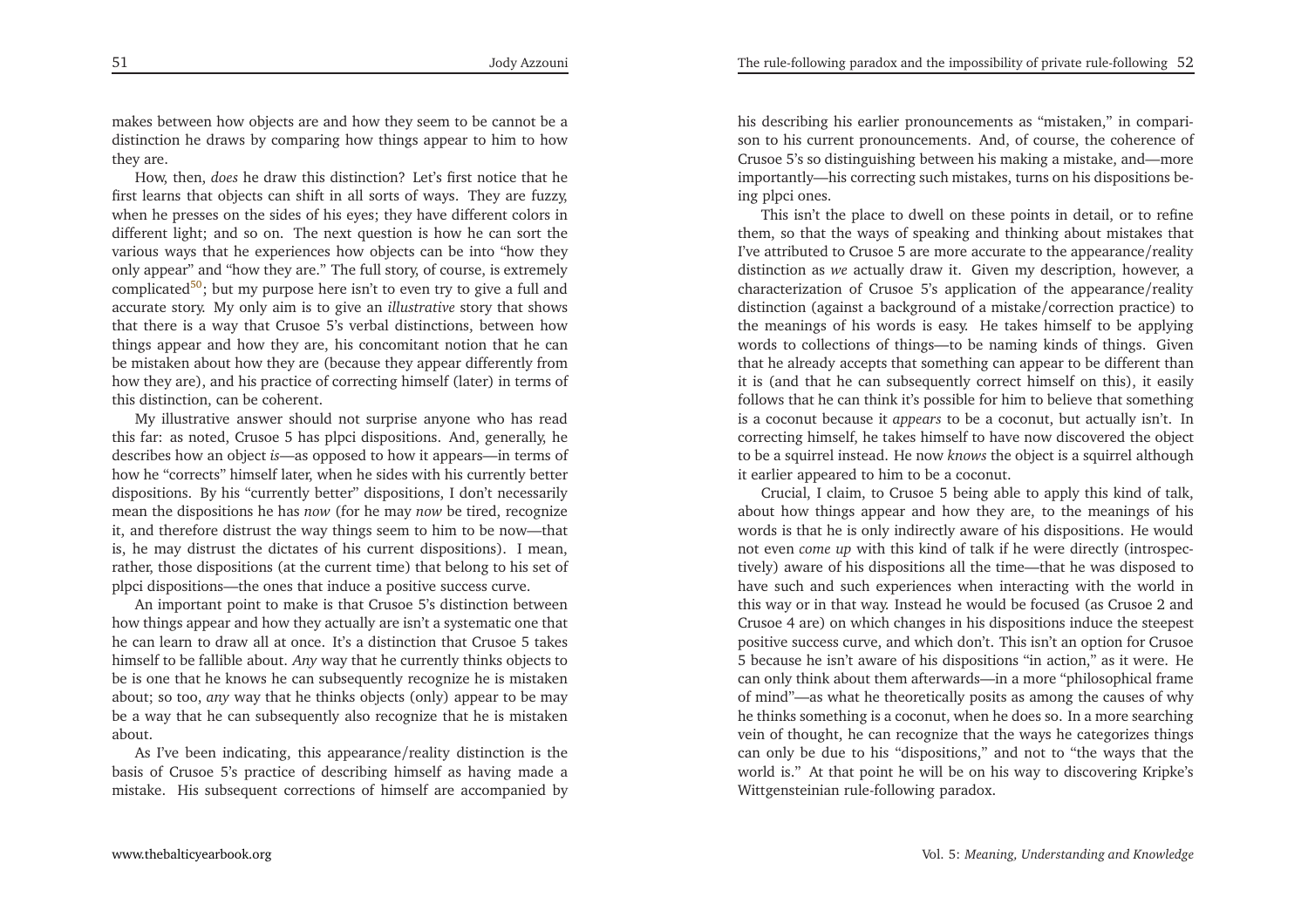makes between how objects are and how they seem to be cannot be <sup>a</sup> distinction he draws by comparing how things appear to him to howthey are.

How, then, *does* he draw this distinction? Let's first notice that he first learns that objects can shift in all sorts of ways. They are fuzzy, when he presses on the sides of his eyes; they have different colors in different light; and so on. The next question is how he can sort the various ways that he experiences how objects can be into "how they only appear" and "how they are." The full story, of course, is extremelycomplicated<sup>[50](#page-40-18)</sup>; but my purpose here isn't to even try to give a full and accurate story. My only aim is to <sup>g</sup>ive an *illustrative* story that shows that there is <sup>a</sup> way that Crusoe 5's verbal distinctions, between how things appear and how they are, his concomitant notion that he can be mistaken about how they are (because they appear differently from how they are), and his practice of correcting himself (later) in terms ofthis distinction, can be coherent.

My illustrative answer should not surprise anyone who has read this far: as noted, Crusoe <sup>5</sup> has <sup>p</sup>lpci dispositions. And, generally, he describes how an object *is*—as opposed to how it appears—in terms of how he "corrects" himself later, when he sides with his currently better dispositions. By his "currently better" dispositions, <sup>I</sup> don't necessarily mean the dispositions he has *now* (for he may *now* be tired, recognize it, and therefore distrust the way things seem to him to be now—that is, he may distrust the dictates of his current dispositions). <sup>I</sup> mean, rather, those dispositions (at the current time) that belong to his set of<sup>p</sup>lpci dispositions—the ones that induce <sup>a</sup> positive success curve.

An important point to make is that Crusoe 5's distinction between how things appear and how they actually are isn't <sup>a</sup> systematic one that he can learn to draw all at once. It's <sup>a</sup> distinction that Crusoe <sup>5</sup> takes himself to be fallible about. *Any* way that he currently thinks objects to be is one that he knows he can subsequently recognize he is mistaken about; so too, *any* way that he thinks objects (only) appear to be may be <sup>a</sup> way that he can subsequently also recognize that he is mistakenabout.

 As I've been indicating, this appearance/reality distinction is the basis of Crusoe 5's practice of describing himself as having made <sup>a</sup> mistake. His subsequent corrections of himself are accompanied by

his describing his earlier pronouncements as "mistaken," in comparison to his current pronouncements. And, of course, the coherence of Crusoe 5's so distinguishing between his making <sup>a</sup> mistake, and—more importantly—his correcting such mistakes, turns on his dispositions being <sup>p</sup>lpci ones.

<span id="page-26-0"></span>This isn't the <sup>p</sup>lace to dwell on these points in detail, or to refine them, so that the ways of speaking and thinking about mistakes that I've attributed to Crusoe <sup>5</sup> are more accurate to the appearance/reality distinction as *we* actually draw it. Given my description, however, <sup>a</sup> characterization of Crusoe 5's application of the appearance/reality distinction (against <sup>a</sup> background of <sup>a</sup> mistake/correction practice) to the meanings of his words is easy. He takes himself to be applying words to collections of things—to be naming kinds of things. Given that he already accepts that something can appear to be different than it is (and that he can subsequently correct himself on this), it easily follows that he can think it's possible for him to believe that something is <sup>a</sup> coconut because it *appears* to be <sup>a</sup> coconut, but actually isn't. In correcting himself, he takes himself to have now discovered the object to be <sup>a</sup> squirrel instead. He now *knows* the object is <sup>a</sup> squirrel although it earlier appeared to him to be <sup>a</sup> coconut.

Crucial, <sup>I</sup> claim, to Crusoe <sup>5</sup> being able to apply this kind of talk, about how things appear and how they are, to the meanings of his words is that he is only indirectly aware of his dispositions. He would not even *come up* with this kind of talk if he were directly (introspectively) aware of his dispositions all the time—that he was disposed to have such and such experiences when interacting with the world in this way or in that way. Instead he would be focused (as Crusoe <sup>2</sup> and Crusoe 4 are) on which changes in his dispositions induce the steepest positive success curve, and which don't. This isn't an option for Crusoe <sup>5</sup> because he isn't aware of his dispositions "in action," as it were. He can only think about them afterwards—in <sup>a</sup> more "philosophical frame of mind"—as what he theoretically posits as among the causes of why he thinks something is <sup>a</sup> coconut, when he does so. In <sup>a</sup> more searching vein of thought, he can recognize that the ways he categorizes things can only be due to his "dispositions," and not to "the ways that the world is." At that point he will be on his way to discovering Kripke'sWittgensteinian rule-following paradox.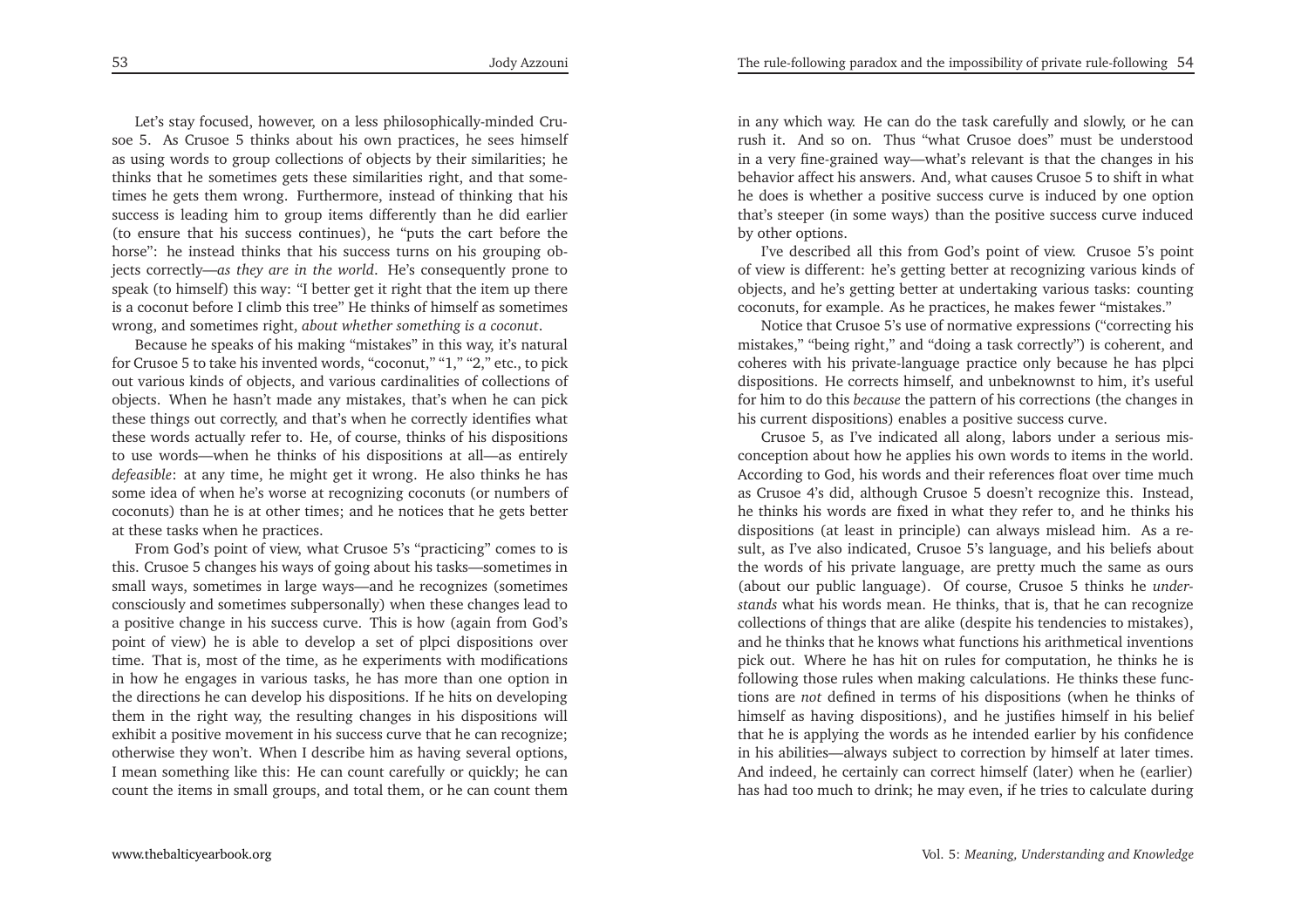Let's stay focused, however, on <sup>a</sup> less <sup>p</sup>hilosophically-minded Crusoe 5. As Crusoe <sup>5</sup> thinks about his own practices, he sees himself as using words to group collections of objects by their similarities; he thinks that he sometimes gets these similarities right, and that sometimes he gets them wrong. Furthermore, instead of thinking that his success is leading him to group items differently than he did earlier (to ensure that his success continues), he "puts the cart before the horse": he instead thinks that his success turns on his grouping objects correctly—*as they are in the world*. He's consequently prone to speak (to himself) this way: "I better ge<sup>t</sup> it right that the item up there is <sup>a</sup> coconut before <sup>I</sup> climb this tree" He thinks of himself as sometimeswrong, and sometimes right, *about whether something is <sup>a</sup> coconut*.

Because he speaks of his making "mistakes" in this way, it's natural for Crusoe <sup>5</sup> to take his invented words, "coconut," "1," "2," etc., to <sup>p</sup>ick out various kinds of objects, and various cardinalities of collections of objects. When he hasn't made any mistakes, that's when he can <sup>p</sup>ick these things out correctly, and that's when he correctly identifies what these words actually refer to. He, of course, thinks of his dispositions to use words—when he thinks of his dispositions at all—as entirely *defeasible*: at any time, he might ge<sup>t</sup> it wrong. He also thinks he has some idea of when he's worse at recognizing coconuts (or numbers of coconuts) than he is at other times; and he notices that he gets betterat these tasks when he practices.

From God's point of view, what Crusoe 5's "practicing" comes to is this. Crusoe <sup>5</sup> changes his ways of going about his tasks—sometimes in small ways, sometimes in large ways—and he recognizes (sometimes consciously and sometimes subpersonally) when these changes lead to <sup>a</sup> positive change in his success curve. This is how (again from God's point of view) he is able to develop <sup>a</sup> set of <sup>p</sup>lpci dispositions over time. That is, most of the time, as he experiments with modifications in how he engages in various tasks, he has more than one option in the directions he can develop his dispositions. If he hits on developing them in the right way, the resulting changes in his dispositions will exhibit <sup>a</sup> positive movement in his success curve that he can recognize; otherwise they won't. When <sup>I</sup> describe him as having several options, <sup>I</sup> mean something like this: He can count carefully or quickly; he cancount the items in small groups, and total them, or he can count them

in any which way. He can do the task carefully and slowly, or he can rush it. And so on. Thus "what Crusoe does" must be understood in <sup>a</sup> very fine-grained way—what's relevant is that the changes in his behavior affect his answers. And, what causes Crusoe <sup>5</sup> to shift in what he does is whether <sup>a</sup> positive success curve is induced by one option that's steeper (in some ways) than the positive success curve inducedby other options.

I've described all this from God's point of view. Crusoe 5's point of view is different: he's getting better at recognizing various kinds of objects, and he's getting better at undertaking various tasks: countingcoconuts, for example. As he practices, he makes fewer "mistakes."

 Notice that Crusoe 5's use of normative expressions ("correcting his mistakes," "being right," and "doing <sup>a</sup> task correctly") is coherent, and coheres with his private-language practice only because he has <sup>p</sup>lpci dispositions. He corrects himself, and unbeknownst to him, it's useful for him to do this *because* the pattern of his corrections (the changes inhis current dispositions) enables <sup>a</sup> positive success curve.

Crusoe 5, as I've indicated all along, labors under <sup>a</sup> serious misconception about how he applies his own words to items in the world. According to God, his words and their references float over time much as Crusoe 4's did, although Crusoe <sup>5</sup> doesn't recognize this. Instead, he thinks his words are fixed in what they refer to, and he thinks his dispositions (at least in principle) can always mislead him. As <sup>a</sup> result, as I've also indicated, Crusoe 5's language, and his beliefs about the words of his private language, are pretty much the same as ours (about our public language). Of course, Crusoe <sup>5</sup> thinks he *understands* what his words mean. He thinks, that is, that he can recognize collections of things that are alike (despite his tendencies to mistakes), and he thinks that he knows what functions his arithmetical inventions <sup>p</sup>ick out. Where he has hit on rules for computation, he thinks he is following those rules when making calculations. He thinks these functions are *not* defined in terms of his dispositions (when he thinks of himself as having dispositions), and he justifies himself in his belief that he is applying the words as he intended earlier by his confidence in his abilities—always subject to correction by himself at later times. And indeed, he certainly can correct himself (later) when he (earlier) has had too much to drink; he may even, if he tries to calculate during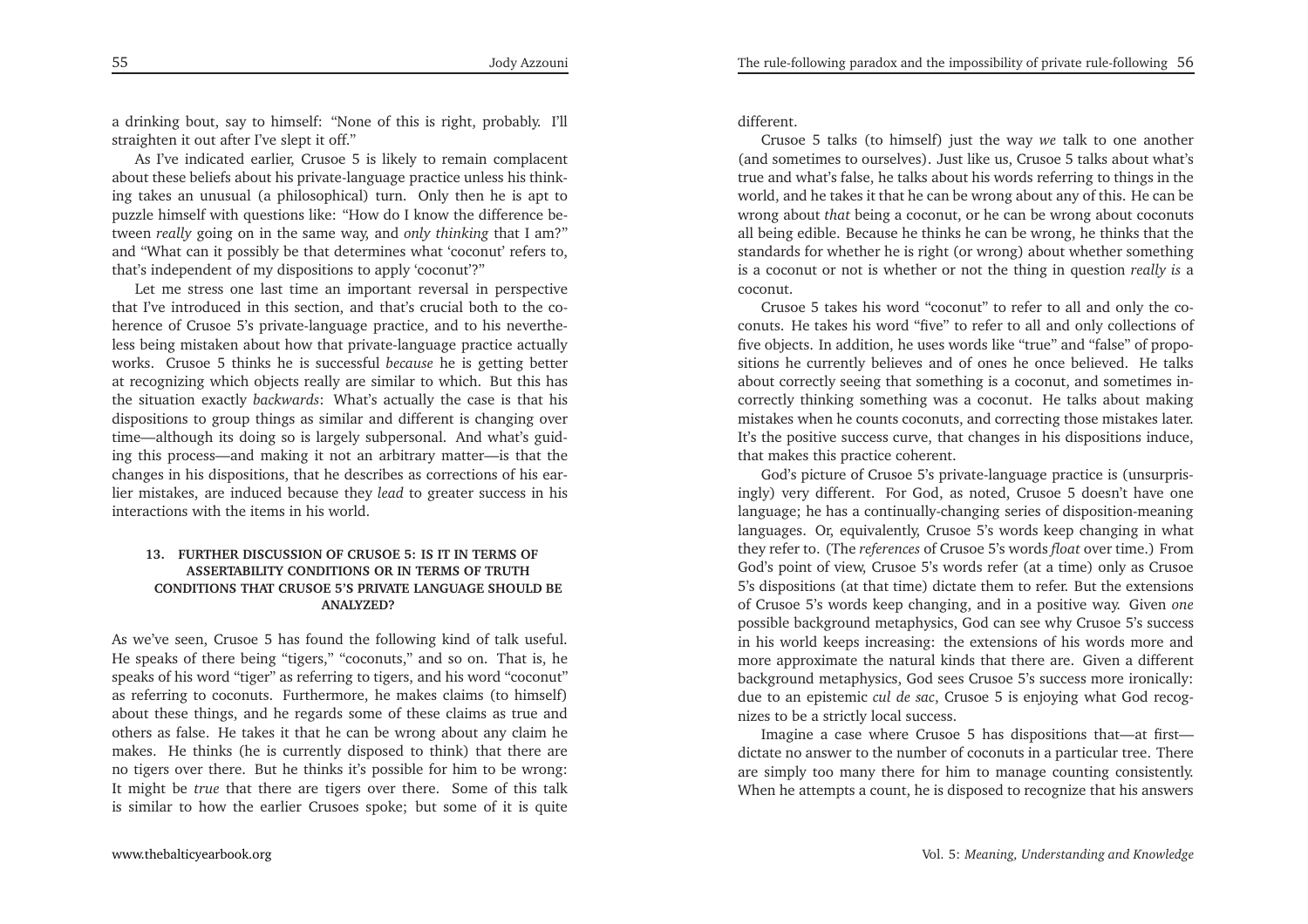<sup>a</sup> drinking bout, say to himself: "None of this is right, probably. I'llstraighten it out after I've slept it off."

 As I've indicated earlier, Crusoe <sup>5</sup> is likely to remain complacent about these beliefs about his private-language practice unless his thinking takes an unusual (a <sup>p</sup>hilosophical) turn. Only then he is ap<sup>t</sup> to puzzle himself with questions like: "How do <sup>I</sup> know the difference between *really* going on in the same way, and *only thinking* that <sup>I</sup> am?" and "What can it possibly be that determines what 'coconut' refers to, that's independent of my dispositions to apply 'coconut'?"

 Let me stress one last time an important reversal in perspective that I've introduced in this section, and that's crucial both to the coherence of Crusoe 5's private-language practice, and to his nevertheless being mistaken about how that private-language practice actually works. Crusoe <sup>5</sup> thinks he is successful *because* he is getting better at recognizing which objects really are similar to which. But this has the situation exactly *backwards*: What's actually the case is that his dispositions to group things as similar and different is changing over time—although its doing so is largely subpersonal. And what's guiding this process—and making it not an arbitrary matter—is that the changes in his dispositions, that he describes as corrections of his earlier mistakes, are induced because they *lead* to greater success in his interactions with the items in his world.

### **13. FURTHER DISCUSSION OF CRUSOE 5: IS IT IN TERMS OF ASSERTABILITY CONDITIONS OR IN TERMS OF TRUTH CONDITIONS THAT CRUSOE 5'S PRIVATE LANGUAGE SHOULD BEANALYZED?**

As we've seen, Crusoe <sup>5</sup> has found the following kind of talk useful. He speaks of there being "tigers," "coconuts," and so on. That is, he speaks of his word "tiger" as referring to tigers, and his word "coconut" as referring to coconuts. Furthermore, he makes claims (to himself) about these things, and he regards some of these claims as true and others as false. He takes it that he can be wrong about any claim he makes. He thinks (he is currently disposed to think) that there are no tigers over there. But he thinks it's possible for him to be wrong: It might be *true* that there are tigers over there. Some of this talkis similar to how the earlier Crusoes spoke; but some of it is quite

different.

Crusoe <sup>5</sup> talks (to himself) just the way *we* talk to one another (and sometimes to ourselves). Just like us, Crusoe <sup>5</sup> talks about what's true and what's false, he talks about his words referring to things in the world, and he takes it that he can be wrong about any of this. He can be wrong about *that* being <sup>a</sup> coconut, or he can be wrong about coconuts all being edible. Because he thinks he can be wrong, he thinks that the standards for whether he is right (or wrong) about whether something is <sup>a</sup> coconut or not is whether or not the thing in question *really is* <sup>a</sup> coconut.

 Crusoe <sup>5</sup> takes his word "coconut" to refer to all and only the coconuts. He takes his word "five" to refer to all and only collections of five objects. In addition, he uses words like "true" and "false" of propositions he currently believes and of ones he once believed. He talks about correctly seeing that something is <sup>a</sup> coconut, and sometimes incorrectly thinking something was <sup>a</sup> coconut. He talks about making mistakes when he counts coconuts, and correcting those mistakes later. It's the positive success curve, that changes in his dispositions induce, that makes this practice coherent.

God's <sup>p</sup>icture of Crusoe 5's private-language practice is (unsurprisingly) very different. For God, as noted, Crusoe <sup>5</sup> doesn't have one language; he has <sup>a</sup> continually-changing series of disposition-meaning languages. Or, equivalently, Crusoe 5's words keep changing in what they refer to. (The *references* of Crusoe 5's words *float* over time.) From God's point of view, Crusoe 5's words refer (at <sup>a</sup> time) only as Crusoe 5's dispositions (at that time) dictate them to refer. But the extensions of Crusoe 5's words keep changing, and in <sup>a</sup> positive way. Given *one* possible background metaphysics, God can see why Crusoe 5's success in his world keeps increasing: the extensions of his words more and more approximate the natural kinds that there are. Given <sup>a</sup> different background metaphysics, God sees Crusoe 5's success more ironically:due to an epistemic *cul de sac*, Crusoe <sup>5</sup> is enjoying what God recognizes to be <sup>a</sup> strictly local success.

Imagine <sup>a</sup> case where Crusoe <sup>5</sup> has dispositions that—at first dictate no answer to the number of coconuts in <sup>a</sup> particular tree. There are simply too many there for him to manage counting consistently. When he attempts <sup>a</sup> count, he is disposed to recognize that his answers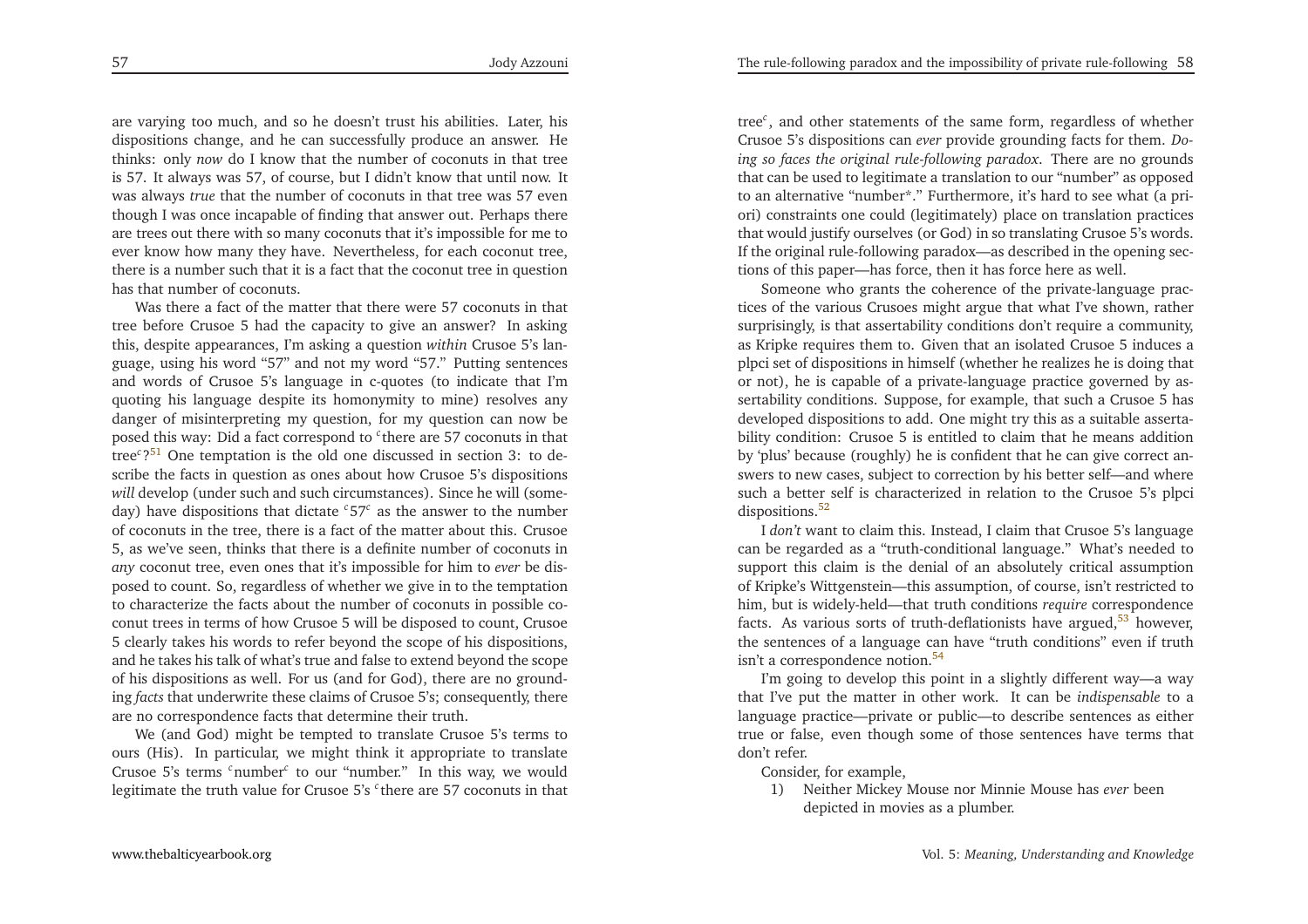<span id="page-29-1"></span>are varying too much, and so he doesn't trust his abilities. Later, his dispositions change, and he can successfully produce an answer. He thinks: only *now* do <sup>I</sup> know that the number of coconuts in that tree is 57. It always was 57, of course, but <sup>I</sup> didn't know that until now. It was always *true* that the number of coconuts in that tree was <sup>57</sup> even though <sup>I</sup> was once incapable of finding that answer out. Perhaps there are trees out there with so many coconuts that it's impossible for me to ever know how many they have. Nevertheless, for each coconut tree, there is <sup>a</sup> number such that it is <sup>a</sup> fact that the coconut tree in question has that number of coconuts.

<span id="page-29-3"></span><span id="page-29-2"></span>Was there <sup>a</sup> fact of the matter that there were <sup>57</sup> coconuts in that tree before Crusoe <sup>5</sup> had the capacity to <sup>g</sup>ive an answer? In asking this, despite appearances, I'm asking <sup>a</sup> question *within* Crusoe 5's language, using his word "57" and not my word "57." Putting sentences and words of Crusoe 5's language in c-quotes (to indicate that I'm quoting his language despite its homonymity to mine) resolves any danger of misinterpreting my question, for my question can now be posed this way: Did <sup>a</sup> fact correspond to *<sup>c</sup>*there are <sup>57</sup> coconuts in that tree*<sup>c</sup>*?[51](#page-40-19) One temptation is the old one discussed in section 3: to describe the facts in question as ones about how Crusoe 5's dispositions *will* develop (under such and such circumstances). Since he will (someday) have dispositions that dictate *<sup>c</sup>*57*<sup>c</sup>* as the answer to the number of coconuts in the tree, there is <sup>a</sup> fact of the matter about this. Crusoe 5, as we've seen, thinks that there is <sup>a</sup> definite number of coconuts in *any* coconut tree, even ones that it's impossible for him to *ever* be disposed to count. So, regardless of whether we <sup>g</sup>ive in to the temptation to characterize the facts about the number of coconuts in possible coconut trees in terms of how Crusoe <sup>5</sup> will be disposed to count, Crusoe <sup>5</sup> clearly takes his words to refer beyond the scope of his dispositions, and he takes his talk of what's true and false to extend beyond the scope of his dispositions as well. For us (and for God), there are no grounding *facts* that underwrite these claims of Crusoe 5's; consequently, there are no correspondence facts that determine their truth.

We (and God) might be tempted to translate Crusoe 5's terms to ours (His). In particular, we might think it appropriate to translate Crusoe 5's terms *<sup>c</sup>*number*<sup>c</sup>* to our "number." In this way, we wouldlegitimate the truth value for Crusoe 5's *<sup>c</sup>*there are <sup>57</sup> coconuts in that

<span id="page-29-0"></span>tree*<sup>c</sup>*, and other statements of the same form, regardless of whether Crusoe 5's dispositions can *ever* provide grounding facts for them. *Doing so faces the original rule-following paradox*. There are no grounds that can be used to legitimate <sup>a</sup> translation to our "number" as opposed to an alternative "number\*." Furthermore, it's hard to see what (a priori) constraints one could (legitimately) <sup>p</sup>lace on translation practices that would justify ourselves (or God) in so translating Crusoe 5's words. If the original rule-following paradox—as described in the opening sections of this paper—has force, then it has force here as well.

Someone who grants the coherence of the private-language practices of the various Crusoes might argue that what I've shown, rather surprisingly, is that assertability conditions don't require <sup>a</sup> community, as Kripke requires them to. Given that an isolated Crusoe <sup>5</sup> induces <sup>a</sup> <sup>p</sup>lpci set of dispositions in himself (whether he realizes he is doing that or not), he is capable of <sup>a</sup> private-language practice governed by assertability conditions. Suppose, for example, that such <sup>a</sup> Crusoe <sup>5</sup> has developed dispositions to add. One might try this as <sup>a</sup> suitable assertability condition: Crusoe <sup>5</sup> is entitled to claim that he means addition by 'plus' because (roughly) he is confident that he can <sup>g</sup>ive correct answers to new cases, subject to correction by his better self—and where such <sup>a</sup> better self is characterized in relation to the Crusoe 5's <sup>p</sup>lpci dispositions.<sup>[52](#page-40-20)</sup>

I *don't* want to claim this. Instead, <sup>I</sup> claim that Crusoe 5's language can be regarded as <sup>a</sup> "truth-conditional language." What's needed to suppor<sup>t</sup> this claim is the denial of an absolutely critical assumption of Kripke's Wittgenstein—this assumption, of course, isn't restricted to him, but is widely-held—that truth conditions *require* correspondencefacts. As various sorts of truth-deflationists have argued,<sup>[53](#page-40-21)</sup> however, the sentences of a language can have "truth conditions" even if truth isn't a correspondence notion.<sup>[54](#page-40-22)</sup>

I'm going to develop this point in <sup>a</sup> slightly different way—a way that I've pu<sup>t</sup> the matter in other work. It can be *indispensable* to <sup>a</sup> language practice—private or public—to describe sentences as either true or false, even though some of those sentences have terms that don't refer.

Consider, for example,

1) Neither Mickey Mouse nor Minnie Mouse has *ever* beendepicted in movies as <sup>a</sup> <sup>p</sup>lumber.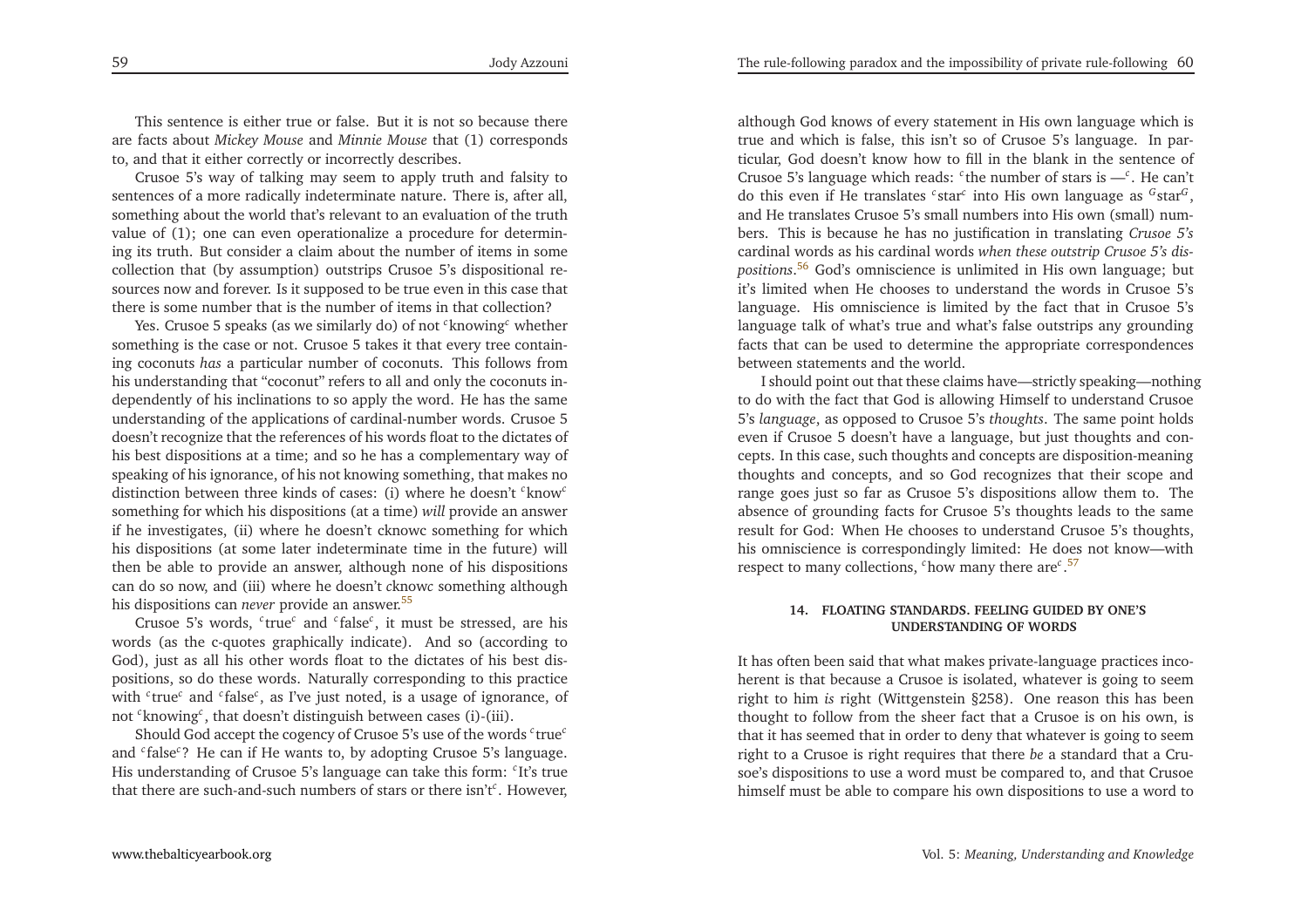This sentence is either true or false. But it is not so because there are facts about *Mickey Mouse* and *Minnie Mouse* that (1) corresponds to, and that it either correctly or incorrectly describes.

Crusoe 5's way of talking may seem to apply truth and falsity to sentences of <sup>a</sup> more radically indeterminate nature. There is, after all, something about the world that's relevant to an evaluation of the truth value of (1); one can even operationalize <sup>a</sup> procedure for determining its truth. But consider <sup>a</sup> claim about the number of items in some collection that (by assumption) outstrips Crusoe 5's dispositional resources now and forever. Is it supposed to be true even in this case that there is some number that is the number of items in that collection?

<span id="page-30-2"></span><span id="page-30-0"></span> Yes. Crusoe <sup>5</sup> speaks (as we similarly do) of not *<sup>c</sup>*knowing*<sup>c</sup>* whether something is the case or not. Crusoe <sup>5</sup> takes it that every tree containing coconuts *has* <sup>a</sup> particular number of coconuts. This follows from his understanding that "coconut" refers to all and only the coconuts independently of his inclinations to so apply the word. He has the same understanding of the applications of cardinal-number words. Crusoe <sup>5</sup> doesn't recognize that the references of his words float to the dictates of his best dispositions at <sup>a</sup> time; and so he has <sup>a</sup> complementary way of speaking of his ignorance, of his not knowing something, that makes no distinction between three kinds of cases: (i) where he doesn't *<sup>c</sup>*know*<sup>c</sup>* something for which his dispositions (at <sup>a</sup> time) *will* provide an answer if he investigates, (ii) where he doesn't cknowc something for which his dispositions (at some later indeterminate time in the future) will then be able to provide an answer, although none of his dispositions can do so now, and (iii) where he doesn't *<sup>c</sup>*know*<sup>c</sup>* something althoughhis dispositions can *never* provide an answer.[55](#page-40-23)

Crusoe 5's words, *<sup>c</sup>*true*<sup>c</sup>* and *<sup>c</sup>*false*<sup>c</sup>*, it must be stressed, are his words (as the c-quotes graphically indicate). And so (according to God), just as all his other words float to the dictates of his best dispositions, so do these words. Naturally corresponding to this practice with *<sup>c</sup>*true*<sup>c</sup>* and *<sup>c</sup>*false*<sup>c</sup>*, as I've just noted, is <sup>a</sup> usage of ignorance, of not *<sup>c</sup>*knowing*<sup>c</sup>*, that doesn't distinguish between cases (i)-(iii).

Should God accep<sup>t</sup> the cogency of Crusoe 5's use of the words *<sup>c</sup>*true*<sup>c</sup>* and *<sup>c</sup>*false*<sup>c</sup>*? He can if He wants to, by adopting Crusoe 5's language. His understanding of Crusoe 5's language can take this form: *<sup>c</sup>*It's truethat there are such-and-such numbers of stars or there isn't*<sup>c</sup>*. However,

<span id="page-30-1"></span>although God knows of every statement in His own language which is true and which is false, this isn't so of Crusoe 5's language. In particular, God doesn't know how to fill in the blank in the sentence of Crusoe 5's language which reads: *<sup>c</sup>*the number of stars is —*c*. He can't do this even if He translates *<sup>c</sup>* star*<sup>c</sup>* into His own language as *<sup>G</sup>*star*G*, and He translates Crusoe 5's small numbers into His own (small) numbers. This is because he has no justification in translating *Crusoe 5's* cardinal words as his cardinal words *when these outstrip Crusoe 5's dispositions*.[56](#page-41-1) God's omniscience is unlimited in His own language; but it's limited when He chooses to understand the words in Crusoe 5's language. His omniscience is limited by the fact that in Crusoe 5's language talk of what's true and what's false outstrips any grounding facts that can be used to determine the appropriate correspondencesbetween statements and the world.

<sup>I</sup> should point out that these claims have—strictly speaking—nothing to do with the fact that God is allowing Himself to understand Crusoe 5's *language*, as opposed to Crusoe 5's *thoughts*. The same point holds even if Crusoe <sup>5</sup> doesn't have <sup>a</sup> language, but just thoughts and concepts. In this case, such thoughts and concepts are disposition-meaning thoughts and concepts, and so God recognizes that their scope and range goes just so far as Crusoe 5's dispositions allow them to. The absence of grounding facts for Crusoe 5's thoughts leads to the same result for God: When He chooses to understand Crusoe 5's thoughts, his omniscience is correspondingly limited: He does not know—withrespec<sup>t</sup> to many collections, *<sup>c</sup>*how many there are*<sup>c</sup>*.[57](#page-41-2)

## **14. FLOATING STANDARDS. FEELING GUIDED BY ONE'SUNDERSTANDING OF WORDS**

It has often been said that what makes private-language practices incoherent is that because <sup>a</sup> Crusoe is isolated, whatever is going to seem right to him *is* right (Wittgenstein §258). One reason this has been thought to follow from the sheer fact that <sup>a</sup> Crusoe is on his own, is that it has seemed that in order to deny that whatever is going to seem right to <sup>a</sup> Crusoe is right requires that there *be* <sup>a</sup> standard that <sup>a</sup> Crusoe's dispositions to use <sup>a</sup> word must be compared to, and that Crusoehimself must be able to compare his own dispositions to use <sup>a</sup> word to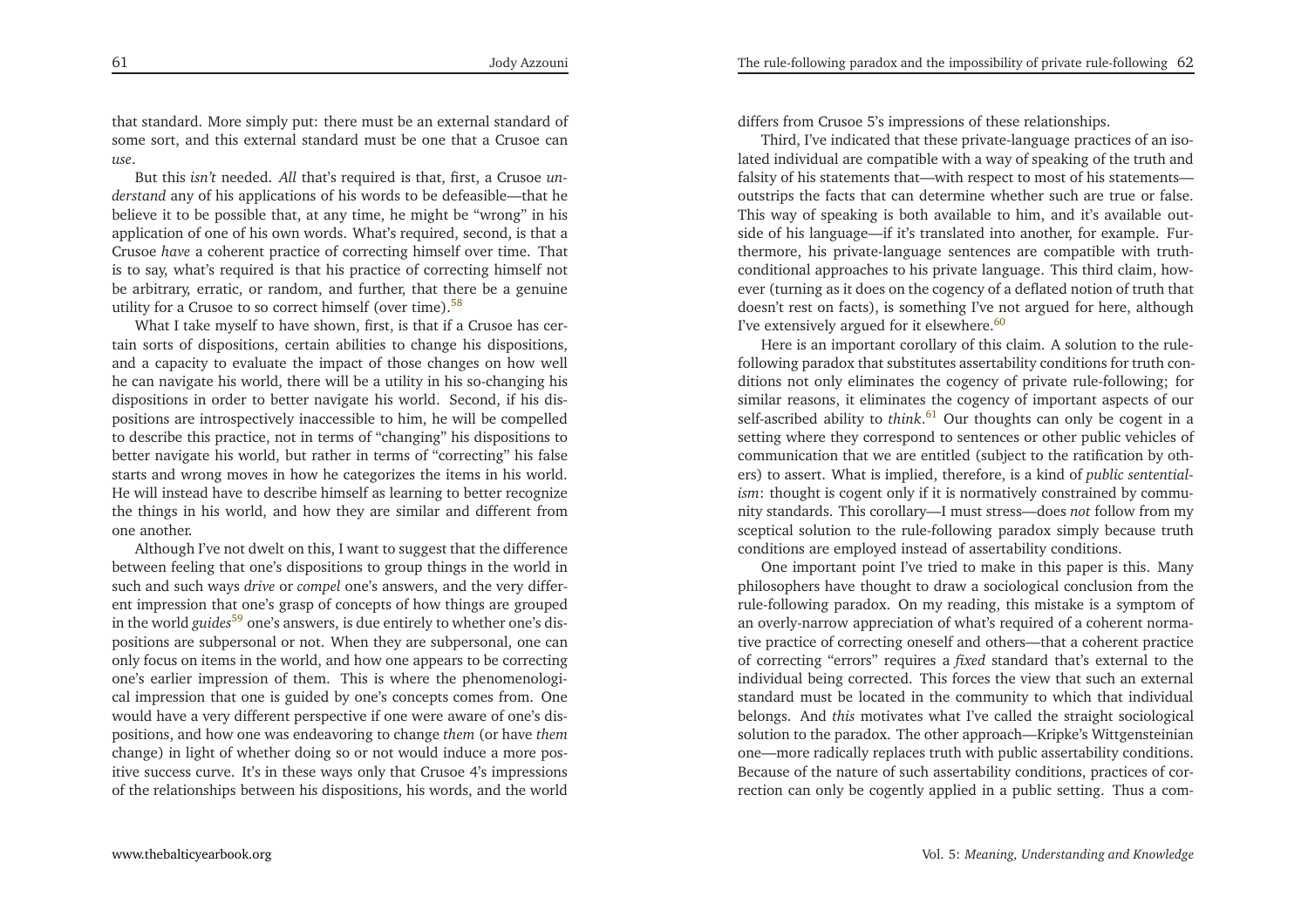that standard. More simply put: there must be an external standard of some sort, and this external standard must be one that <sup>a</sup> Crusoe can*use*.

<span id="page-31-1"></span> But this *isn't* needed. *All* that's required is that, first, <sup>a</sup> Crusoe *understand* any of his applications of his words to be defeasible—that he believe it to be possible that, at any time, he might be "wrong" in his application of one of his own words. What's required, second, is that <sup>a</sup> Crusoe *have* <sup>a</sup> coherent practice of correcting himself over time. That is to say, what's required is that his practice of correcting himself not be arbitrary, erratic, or random, and further, that there be <sup>a</sup> genuine utility for a Crusoe to so correct himself (over time).<sup>[58](#page-41-3)</sup>

What <sup>I</sup> take myself to have shown, first, is that if <sup>a</sup> Crusoe has certain sorts of dispositions, certain abilities to change his dispositions, and <sup>a</sup> capacity to evaluate the impact of those changes on how well he can navigate his world, there will be <sup>a</sup> utility in his so-changing his dispositions in order to better navigate his world. Second, if his dispositions are introspectively inaccessible to him, he will be compelled to describe this practice, not in terms of "changing" his dispositions to better navigate his world, but rather in terms of "correcting" his false starts and wrong moves in how he categorizes the items in his world. He will instead have to describe himself as learning to better recognize the things in his world, and how they are similar and different fromone another.

Although I've not dwelt on this, <sup>I</sup> want to sugges<sup>t</sup> that the difference between feeling that one's dispositions to group things in the world in such and such ways *drive* or *compel* one's answers, and the very different impression that one's grasp of concepts of how things are grouped in the world *guides*[59](#page-41-4) one's answers, is due entirely to whether one's dispositions are subpersonal or not. When they are subpersonal, one can only focus on items in the world, and how one appears to be correcting one's earlier impression of them. This is where the <sup>p</sup>henomenological impression that one is guided by one's concepts comes from. One would have <sup>a</sup> very different perspective if one were aware of one's dispositions, and how one was endeavoring to change *them* (or have *them* change) in light of whether doing so or not would induce <sup>a</sup> more positive success curve. It's in these ways only that Crusoe 4's impressionsof the relationships between his dispositions, his words, and the world

differs from Crusoe 5's impressions of these relationships.

Third, I've indicated that these private-language practices of an isolated individual are compatible with <sup>a</sup> way of speaking of the truth and falsity of his statements that—with respec<sup>t</sup> to most of his statements outstrips the facts that can determine whether such are true or false. This way of speaking is both available to him, and it's available outside of his language—if it's translated into another, for example. Furthermore, his private-language sentences are compatible with truthconditional approaches to his private language. This third claim, however (turning as it does on the cogency of <sup>a</sup> deflated notion of truth that doesn't rest on facts), is something I've not argued for here, althoughI've extensively argued for it elsewhere. $60$ 

<span id="page-31-3"></span><span id="page-31-2"></span>Here is an important corollary of this claim. <sup>A</sup> solution to the rulefollowing paradox that substitutes assertability conditions for truth conditions not only eliminates the cogency of private rule-following; for similar reasons, it eliminates the cogency of important aspects of ourself-ascribed ability to *think*.<sup>[61](#page-41-6)</sup> Our thoughts can only be cogent in a setting where they correspond to sentences or other public vehicles of communication that we are entitled (subject to the ratification by others) to assert. What is implied, therefore, is <sup>a</sup> kind of *public sententialism*: thought is cogent only if it is normatively constrained by community standards. This corollary—I must stress—does *not* follow from my sceptical solution to the rule-following paradox simply because truthconditions are employed instead of assertability conditions.

<span id="page-31-0"></span>One important point I've tried to make in this paper is this. Many <sup>p</sup>hilosophers have thought to draw <sup>a</sup> sociological conclusion from the rule-following paradox. On my reading, this mistake is <sup>a</sup> symptom of an overly-narrow appreciation of what's required of <sup>a</sup> coherent normative practice of correcting oneself and others—that <sup>a</sup> coherent practice of correcting "errors" requires <sup>a</sup> *fixed* standard that's external to the individual being corrected. This forces the view that such an external standard must be located in the community to which that individualbelongs. And *this* motivates what I've called the straight sociological solution to the paradox. The other approach—Kripke's Wittgensteinian one—more radically replaces truth with public assertability conditions. Because of the nature of such assertability conditions, practices of correction can only be cogently applied in <sup>a</sup> public setting. Thus <sup>a</sup> com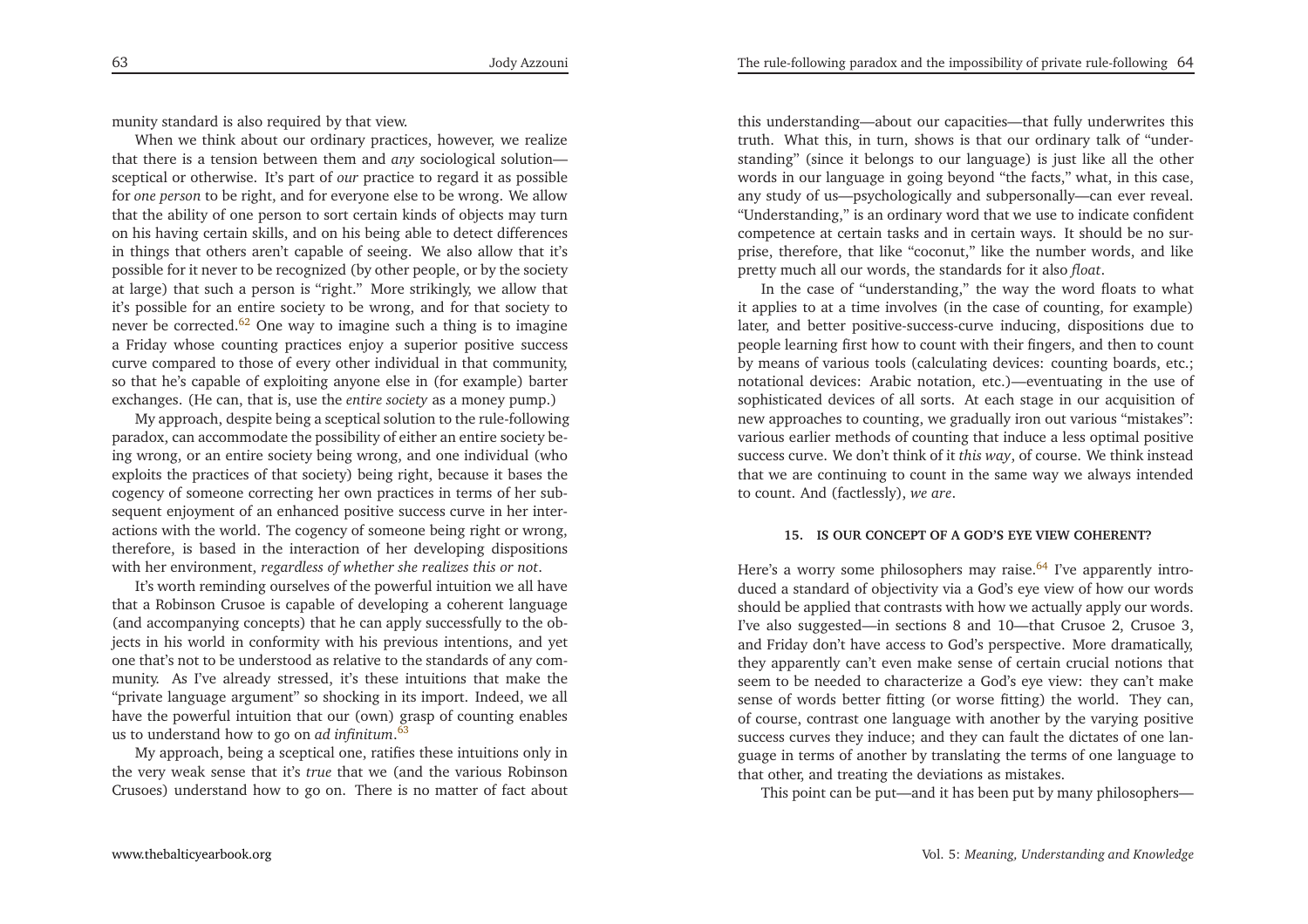munity standard is also required by that view.

When we think about our ordinary practices, however, we realize that there is <sup>a</sup> tension between them and *any* sociological solution sceptical or otherwise. It's par<sup>t</sup> of *our* practice to regard it as possible for *one person* to be right, and for everyone else to be wrong. We allow that the ability of one person to sort certain kinds of objects may turn on his having certain skills, and on his being able to detect differences in things that others aren't capable of seeing. We also allow that it's possible for it never to be recognized (by other people, or by the society at large) that such <sup>a</sup> person is "right." More strikingly, we allow that it's possible for an entire society to be wrong, and for that society tonever be corrected.<sup>[62](#page-41-7)</sup> One way to imagine such a thing is to imagine <sup>a</sup> Friday whose counting practices enjoy <sup>a</sup> superior positive success curve compared to those of every other individual in that community, so that he's capable of exploiting anyone else in (for example) barterexchanges. (He can, that is, use the *entire society* as <sup>a</sup> money pump.)

<span id="page-32-2"></span><span id="page-32-1"></span>My approach, despite being <sup>a</sup> sceptical solution to the rule-following paradox, can accommodate the possibility of either an entire society being wrong, or an entire society being wrong, and one individual (who exploits the practices of that society) being right, because it bases the cogency of someone correcting her own practices in terms of her subsequen<sup>t</sup> enjoyment of an enhanced positive success curve in her interactions with the world. The cogency of someone being right or wrong, therefore, is based in the interaction of her developing dispositionswith her environment, *regardless of whether she realizes this or not*.

It's worth reminding ourselves of the powerful intuition we all have that <sup>a</sup> Robinson Crusoe is capable of developing <sup>a</sup> coherent language (and accompanying concepts) that he can apply successfully to the objects in his world in conformity with his previous intentions, and ye<sup>t</sup> one that's not to be understood as relative to the standards of any community. As I've already stressed, it's these intuitions that make the "private language argument" so shocking in its import. Indeed, we allhave the powerful intuition that our (own) grasp of counting enables us to understand how to go on *ad infinitum*.[63](#page-41-8)

My approach, being <sup>a</sup> sceptical one, ratifies these intuitions only in the very weak sense that it's *true* that we (and the various RobinsonCrusoes) understand how to go on. There is no matter of fact about

this understanding—about our capacities—that fully underwrites this truth. What this, in turn, shows is that our ordinary talk of "understanding" (since it belongs to our language) is just like all the other words in our language in going beyond "the facts," what, in this case, any study of us—psychologically and subpersonally—can ever reveal. "Understanding," is an ordinary word that we use to indicate confident competence at certain tasks and in certain ways. It should be no surprise, therefore, that like "coconut," like the number words, and likepretty much all our words, the standards for it also *float*.

<span id="page-32-0"></span>In the case of "understanding," the way the word floats to what it applies to at <sup>a</sup> time involves (in the case of counting, for example) later, and better positive-success-curve inducing, dispositions due to people learning first how to count with their fingers, and then to count by means of various tools (calculating devices: counting boards, etc.; notational devices: Arabic notation, etc.)—eventuating in the use of sophisticated devices of all sorts. At each stage in our acquisition of new approaches to counting, we gradually iron out various "mistakes": various earlier methods of counting that induce <sup>a</sup> less optimal positive success curve. We don't think of it *this way*, of course. We think instead that we are continuing to count in the same way we always intendedto count. And (factlessly), *we are*.

## **15. IS OUR CONCEPT OF <sup>A</sup> GOD'S EYE VIEW COHERENT?**

Here's a worry some philosophers may raise. $64$  I've apparently introduced <sup>a</sup> standard of objectivity via <sup>a</sup> God's eye view of how our words should be applied that contrasts with how we actually apply our words. I've also suggested—in sections <sup>8</sup> and 10—that Crusoe 2, Crusoe 3, and Friday don't have access to God's perspective. More dramatically, they apparently can't even make sense of certain crucial notions that seem to be needed to characterize <sup>a</sup> God's eye view: they can't make sense of words better fitting (or worse fitting) the world. They can, of course, contrast one language with another by the varying positive success curves they induce; and they can fault the dictates of one language in terms of another by translating the terms of one language tothat other, and treating the deviations as mistakes.

This point can be put—and it has been pu<sup>t</sup> by many <sup>p</sup>hilosophers—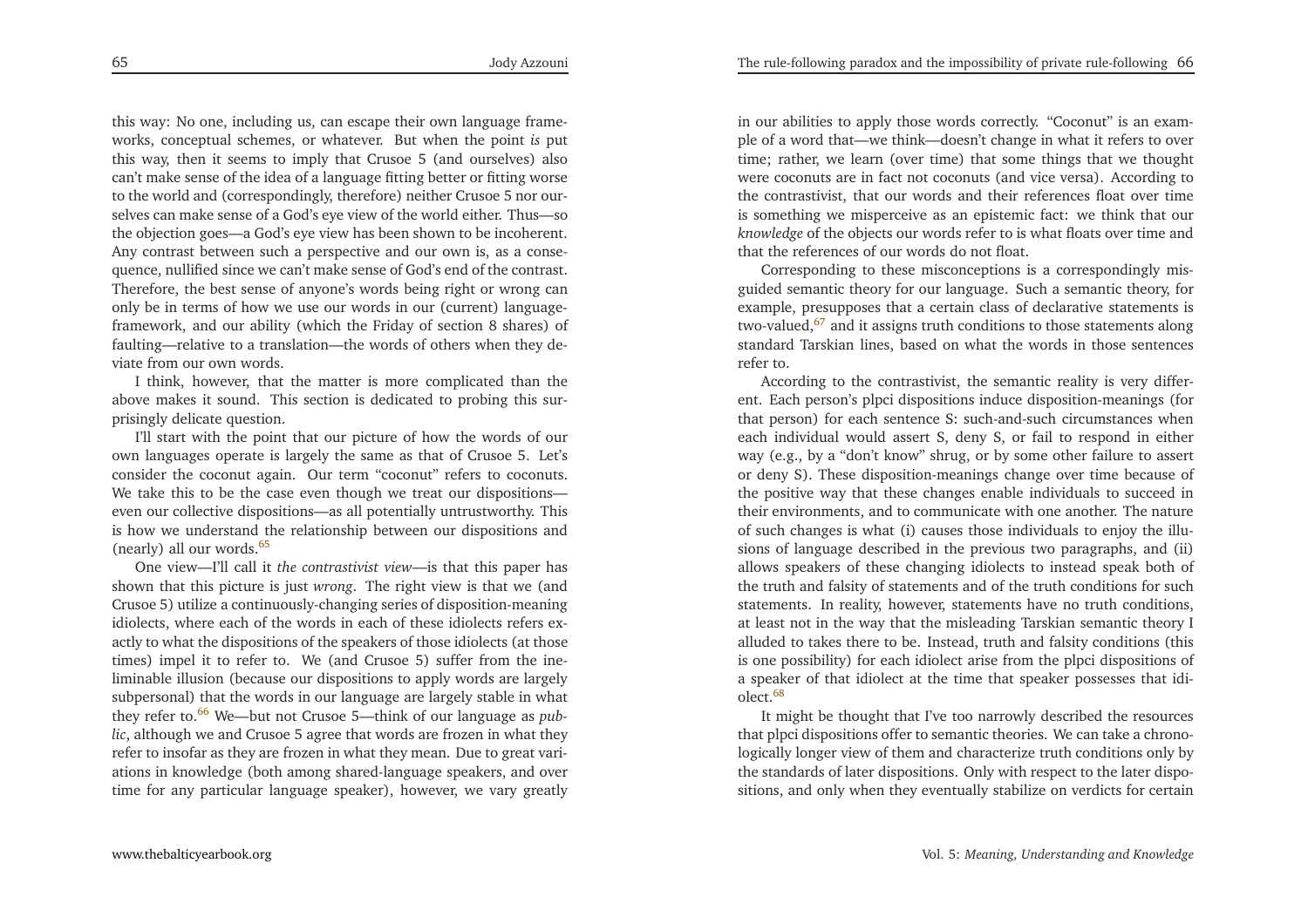65

<span id="page-33-3"></span><span id="page-33-1"></span>this way: No one, including us, can escape their own language frameworks, conceptual schemes, or whatever. But when the point *is* pu<sup>t</sup> this way, then it seems to imply that Crusoe <sup>5</sup> (and ourselves) also can't make sense of the idea of <sup>a</sup> language fitting better or fitting worse to the world and (correspondingly, therefore) neither Crusoe <sup>5</sup> nor ourselves can make sense of <sup>a</sup> God's eye view of the world either. Thus—so the objection goes—a God's eye view has been shown to be incoherent. Any contrast between such <sup>a</sup> perspective and our own is, as <sup>a</sup> consequence, nullified since we can't make sense of God's end of the contrast. Therefore, the best sense of anyone's words being right or wrong can only be in terms of how we use our words in our (current) languageframework, and our ability (which the Friday of section <sup>8</sup> shares) of faulting—relative to <sup>a</sup> translation—the words of others when they deviate from our own words.

<span id="page-33-0"></span><sup>I</sup> think, however, that the matter is more complicated than the above makes it sound. This section is dedicated to probing this surprisingly delicate question.

I'll start with the point that our <sup>p</sup>icture of how the words of our own languages operate is largely the same as that of Crusoe 5. Let's consider the coconut again. Our term "coconut" refers to coconuts. We take this to be the case even though we treat our dispositions even our collective dispositions—as all potentially untrustworthy. This is how we understand the relationship between our dispositions and(nearly) all our words. $65$ 

One view—I'll call it *the contrastivist view*—is that this paper has shown that this <sup>p</sup>icture is just *wrong*. The right view is that we (and Crusoe 5) utilize <sup>a</sup> continuously-changing series of disposition-meaning idiolects, where each of the words in each of these idiolects refers exactly to what the dispositions of the speakers of those idiolects (at those times) impel it to refer to. We (and Crusoe 5) suffer from the ineliminable illusion (because our dispositions to apply words are largely subpersonal) that the words in our language are largely stable in what they refer to.[66](#page-41-11) We—but not Crusoe 5—think of our language as *public*, although we and Crusoe <sup>5</sup> agree that words are frozen in what they refer to insofar as they are frozen in what they mean. Due to grea<sup>t</sup> variations in knowledge (both among shared-language speakers, and overtime for any particular language speaker), however, we vary greatly

<span id="page-33-2"></span>in our abilities to apply those words correctly. "Coconut" is an exam<sup>p</sup>le of <sup>a</sup> word that—we think—doesn't change in what it refers to over time; rather, we learn (over time) that some things that we thought were coconuts are in fact not coconuts (and vice versa). According to the contrastivist, that our words and their references float over time is something we misperceive as an epistemic fact: we think that our *knowledge* of the objects our words refer to is what floats over time andthat the references of our words do not float.

Corresponding to these misconceptions is <sup>a</sup> correspondingly misguided semantic theory for our language. Such <sup>a</sup> semantic theory, for example, presupposes that <sup>a</sup> certain class of declarative statements istwo-valued,<sup>[67](#page-41-12)</sup> and it assigns truth conditions to those statements along standard Tarskian lines, based on what the words in those sentencesrefer to.

According to the contrastivist, the semantic reality is very different. Each person's <sup>p</sup>lpci dispositions induce disposition-meanings (for that person) for each sentence S: such-and-such circumstances when each individual would assert S, deny S, or fail to respond in either way (e.g., by <sup>a</sup> "don't know" shrug, or by some other failure to assert or deny S). These disposition-meanings change over time because of the positive way that these changes enable individuals to succeed in their environments, and to communicate with one another. The nature of such changes is what (i) causes those individuals to enjoy the illusions of language described in the previous two paragraphs, and (ii) allows speakers of these changing idiolects to instead speak both of the truth and falsity of statements and of the truth conditions for such statements. In reality, however, statements have no truth conditions, at least not in the way that the misleading Tarskian semantic theory <sup>I</sup> alluded to takes there to be. Instead, truth and falsity conditions (this is one possibility) for each idiolect arise from the <sup>p</sup>lpci dispositions of<sup>a</sup> speaker of that idiolect at the time that speaker possesses that idi-olect.<sup>[68](#page-41-13)</sup>

It might be thought that I've too narrowly described the resources that <sup>p</sup>lpci dispositions offer to semantic theories. We can take <sup>a</sup> chronologically longer view of them and characterize truth conditions only by the standards of later dispositions. Only with respec<sup>t</sup> to the later dispositions, and only when they eventually stabilize on verdicts for certain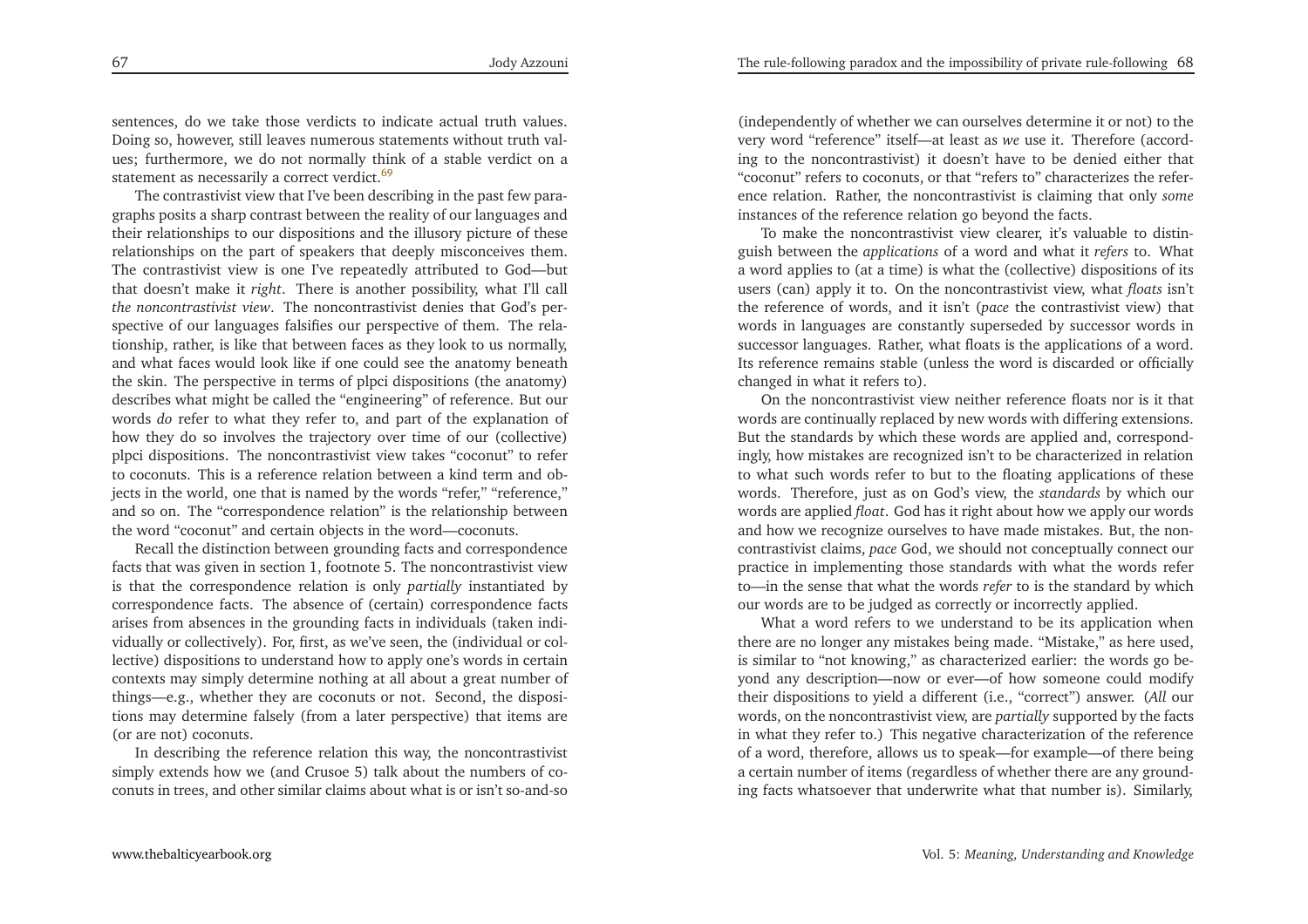sentences, do we take those verdicts to indicate actual truth values. Doing so, however, still leaves numerous statements without truth values; furthermore, we do not normally think of <sup>a</sup> stable verdict on <sup>a</sup>statement as necessarily a correct verdict.<sup>[69](#page-41-14)</sup>

The contrastivist view that I've been describing in the pas<sup>t</sup> few paragraphs posits <sup>a</sup> sharp contrast between the reality of our languages and their relationships to our dispositions and the illusory <sup>p</sup>icture of these relationships on the par<sup>t</sup> of speakers that deeply misconceives them. The contrastivist view is one I've repeatedly attributed to God—but that doesn't make it *right*. There is another possibility, what I'll call *the noncontrastivist view*. The noncontrastivist denies that God's perspective of our languages falsifies our perspective of them. The relationship, rather, is like that between faces as they look to us normally, and what faces would look like if one could see the anatomy beneath the skin. The perspective in terms of <sup>p</sup>lpci dispositions (the anatomy) describes what might be called the "engineering" of reference. But our words *do* refer to what they refer to, and par<sup>t</sup> of the explanation of how they do so involves the trajectory over time of our (collective) <sup>p</sup>lpci dispositions. The noncontrastivist view takes "coconut" to referto coconuts. This is a reference relation between a kind term and ob-<br>isote in the suced a gree that is named by the suced effects.<sup>9</sup> furtherness? jects in the world, one that is named by the words "refer," "reference," and so on. The "correspondence relation" is the relationship betweenthe word "coconut" and certain objects in the word—coconuts.

Recall the distinction between grounding facts and correspondence facts that was <sup>g</sup>iven in section 1, footnote 5. The noncontrastivist view is that the correspondence relation is only *partially* instantiated by correspondence facts. The absence of (certain) correspondence facts arises from absences in the grounding facts in individuals (taken individually or collectively). For, first, as we've seen, the (individual or collective) dispositions to understand how to apply one's words in certain contexts may simply determine nothing at all about <sup>a</sup> grea<sup>t</sup> number ofthings—e.g., whether they are coconuts or not. Second, the dispositions may determine falsely (from <sup>a</sup> later perspective) that items are(or are not) coconuts.

In describing the reference relation this way, the noncontrastivist simply extends how we (and Crusoe 5) talk about the numbers of coconuts in trees, and other similar claims about what is or isn't so-and-so

(independently of whether we can ourselves determine it or not) to the very word "reference" itself—at least as *we* use it. Therefore (according to the noncontrastivist) it doesn't have to be denied either that "coconut" refers to coconuts, or that "refers to" characterizes the reference relation. Rather, the noncontrastivist is claiming that only *some* instances of the reference relation go beyond the facts.

To make the noncontrastivist view clearer, it's valuable to distinguish between the *applications* of <sup>a</sup> word and what it *refers* to. What <sup>a</sup> word applies to (at <sup>a</sup> time) is what the (collective) dispositions of its users (can) apply it to. On the noncontrastivist view, what *floats* isn't the reference of words, and it isn't (*pace* the contrastivist view) that words in languages are constantly superseded by successor words in successor languages. Rather, what floats is the applications of <sup>a</sup> word. Its reference remains stable (unless the word is discarded or officiallychanged in what it refers to).

<span id="page-34-0"></span>On the noncontrastivist view neither reference floats nor is it that words are continually replaced by new words with differing extensions. But the standards by which these words are applied and, correspondingly, how mistakes are recognized isn't to be characterized in relation to what such words refer to but to the floating applications of these words. Therefore, just as on God's view, the *standards* by which our words are applied *float*. God has it right about how we apply our words and how we recognize ourselves to have made mistakes. But, the noncontrastivist claims, *pace* God, we should not conceptually connect our practice in implementing those standards with what the words refer to—in the sense that what the words *refer* to is the standard by whichour words are to be judged as correctly or incorrectly applied.

What <sup>a</sup> word refers to we understand to be its application when there are no longer any mistakes being made. "Mistake," as here used, is similar to "not knowing," as characterized earlier: the words go beyond any description—now or ever—of how someone could modify their dispositions to <sup>y</sup>ield <sup>a</sup> different (i.e., "correct") answer. (*All* our words, on the noncontrastivist view, are *partially* supported by the facts in what they refer to.) This negative characterization of the reference of <sup>a</sup> word, therefore, allows us to speak—for example—of there being <sup>a</sup> certain number of items (regardless of whether there are any grounding facts whatsoever that underwrite what that number is). Similarly,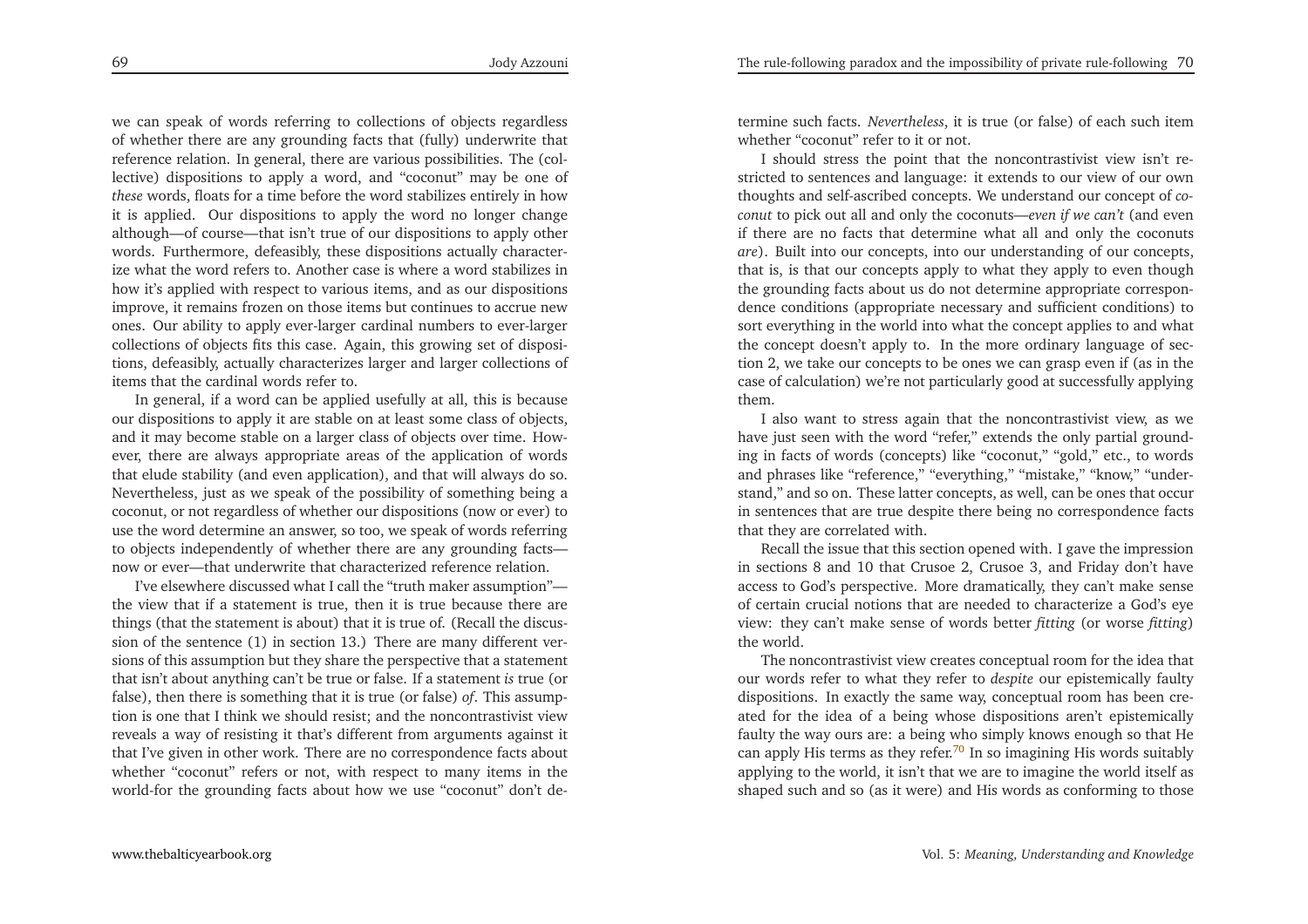we can speak of words referring to collections of objects regardless of whether there are any grounding facts that (fully) underwrite that reference relation. In general, there are various possibilities. The (collective) dispositions to apply <sup>a</sup> word, and "coconut" may be one of *these* words, floats for <sup>a</sup> time before the word stabilizes entirely in how it is applied. Our dispositions to apply the word no longer change although—of course—that isn't true of our dispositions to apply other words. Furthermore, defeasibly, these dispositions actually characterize what the word refers to. Another case is where <sup>a</sup> word stabilizes in how it's applied with respec<sup>t</sup> to various items, and as our dispositions improve, it remains frozen on those items but continues to accrue new ones. Our ability to apply ever-larger cardinal numbers to ever-larger collections of objects fits this case. Again, this growing set of dispositions, defeasibly, actually characterizes larger and larger collections ofitems that the cardinal words refer to.

<span id="page-35-0"></span>In general, if <sup>a</sup> word can be applied usefully at all, this is because our dispositions to apply it are stable on at least some class of objects, and it may become stable on <sup>a</sup> larger class of objects over time. However, there are always appropriate areas of the application of words that elude stability (and even application), and that will always do so. Nevertheless, just as we speak of the possibility of something being <sup>a</sup> coconut, or not regardless of whether our dispositions (now or ever) to use the word determine an answer, so too, we speak of words referring to objects independently of whether there are any grounding factsnow or ever—that underwrite that characterized reference relation.

I've elsewhere discussed what <sup>I</sup> call the "truth maker assumption" the view that if <sup>a</sup> statement is true, then it is true because there are things (that the statement is about) that it is true of. (Recall the discussion of the sentence (1) in section 13.) There are many different versions of this assumption but they share the perspective that <sup>a</sup> statement that isn't about anything can't be true or false. If <sup>a</sup> statement *is* true (or false), then there is something that it is true (or false) *of*. This assumption is one that <sup>I</sup> think we should resist; and the noncontrastivist view reveals <sup>a</sup> way of resisting it that's different from arguments against it that I've <sup>g</sup>iven in other work. There are no correspondence facts about whether "coconut" refers or not, with respec<sup>t</sup> to many items in theworld-for the grounding facts about how we use "coconut" don't determine such facts. *Nevertheless*, it is true (or false) of each such itemwhether "coconut" refer to it or not.

<sup>I</sup> should stress the point that the noncontrastivist view isn't restricted to sentences and language: it extends to our view of our own thoughts and self-ascribed concepts. We understand our concep<sup>t</sup> of *coconut* to <sup>p</sup>ick out all and only the coconuts—*even if we can't* (and even if there are no facts that determine what all and only the coconuts *are*). Built into our concepts, into our understanding of our concepts, that is, is that our concepts apply to what they apply to even though the grounding facts about us do not determine appropriate correspondence conditions (appropriate necessary and sufficient conditions) to sort everything in the world into what the concep<sup>t</sup> applies to and what the concep<sup>t</sup> doesn't apply to. In the more ordinary language of section 2, we take our concepts to be ones we can grasp even if (as in the case of calculation) we're not particularly good at successfully applyingthem.

 <sup>I</sup> also want to stress again that the noncontrastivist view, as we have just seen with the word "refer," extends the only partial grounding in facts of words (concepts) like "coconut," "gold," etc., to words and <sup>p</sup>hrases like "reference," "everything," "mistake," "know," "understand," and so on. These latter concepts, as well, can be ones that occur in sentences that are true despite there being no correspondence factsthat they are correlated with.

Recall the issue that this section opened with. <sup>I</sup> gave the impression in sections <sup>8</sup> and <sup>10</sup> that Crusoe 2, Crusoe 3, and Friday don't have access to God's perspective. More dramatically, they can't make sense of certain crucial notions that are needed to characterize <sup>a</sup> God's eye view: they can't make sense of words better *fitting* (or worse *fitting*) the world.

The noncontrastivist view creates conceptual room for the idea that our words refer to what they refer to *despite* our epistemically faulty dispositions. In exactly the same way, conceptual room has been created for the idea of <sup>a</sup> being whose dispositions aren't epistemically faulty the way ours are: <sup>a</sup> being who simply knows enough so that Hecan apply His terms as they refer.<sup>[70](#page-41-15)</sup> In so imagining His words suitably applying to the world, it isn't that we are to imagine the world itself asshaped such and so (as it were) and His words as conforming to those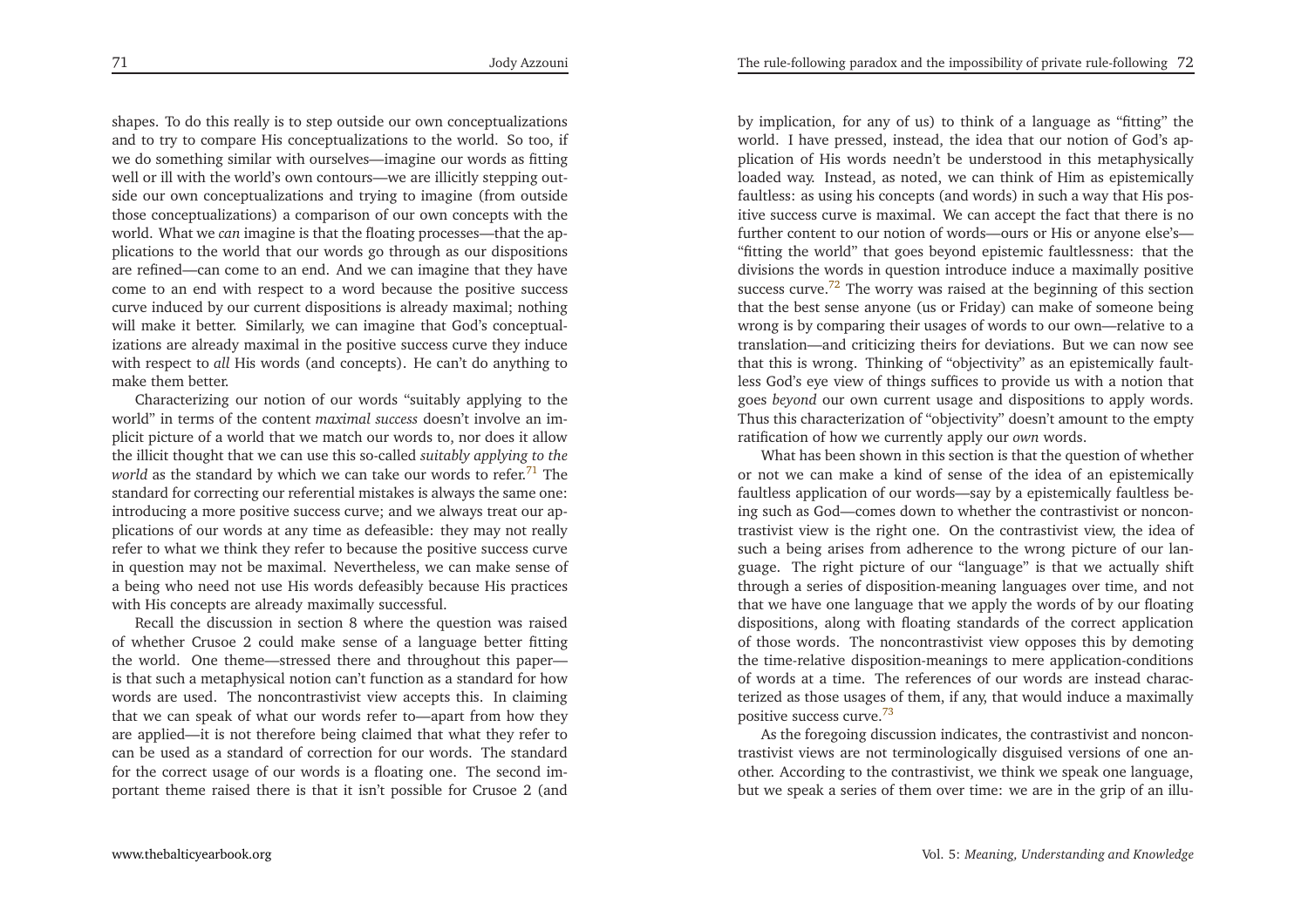<span id="page-36-2"></span>shapes. To do this really is to step outside our own conceptualizations and to try to compare His conceptualizations to the world. So too, if we do something similar with ourselves—imagine our words as fitting well or ill with the world's own contours—we are illicitly stepping outside our own conceptualizations and trying to imagine (from outside<br>these conceptualizations) a comparison of sur sum consents with the those conceptualizations) <sup>a</sup> comparison of our own concepts with the world. What we *can* imagine is that the floating processes—that the ap<sup>p</sup>lications to the world that our words go through as our dispositions are refined—can come to an end. And we can imagine that they have come to an end with respec<sup>t</sup> to <sup>a</sup> word because the positive success curve induced by our current dispositions is already maximal; nothing will make it better. Similarly, we can imagine that God's conceptualizations are already maximal in the positive success curve they induce with respec<sup>t</sup> to *all* His words (and concepts). He can't do anything to make them better.

Characterizing our notion of our words "suitably applying to the world" in terms of the content *maximal success* doesn't involve an im<sup>p</sup>licit <sup>p</sup>icture of <sup>a</sup> world that we match our words to, nor does it allow the illicit thought that we can use this so-called *suitably applying to the* world as the standard by which we can take our words to refer.<sup>[71](#page-41-16)</sup> The standard for correcting our referential mistakes is always the same one: introducing <sup>a</sup> more positive success curve; and we always treat our ap<sup>p</sup>lications of our words at any time as defeasible: they may not really refer to what we think they refer to because the positive success curve in question may not be maximal. Nevertheless, we can make sense of <sup>a</sup> being who need not use His words defeasibly because His practiceswith His concepts are already maximally successful.

Recall the discussion in section <sup>8</sup> where the question was raised of whether Crusoe <sup>2</sup> could make sense of <sup>a</sup> language better fitting the world. One theme—stressed there and throughout this paper is that such <sup>a</sup> metaphysical notion can't function as <sup>a</sup> standard for how words are used. The noncontrastivist view accepts this. In claiming that we can speak of what our words refer to—apart from how they are applied—it is not therefore being claimed that what they refer to can be used as <sup>a</sup> standard of correction for our words. The standard for the correct usage of our words is <sup>a</sup> floating one. The second important theme raised there is that it isn't possible for Crusoe <sup>2</sup> (and

<span id="page-36-1"></span>by implication, for any of us) to think of <sup>a</sup> language as "fitting" the world. <sup>I</sup> have pressed, instead, the idea that our notion of God's ap<sup>p</sup>lication of His words needn't be understood in this metaphysically loaded way. Instead, as noted, we can think of Him as epistemically faultless: as using his concepts (and words) in such <sup>a</sup> way that His positive success curve is maximal. We can accep<sup>t</sup> the fact that there is no further content to our notion of words—ours or His or anyone else's— "fitting the world" that goes beyond epistemic faultlessness: that the divisions the words in question introduce induce <sup>a</sup> maximally positivesuccess curve.<sup>[72](#page-41-17)</sup> The worry was raised at the beginning of this section that the best sense anyone (us or Friday) can make of someone being wrong is by comparing their usages of words to our own—relative to <sup>a</sup> translation—and criticizing theirs for deviations. But we can now see that this is wrong. Thinking of "objectivity" as an epistemically faultless God's eye view of things suffices to provide us with <sup>a</sup> notion that goes *beyond* our own current usage and dispositions to apply words. Thus this characterization of "objectivity" doesn't amount to the emptyratification of how we currently apply our *own* words.

<span id="page-36-0"></span>What has been shown in this section is that the question of whether or not we can make <sup>a</sup> kind of sense of the idea of an epistemically faultless application of our words—say by <sup>a</sup> epistemically faultless being such as God—comes down to whether the contrastivist or noncontrastivist view is the right one. On the contrastivist view, the idea of such <sup>a</sup> being arises from adherence to the wrong <sup>p</sup>icture of our language. The right <sup>p</sup>icture of our "language" is that we actually shift through <sup>a</sup> series of disposition-meaning languages over time, and not that we have one language that we apply the words of by our floating dispositions, along with floating standards of the correct application of those words. The noncontrastivist view opposes this by demoting the time-relative disposition-meanings to mere application-conditions of words at <sup>a</sup> time. The references of our words are instead characterized as those usages of them, if any, that would induce <sup>a</sup> maximallypositive success curve.[73](#page-41-18)

As the foregoing discussion indicates, the contrastivist and noncontrastivist views are not terminologically disguised versions of one another. According to the contrastivist, we think we speak one language, but we speak <sup>a</sup> series of them over time: we are in the grip of an illu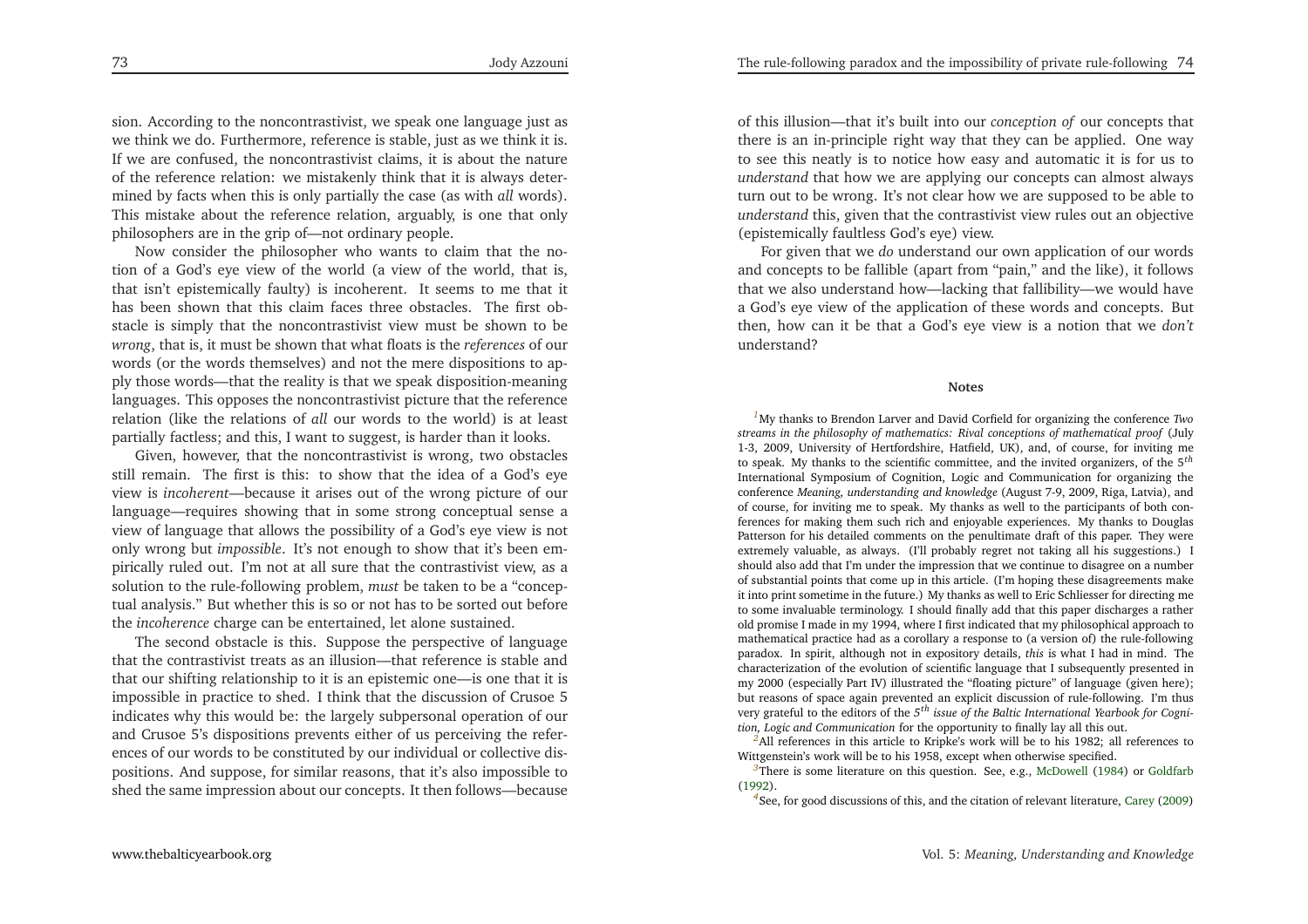<span id="page-37-2"></span><span id="page-37-1"></span><span id="page-37-0"></span>sion. According to the noncontrastivist, we speak one language just as we think we do. Furthermore, reference is stable, just as we think it is. If we are confused, the noncontrastivist claims, it is about the nature of the reference relation: we mistakenly think that it is always determined by facts when this is only partially the case (as with *all* words). This mistake about the reference relation, arguably, is one that only<sup>p</sup>hilosophers are in the grip of—not ordinary people.

Now consider the <sup>p</sup>hilosopher who wants to claim that the notion of <sup>a</sup> God's eye view of the world (a view of the world, that is, that isn't epistemically faulty) is incoherent. It seems to me that it has been shown that this claim faces three obstacles. The first obstacle is simply that the noncontrastivist view must be shown to be *wrong*, that is, it must be shown that what floats is the *references* of our words (or the words themselves) and not the mere dispositions to ap<sup>p</sup>ly those words—that the reality is that we speak disposition-meaning languages. This opposes the noncontrastivist <sup>p</sup>icture that the reference relation (like the relations of *all* our words to the world) is at leastpartially factless; and this, <sup>I</sup> want to suggest, is harder than it looks.

Given, however, that the noncontrastivist is wrong, two obstacles still remain. The first is this: to show that the idea of <sup>a</sup> God's eye view is *incoherent*—because it arises out of the wrong <sup>p</sup>icture of our language—requires showing that in some strong conceptual sense <sup>a</sup> view of language that allows the possibility of <sup>a</sup> God's eye view is not only wrong but *impossible*. It's not enoug<sup>h</sup> to show that it's been em<sup>p</sup>irically ruled out. I'm not at all sure that the contrastivist view, as <sup>a</sup> solution to the rule-following problem, *must* be taken to be <sup>a</sup> "conceptual analysis." But whether this is so or not has to be sorted out beforethe *incoherence* charge can be entertained, let alone sustained.

The second obstacle is this. Suppose the perspective of language that the contrastivist treats as an illusion—that reference is stable and that our shifting relationship to it is an epistemic one—is one that it is impossible in practice to shed. <sup>I</sup> think that the discussion of Crusoe <sup>5</sup> indicates why this would be: the largely subpersonal operation of our and Crusoe 5's dispositions prevents either of us perceiving the references of our words to be constituted by our individual or collective dispositions. And suppose, for similar reasons, that it's also impossible to shed the same impression about our concepts. It then follows—because

of this illusion—that it's built into our *conception of* our concepts that there is an in-principle right way that they can be applied. One way to see this neatly is to notice how easy and automatic it is for us to *understand* that how we are applying our concepts can almost always turn out to be wrong. It's not clear how we are supposed to be able to *understand* this, <sup>g</sup>iven that the contrastivist view rules out an objective (epistemically faultless God's eye) view.

For <sup>g</sup>iven that we *do* understand our own application of our words and concepts to be fallible (apart from "pain," and the like), it follows that we also understand how—lacking that fallibility—we would have <sup>a</sup> God's eye view of the application of these words and concepts. But then, how can it be that <sup>a</sup> God's eye view is <sup>a</sup> notion that we *don't* understand?

#### **Notes**

*[1](#page-1-0)*My thanks to Brendon Larver and David Corfield for organizing the conference *Two* streams in the philosophy of mathematics: Rival conceptions of mathematical proof (July 1-3, 2009, University of Hertfordshire, Hatfield, UK), and, of course, for inviting me to speak. My thanks to the scientific committee, and the invited organizers, of the <sup>5</sup>*th* International Symposium of Cognition, Logic and Communication for organizing the conference *Meaning, understanding and knowledge* (August 7-9, 2009, Riga, Latvia), and of course, for inviting me to speak. My thanks as well to the participants of both conferences for making them such rich and enjoyable experiences. My thanks to Douglas Patterson for his detailed comments on the penultimate draft of this paper. They were extremely valuable, as always. (I'll probably regre<sup>t</sup> not taking all his suggestions.) <sup>I</sup> should also add that I'm under the impression that we continue to disagree on <sup>a</sup> number of substantial points that come up in this article. (I'm hoping these disagreements make it into print sometime in the future.) My thanks as well to Eric Schliesser for directing me to some invaluable terminology. <sup>I</sup> should finally add that this paper discharges <sup>a</sup> rather old promise <sup>I</sup> made in my 1994, where <sup>I</sup> first indicated that my <sup>p</sup>hilosophical approach to mathematical practice had as <sup>a</sup> corollary <sup>a</sup> response to (a version of) the rule-following paradox. In spirit, although not in expository details, *this* is what <sup>I</sup> had in mind. The characterization of the evolution of scientific language that <sup>I</sup> subsequently presented in my <sup>2000</sup> (especially Part IV) illustrated the "floating <sup>p</sup>icture" of language (given here); but reasons of space again prevented an explicit discussion of rule-following. I'm thus very grateful to the editors of the *<sup>5</sup>th issue of the Baltic International Yearbook for Cognition, Logic and Communication* for the opportunity to finally lay all this out.

*[2](#page-1-1)*All references in this article to Kripke's work will be to his 1982; all references toWittgenstein's work will be to his 1958, excep<sup>t</sup> when otherwise specified.

*[3](#page-1-2)*There is some literature on this question. See, e.g., [McDowell](#page-41-19) [\(1984](#page-41-19)) or [Goldfarb](#page-41-20)[\(1992](#page-41-20)).

*[4](#page-2-0)*See, for good discussions of this, and the citation of relevant literature, [Carey](#page-41-21) [\(2009](#page-41-21))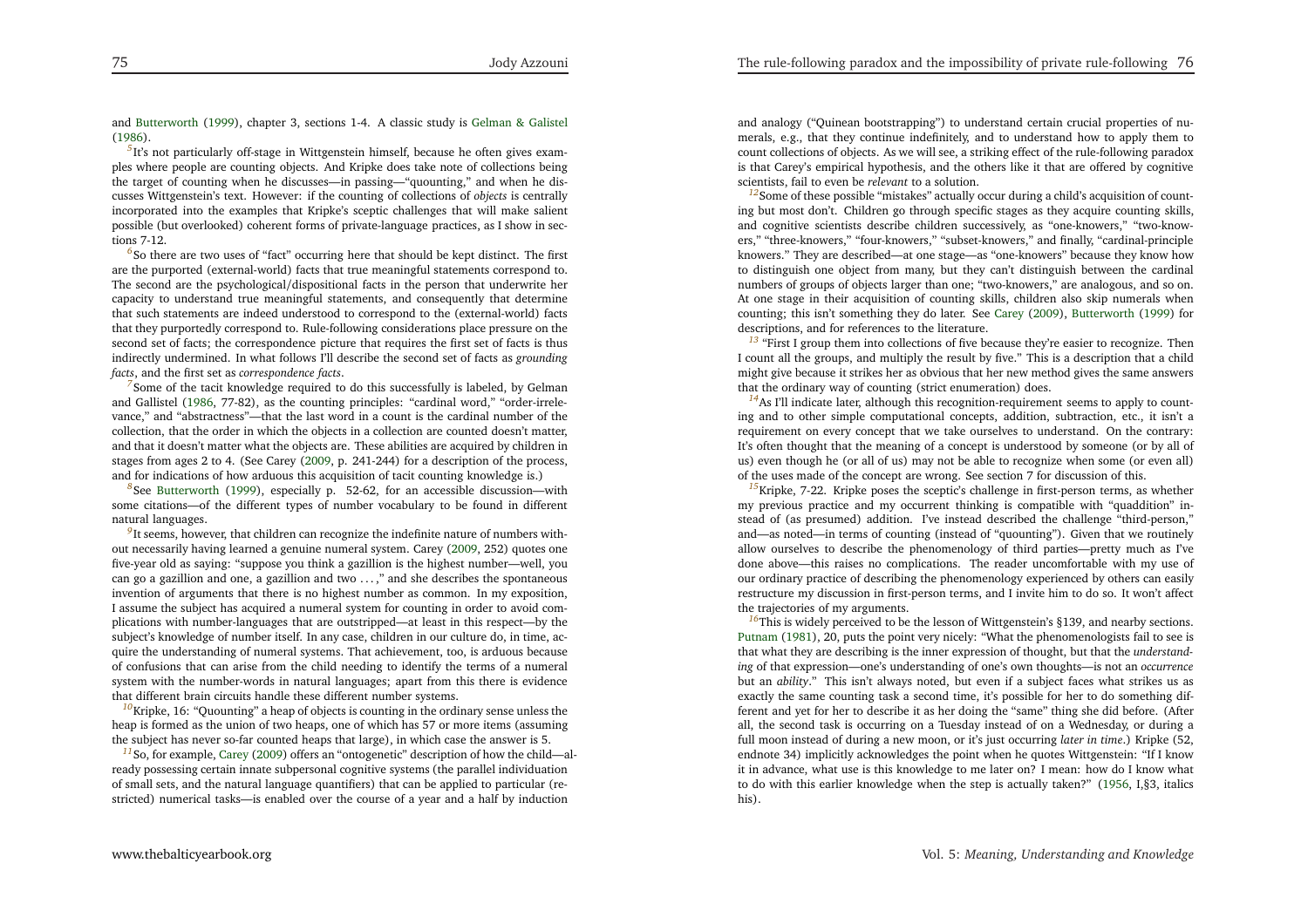<span id="page-38-11"></span>and [Butterworth](#page-41-22) [\(1999\)](#page-41-22), chapter 3, sections 1-4. <sup>A</sup> classic study is [Gelman](#page-41-23) & Galistel [\(1986](#page-41-23)).

<span id="page-38-6"></span> *[5](#page-2-1)*It's not particularly off-stage in Wittgenstein himself, because he often <sup>g</sup>ives exam<sup>p</sup>les where people are counting objects. And Kripke does take note of collections being the target of counting when he discusses—in passing—"quounting," and when he discusses Wittgenstein's text. However: if the counting of collections of *objects* is centrally incorporated into the examples that Kripke's sceptic challenges that will make salient possible (but overlooked) coherent forms of private-language practices, as <sup>I</sup> show in sections 7-12.

<span id="page-38-4"></span>*[6](#page-2-2)*So there are two uses of "fact" occurring here that should be kept distinct. The first are the purported (external-world) facts that true meaningful statements correspond to. The second are the psychological/dispositional facts in the person that underwrite her capacity to understand true meaningful statements, and consequently that determine that such statements are indeed understood to correspond to the (external-world) facts that they purportedly correspond to. Rule-following considerations <sup>p</sup>lace pressure on the second set of facts; the correspondence <sup>p</sup>icture that requires the first set of facts is thus indirectly undermined. In what follows I'll describe the second set of facts as *groundingfacts*, and the first set as *correspondence facts*.

*[7](#page-2-3)*Some of the tacit knowledge required to do this successfully is labeled, by Gelman and Gallistel [\(1986](#page-41-23), 77-82), as the counting principles: "cardinal word," "order-irrelevance," and "abstractness"—that the last word in <sup>a</sup> count is the cardinal number of the collection, that the order in which the objects in <sup>a</sup> collection are counted doesn't matter, and that it doesn't matter what the objects are. These abilities are acquired by children in stages from ages <sup>2</sup> to 4. (See Carey [\(2009](#page-41-21), p. 241-244) for <sup>a</sup> description of the process, and for indications of how arduous this acquisition of tacit counting knowledge is.)

<span id="page-38-12"></span><span id="page-38-5"></span> *[8](#page-3-0)*See [Butterworth](#page-41-22) [\(1999](#page-41-22)), especially p. 52-62, for an accessible discussion—with some citations—of the different types of number vocabulary to be found in different natural languages.

<sup>[9](#page-3-1)</sup>It seems, however, that children can recognize the indefinite nature of numbers without necessarily having learned <sup>a</sup> genuine numeral system. Carey [\(2009](#page-41-21), 252) quotes one five-year old as saying: "suppose you think <sup>a</sup> gazillion is the highest number—well, you can go <sup>a</sup> gazillion and one, <sup>a</sup> gazillion and two . . . ," and she describes the spontaneous invention of arguments that there is no highest number as common. In my exposition, <sup>I</sup> assume the subject has acquired <sup>a</sup> numeral system for counting in order to avoid com<sup>p</sup>lications with number-languages that are outstripped—at least in this respect—by the subject's knowledge of number itself. In any case, children in our culture do, in time, acquire the understanding of numeral systems. That achievement, too, is arduous because of confusions that can arise from the child needing to identify the terms of <sup>a</sup> numeral system with the number-words in natural languages; apar<sup>t</sup> from this there is evidencethat different brain circuits handle these different number systems.

*[10](#page-3-2)*Kripke, 16: "Quounting" <sup>a</sup> heap of objects is counting in the ordinary sense unless the heap is formed as the union of two heaps, one of which has <sup>57</sup> or more items (assumingthe subject has never so-far counted heaps that large), in which case the answer is 5.

*[11](#page-3-3)*So, for example, [Carey](#page-41-21) [\(2009](#page-41-21)) offers an "ontogenetic" description of how the child—already possessing certain innate subpersonal cognitive systems (the parallel individuation of small sets, and the natural language quantifiers) that can be applied to particular (restricted) numerical tasks—is enabled over the course of <sup>a</sup> year and <sup>a</sup> half by induction

<span id="page-38-10"></span><span id="page-38-9"></span><span id="page-38-7"></span><span id="page-38-2"></span><span id="page-38-1"></span><span id="page-38-0"></span>and analogy ("Quinean bootstrapping") to understand certain crucial properties of numerals, e.g., that they continue indefinitely, and to understand how to apply them to count collections of objects. As we will see, <sup>a</sup> striking effect of the rule-following paradox is that Carey's empirical hypothesis, and the others like it that are offered by cognitivescientists, fail to even be *relevant* to <sup>a</sup> solution.

<sup>[12](#page-3-4)</sup>Some of these possible "mistakes" actually occur during a child's acquisition of counting but most don't. Children go through specific stages as they acquire counting skills, and cognitive scientists describe children successively, as "one-knowers," "two-knowers," "three-knowers," "four-knowers," "subset-knowers," and finally, "cardinal-principle knowers." They are described—at one stage—as "one-knowers" because they know how to distinguish one object from many, but they can't distinguish between the cardinal numbers of groups of objects larger than one; "two-knowers," are analogous, and so on. At one stage in their acquisition of counting skills, children also skip numerals when counting; this isn't something they do later. See [Carey](#page-41-21) [\(2009](#page-41-21)), [Butterworth](#page-41-22) [\(1999](#page-41-22)) for descriptions, and for references to the literature.

<span id="page-38-3"></span>*[13](#page-4-0)* "First <sup>I</sup> group them into collections of five because they're easier to recognize. Then <sup>I</sup> count all the groups, and multiply the result by five." This is <sup>a</sup> description that <sup>a</sup> child might <sup>g</sup>ive because it strikes her as obvious that her new method <sup>g</sup>ives the same answersthat the ordinary way of counting (strict enumeration) does.

*[14](#page-4-1)*As I'll indicate later, although this recognition-requirement seems to apply to counting and to other simple computational concepts, addition, subtraction, etc., it isn't <sup>a</sup> requirement on every concep<sup>t</sup> that we take ourselves to understand. On the contrary: It's often thought that the meaning of <sup>a</sup> concep<sup>t</sup> is understood by someone (or by all of us) even though he (or all of us) may not be able to recognize when some (or even all)of the uses made of the concep<sup>t</sup> are wrong. See section <sup>7</sup> for discussion of this.

<span id="page-38-8"></span>*[15](#page-5-0)*Kripke, 7-22. Kripke poses the sceptic's challenge in first-person terms, as whether my previous practice and my occurrent thinking is compatible with "quaddition" instead of (as presumed) addition. I've instead described the challenge "third-person," and—as noted—in terms of counting (instead of "quounting"). Given that we routinely allow ourselves to describe the <sup>p</sup>henomenology of third parties—pretty much as I've done above—this raises no complications. The reader uncomfortable with my use of our ordinary practice of describing the <sup>p</sup>henomenology experienced by others can easily restructure my discussion in first-person terms, and <sup>I</sup> invite him to do so. It won't affectthe trajectories of my arguments.

<sup>[16](#page-5-1)</sup>This is widely perceived to be the lesson of Wittgenstein's §139, and nearby sections. [Putnam](#page-41-24) [\(1981](#page-41-24)), 20, puts the point very nicely: "What the <sup>p</sup>henomenologists fail to see is that what they are describing is the inner expression of thought, but that the *understanding* of that expression—one's understanding of one's own thoughts—is not an *occurrence* but an *ability*." This isn't always noted, but even if <sup>a</sup> subject faces what strikes us as exactly the same counting task <sup>a</sup> second time, it's possible for her to do something different and ye<sup>t</sup> for her to describe it as her doing the "same" thing she did before. (After all, the second task is occurring on <sup>a</sup> Tuesday instead of on <sup>a</sup> Wednesday, or during <sup>a</sup> full moon instead of during <sup>a</sup> new moon, or it's just occurring *later in time*.) Kripke (52, endnote 34) implicitly acknowledges the point when he quotes Wittgenstein: "If <sup>I</sup> know it in advance, what use is this knowledge to me later on? <sup>I</sup> mean: how do <sup>I</sup> know what to do with this earlier knowledge when the step is actually taken?" [\(1956,](#page-42-1) I,§3, italicshis).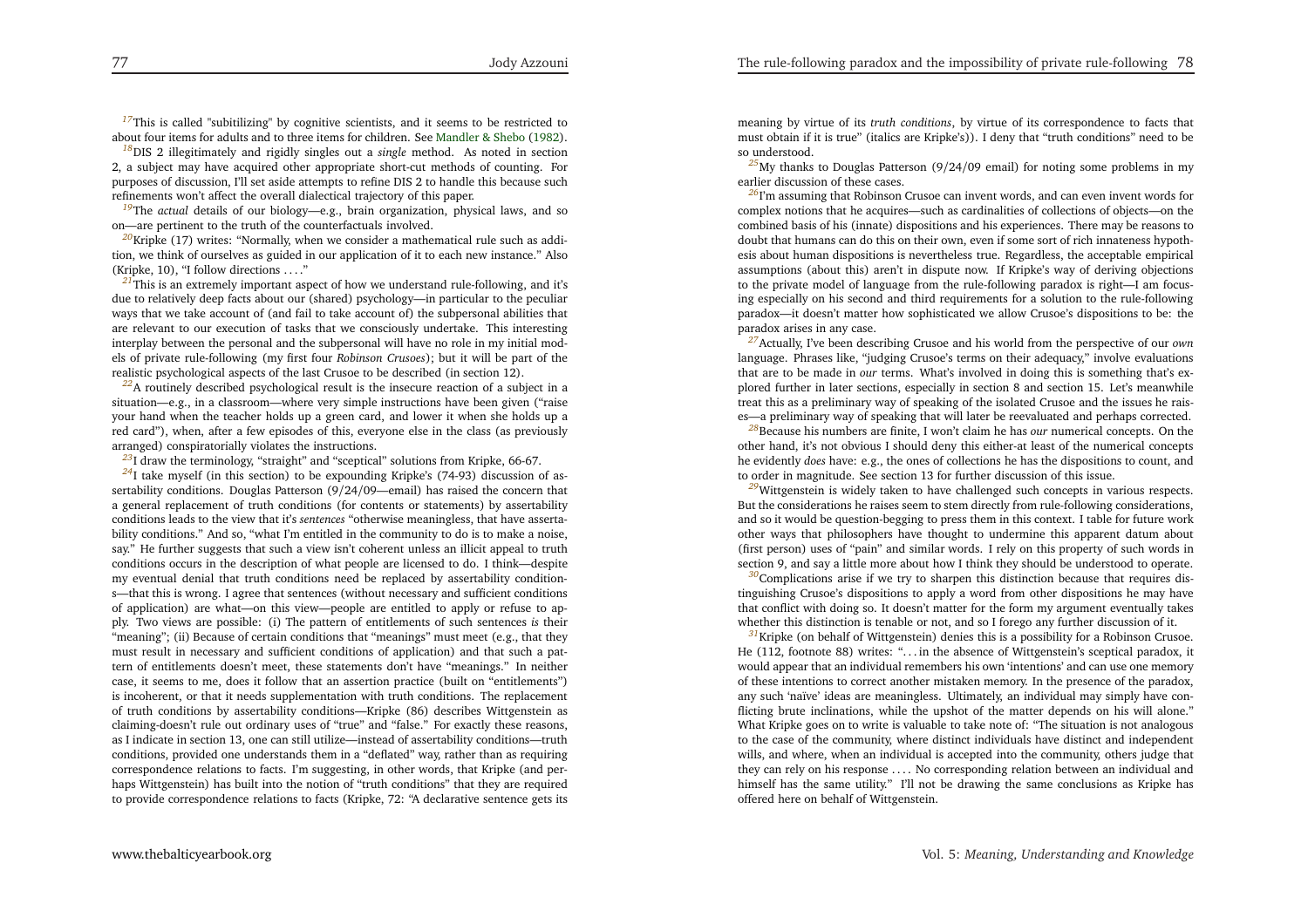<span id="page-39-14"></span><span id="page-39-13"></span><span id="page-39-12"></span><sup>[17](#page-5-2)</sup>This is called "subitilizing" by cognitive scientists, and it seems to be restricted to about four items for adults and to three items for children. See [Mandler](#page-41-25) & Shebo [\(1982](#page-41-25)).<br>-

*[18](#page-5-3)*DIS <sup>2</sup> illegitimately and rigidly singles out <sup>a</sup> *single* method. As noted in section 2, <sup>a</sup> subject may have acquired other appropriate short-cut methods of counting. For purposes of discussion, I'll set aside attempts to refine DIS <sup>2</sup> to handle this because suchrefinements won't affect the overall dialectical trajectory of this paper.

*[19](#page-6-0)*The *actual* details of our biology—e.g., brain organization, <sup>p</sup>hysical laws, and soon—are pertinent to the truth of the counterfactuals involved.

*[20](#page-6-1)*Kripke (17) writes: "Normally, when we consider <sup>a</sup> mathematical rule such as addition, we think of ourselves as guided in our application of it to each new instance." Also(Kripke, 10), "I follow directions . . . ."

 *[21](#page-7-0)*This is an extremely important aspec<sup>t</sup> of how we understand rule-following, and it's due to relatively deep facts about our (shared) psychology—in particular to the peculiar ways that we take account of (and fail to take account of) the subpersonal abilities that are relevant to our execution of tasks that we consciously undertake. This interesting interplay between the personal and the subpersonal will have no role in my initial models of private rule-following (my first four *Robinson Crusoes*); but it will be par<sup>t</sup> of therealistic psychological aspects of the last Crusoe to be described (in section 12).

*[22](#page-8-0)*<sup>A</sup> routinely described psychological result is the insecure reaction of <sup>a</sup> subject in <sup>a</sup> situation—e.g., in <sup>a</sup> classroom—where very simple instructions have been <sup>g</sup>iven ("raise your hand when the teacher holds up <sup>a</sup> green card, and lower it when she holds up <sup>a</sup> red card"), when, after <sup>a</sup> few episodes of this, everyone else in the class (as previouslyarranged) conspiratorially violates the instructions.

*[23](#page-8-1)*<sup>I</sup> draw the terminology, "straight" and "sceptical" solutions from Kripke, 66-67.

<sup>[24](#page-9-0)</sup>I take myself (in this section) to be expounding Kripke's (74-93) discussion of assertability conditions. Douglas Patterson (9/24/09—email) has raised the concern that <sup>a</sup> general replacement of truth conditions (for contents or statements) by assertability conditions leads to the view that it's *sentences* "otherwise meaningless, that have assertability conditions." And so, "what I'm entitled in the community to do is to make <sup>a</sup> noise, say." He further suggests that such <sup>a</sup> view isn't coherent unless an illicit appeal to truth conditions occurs in the description of what people are licensed to do. <sup>I</sup> think—despite my eventual denial that truth conditions need be replaced by assertability conditions—that this is wrong. <sup>I</sup> agree that sentences (without necessary and sufficient conditions of application) are what—on this view—people are entitled to apply or refuse to ap<sup>p</sup>ly. Two views are possible: (i) The pattern of entitlements of such sentences *is* their "meaning"; (ii) Because of certain conditions that "meanings" must meet (e.g., that they must result in necessary and sufficient conditions of application) and that such <sup>a</sup> pattern of entitlements doesn't meet, these statements don't have "meanings." In neither case, it seems to me, does it follow that an assertion practice (built on "entitlements") is incoherent, or that it needs supplementation with truth conditions. The replacement of truth conditions by assertability conditions—Kripke (86) describes Wittgenstein as claiming-doesn't rule out ordinary uses of "true" and "false." For exactly these reasons, as <sup>I</sup> indicate in section 13, one can still utilize—instead of assertability conditions—truth conditions, provided one understands them in <sup>a</sup> "deflated" way, rather than as requiring correspondence relations to facts. I'm suggesting, in other words, that Kripke (and perhaps Wittgenstein) has built into the notion of "truth conditions" that they are requiredto provide correspondence relations to facts (Kripke, 72: "A declarative sentence gets its

<span id="page-39-11"></span><span id="page-39-10"></span><span id="page-39-9"></span><span id="page-39-8"></span><span id="page-39-7"></span><span id="page-39-6"></span><span id="page-39-5"></span><span id="page-39-4"></span><span id="page-39-3"></span><span id="page-39-2"></span><span id="page-39-1"></span>meaning by virtue of its *truth conditions*, by virtue of its correspondence to facts that must obtain if it is true" (italics are Kripke's)). <sup>I</sup> deny that "truth conditions" need to beso understood.

*[25](#page-11-0)*My thanks to Douglas Patterson (9/24/<sup>09</sup> email) for noting some problems in myearlier discussion of these cases.

*[26](#page-12-0)*I'm assuming that Robinson Crusoe can invent words, and can even invent words for complex notions that he acquires—such as cardinalities of collections of objects—on the combined basis of his (innate) dispositions and his experiences. There may be reasons to doubt that humans can do this on their own, even if some sort of rich innateness hypothesis about human dispositions is nevertheless true. Regardless, the acceptable empirical assumptions (about this) aren't in dispute now. If Kripke's way of deriving objections to the private model of language from the rule-following paradox is right—I am focusing especially on his second and third requirements for <sup>a</sup> solution to the rule-following paradox—it doesn't matter how sophisticated we allow Crusoe's dispositions to be: theparadox arises in any case.

*[27](#page-12-1)*Actually, I've been describing Crusoe and his world from the perspective of our *own* language. Phrases like, "judging Crusoe's terms on their adequacy," involve evaluations that are to be made in *our* terms. What's involved in doing this is something that's ex<sup>p</sup>lored further in later sections, especially in section <sup>8</sup> and section 15. Let's meanwhile treat this as <sup>a</sup> preliminary way of speaking of the isolated Crusoe and the issues he raises—a preliminary way of speaking that will later be reevaluated and perhaps corrected.

*[28](#page-13-0)*Because his numbers are finite, <sup>I</sup> won't claim he has *our* numerical concepts. On the other hand, it's not obvious <sup>I</sup> should deny this either-at least of the numerical concepts he evidently *does* have: e.g., the ones of collections he has the dispositions to count, andto order in magnitude. See section <sup>13</sup> for further discussion of this issue.

<sup>[29](#page-13-1)</sup>Wittgenstein is widely taken to have challenged such concepts in various respects. But the considerations he raises seem to stem directly from rule-following considerations, and so it would be question-begging to press them in this context. <sup>I</sup> table for future work other ways that <sup>p</sup>hilosophers have thought to undermine this apparen<sup>t</sup> datum about (first person) uses of "pain" and similar words. <sup>I</sup> rely on this property of such words insection 9, and say <sup>a</sup> little more about how <sup>I</sup> think they should be understood to operate.

<span id="page-39-0"></span>*[30](#page-14-0)*Complications arise if we try to sharpen this distinction because that requires distinguishing Crusoe's dispositions to apply <sup>a</sup> word from other dispositions he may have that conflict with doing so. It doesn't matter for the form my argumen<sup>t</sup> eventually takeswhether this distinction is tenable or not, and so <sup>I</sup> forego any further discussion of it.

*[31](#page-14-1)*Kripke (on behalf of Wittgenstein) denies this is <sup>a</sup> possibility for <sup>a</sup> Robinson Crusoe. He (112, footnote 88) writes: "... in the absence of Wittgenstein's sceptical paradox, it would appear that an individual remembers his own 'intentions' and can use one memory of these intentions to correct another mistaken memory. In the presence of the paradox, any such 'naïve' ideas are meaningless. Ultimately, an individual may simply have conflicting brute inclinations, while the upshot of the matter depends on his will alone." What Kripke goes on to write is valuable to take note of: "The situation is not analogous to the case of the community, where distinct individuals have distinct and independent wills, and where, when an individual is accepted into the community, others judge that they can rely on his response . . . . No corresponding relation between an individual and himself has the same utility." I'll not be drawing the same conclusions as Kripke has offered here on behalf of Wittgenstein.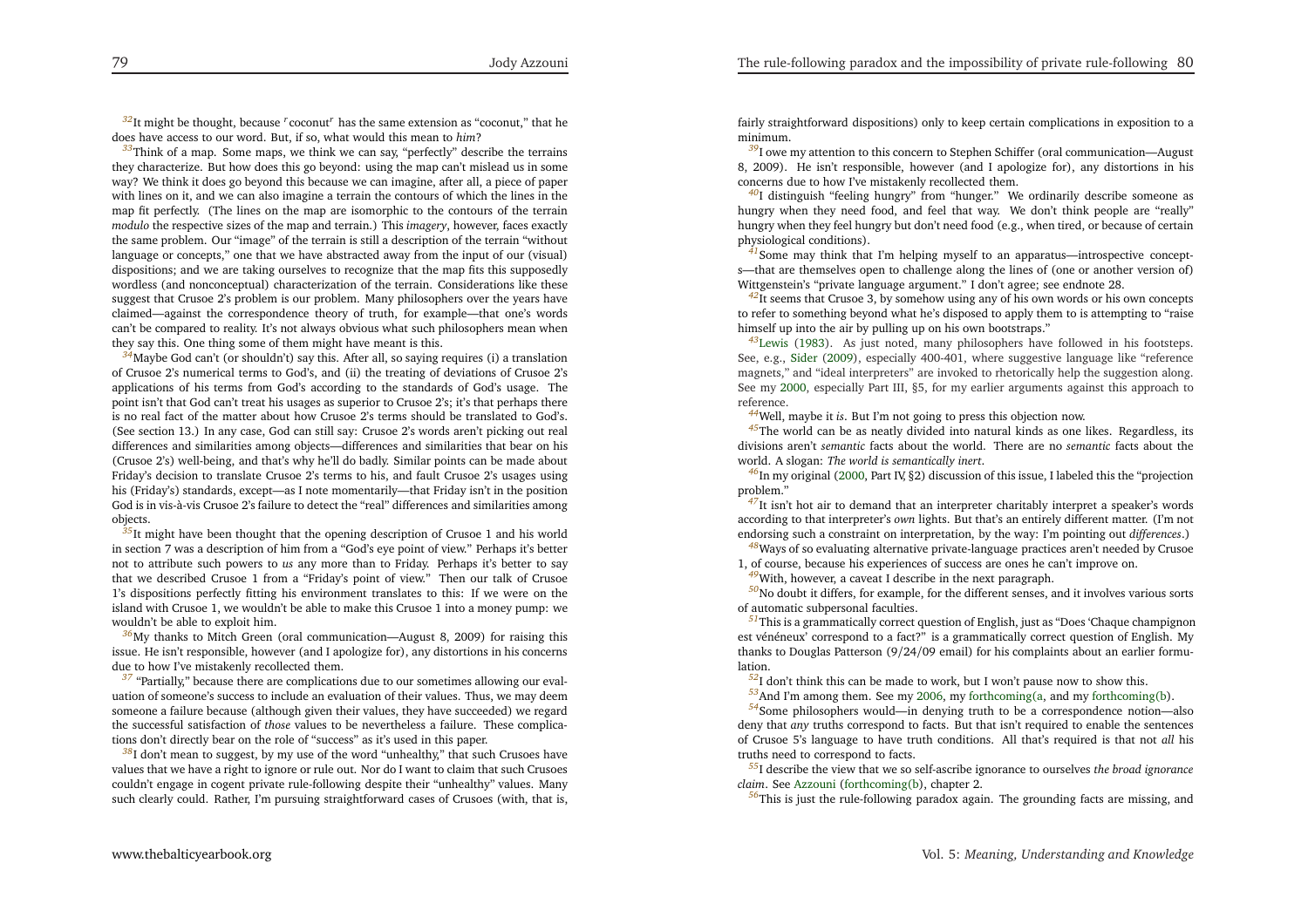<span id="page-40-22"></span><span id="page-40-20"></span><span id="page-40-19"></span><span id="page-40-18"></span><span id="page-40-17"></span><span id="page-40-16"></span><span id="page-40-15"></span><span id="page-40-4"></span><span id="page-40-3"></span><span id="page-40-2"></span>*[32](#page-15-0)*It might be thought, because *<sup>r</sup>* coconut*<sup>r</sup>* has the same extension as "coconut," that he does have access to our word. But, if so, what would this mean to *him*?

<span id="page-40-23"></span><span id="page-40-5"></span>*[33](#page-17-0)*Think of <sup>a</sup> map. Some maps, we think we can say, "perfectly" describe the terrains they characterize. But how does this go beyond: using the map can't mislead us in some way? We think it does go beyond this because we can imagine, after all, <sup>a</sup> <sup>p</sup>iece of paper with lines on it, and we can also imagine <sup>a</sup> terrain the contours of which the lines in the map fit perfectly. (The lines on the map are isomorphic to the contours of the terrain *modulo* the respective sizes of the map and terrain.) This *imagery*, however, faces exactly the same problem. Our "image" of the terrain is still <sup>a</sup> description of the terrain "withoutlanguage or concepts," one that we have abstracted away from the input of our (visual) dispositions; and we are taking ourselves to recognize that the map fits this supposedly wordless (and nonconceptual) characterization of the terrain. Considerations like these sugges<sup>t</sup> that Crusoe 2's problem is our problem. Many <sup>p</sup>hilosophers over the years have claimed—against the correspondence theory of truth, for example—that one's words can't be compared to reality. It's not always obvious what such <sup>p</sup>hilosophers mean whenthey say this. One thing some of them might have meant is this.

<span id="page-40-21"></span>*[34](#page-17-1)*Maybe God can't (or shouldn't) say this. After all, so saying requires (i) <sup>a</sup> translation of Crusoe 2's numerical terms to God's, and (ii) the treating of deviations of Crusoe 2's applications of his terms from God's according to the standards of God's usage. The point isn't that God can't treat his usages as superior to Crusoe 2's; it's that perhaps there is no real fact of the matter about how Crusoe 2's terms should be translated to God's. (See section 13.) In any case, God can still say: Crusoe 2's words aren't <sup>p</sup>icking out real differences and similarities among objects—differences and similarities that bear on his (Crusoe 2's) well-being, and that's why he'll do badly. Similar points can be made about Friday's decision to translate Crusoe 2's terms to his, and fault Crusoe 2's usages using his (Friday's) standards, except—as <sup>I</sup> note momentarily—that Friday isn't in the position God is in vis-à-vis Crusoe 2's failure to detect the "real" differences and similarities amongobjects.

 *[35](#page-17-2)*It might have been thought that the opening description of Crusoe <sup>1</sup> and his world in section <sup>7</sup> was <sup>a</sup> description of him from <sup>a</sup> "God's eye point of view." Perhaps it's better not to attribute such powers to *us* any more than to Friday. Perhaps it's better to say that we described Crusoe <sup>1</sup> from <sup>a</sup> "Friday's point of view." Then our talk of Crusoe 1's dispositions perfectly fitting his environment translates to this: If we were on the island with Crusoe 1, we wouldn't be able to make this Crusoe <sup>1</sup> into <sup>a</sup> money pump: we wouldn't be able to exploit him.

*[36](#page-18-0)*My thanks to Mitch Green (oral communication—August 8, 2009) for raising this issue. He isn't responsible, however (and <sup>I</sup> apologize for), any distortions in his concernsdue to how I've mistakenly recollected them.

*[37](#page-18-1)* "Partially," because there are complications due to our sometimes allowing our evaluation of someone's success to include an evaluation of their values. Thus, we may deem someone <sup>a</sup> failure because (although <sup>g</sup>iven their values, they have succeeded) we regard the successful satisfaction of *those* values to be nevertheless <sup>a</sup> failure. These complications don't directly bear on the role of "success" as it's used in this paper.

*[38](#page-18-2)*<sup>I</sup> don't mean to suggest, by my use of the word "unhealthy," that such Crusoes have values that we have <sup>a</sup> right to ignore or rule out. Nor do <sup>I</sup> want to claim that such Crusoes couldn't engage in cogen<sup>t</sup> private rule-following despite their "unhealthy" values. Manysuch clearly could. Rather, I'm pursuing straightforward cases of Crusoes (with, that is,

<span id="page-40-13"></span><span id="page-40-12"></span><span id="page-40-11"></span><span id="page-40-10"></span><span id="page-40-9"></span><span id="page-40-8"></span><span id="page-40-7"></span><span id="page-40-6"></span>fairly straightforward dispositions) only to keep certain complications in exposition to <sup>a</sup> minimum.

<span id="page-40-1"></span><span id="page-40-0"></span> *[39](#page-19-0)*<sup>I</sup> owe my attention to this concern to Stephen Schiffer (oral communication—August 8, 2009). He isn't responsible, however (and <sup>I</sup> apologize for), any distortions in hisconcerns due to how I've mistakenly recollected them.

<span id="page-40-14"></span>*[40](#page-19-1)*<sup>I</sup> distinguish "feeling hungry" from "hunger." We ordinarily describe someone as hungry when they need food, and feel that way. We don't think people are "really" hungry when they feel hungry but don't need food (e.g., when tired, or because of certain<sup>p</sup>hysiological conditions).

*[41](#page-19-2)*Some may think that I'm helping myself to an apparatus—introspective concepts—that are themselves open to challenge along the lines of (one or another version of)Wittgenstein's "private language argument." <sup>I</sup> don't agree; see endnote 28.

*[42](#page-20-0)*It seems that Crusoe 3, by somehow using any of his own words or his own conceptsto refer to something beyond what he's disposed to apply them to is attempting to "raise"<br>himself up into the sir by pulling up on his sup-boatstraps." himself up into the air by pulling up on his own bootstraps."

 *[43](#page-21-0)*[Lewis](#page-41-26) [\(1983](#page-41-26)). As just noted, many <sup>p</sup>hilosophers have followed in his footsteps. See, e.g., [Sider](#page-42-2) [\(2009](#page-42-2)), especially 400-401, where suggestive language like "reference magnets," and "ideal interpreters" are invoked to rhetorically help the suggestion along. See my [2000](#page-41-27), especially Part III, §5, for my earlier arguments against this approac<sup>h</sup> toreference.

*[44](#page-21-1)*Well, maybe it *is*. But I'm not going to press this objection now.

*[45](#page-22-0)*The world can be as neatly divided into natural kinds as one likes. Regardless, its divisions aren't *semantic* facts about the world. There are no *semantic* facts about the world. <sup>A</sup> slogan: *The world is semantically inert*.

*[46](#page-22-1)*In my original [\(2000,](#page-41-27) Part IV, §2) discussion of this issue, <sup>I</sup> labeled this the "projectionproblem."

<sup>[47](#page-22-2)</sup>It isn't hot air to demand that an interpreter charitably interpret a speaker's words according to that interpreter's *own* lights. But that's an entirely different matter. (I'm not endorsing such <sup>a</sup> constraint on interpretation, by the way: I'm pointing out *differences*.)

*[48](#page-24-0)*Ways of so evaluating alternative private-language practices aren't needed by Crusoe

1, of course, because his experiences of success are ones he can't improve on.

*[49](#page-24-1)*With, however, <sup>a</sup> caveat <sup>I</sup> describe in the next paragraph.

*[50](#page-26-0)*No doubt it differs, for example, for the different senses, and it involves various sortsof automatic subpersonal faculties.

*[51](#page-29-0)*This is <sup>a</sup> grammatically correct question of English, just as "Does 'Chaque champignon est vénéneux' correspond to <sup>a</sup> fact?" is <sup>a</sup> grammatically correct question of English. My thanks to Douglas Patterson (9/24/09 email) for his complaints about an earlier formulation.

*[52](#page-29-1)*<sup>I</sup> don't think this can be made to work, but <sup>I</sup> won't pause now to show this.

*[53](#page-29-2)*And I'm among them. See my [2006](#page-41-28), my [forthcoming\(a](#page-41-29), and my [forthcoming\(b](#page-41-30)).

*[54](#page-29-3)*Some <sup>p</sup>hilosophers would—in denying truth to be <sup>a</sup> correspondence notion—also deny that *any* truths correspond to facts. But that isn't required to enable the sentences of Crusoe 5's language to have truth conditions. All that's required is that not *all* histruths need to correspond to facts.

*[55](#page-30-0)*<sup>I</sup> describe the view that we so self-ascribe ignorance to ourselves *the broad ignoranceclaim*. See [Azzouni](#page-41-30) [\(forthcoming\(b](#page-41-30)), chapter 2.

*[56](#page-30-1)*This is just the rule-following paradox again. The grounding facts are missing, and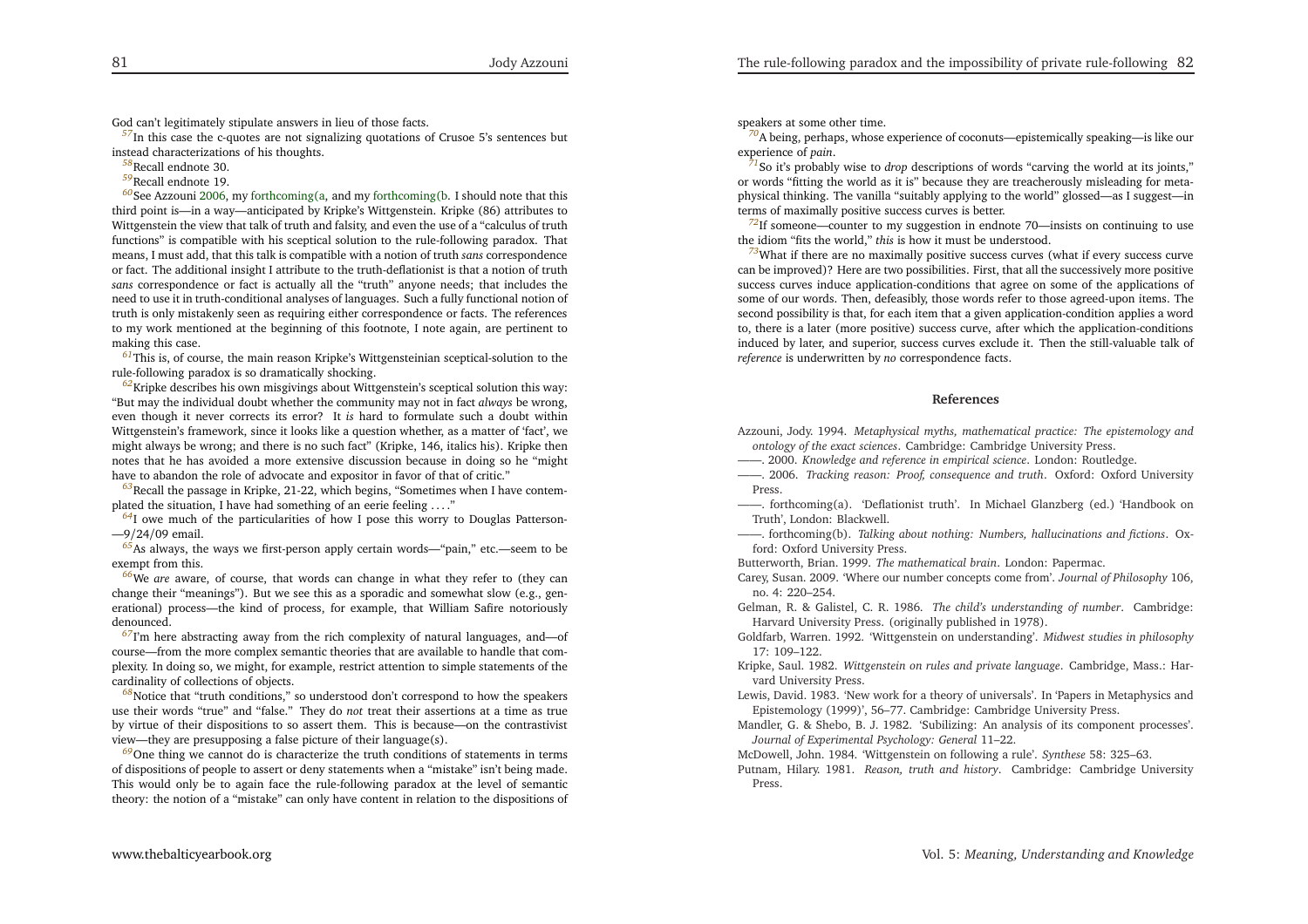God can't legitimately stipulate answers in lieu of those facts.

*[57](#page-30-2)*In this case the c-quotes are not signalizing quotations of Crusoe 5's sentences butinstead characterizations of his thoughts.

<span id="page-41-13"></span><span id="page-41-12"></span><span id="page-41-11"></span><span id="page-41-10"></span><span id="page-41-9"></span><span id="page-41-8"></span>*[58](#page-31-0)*Recall endnote 30.

*[59](#page-31-1)*Recall endnote 19.

*[60](#page-31-2)*See Azzouni [2006](#page-41-28), my [forthcoming\(a](#page-41-29), and my [forthcoming\(b](#page-41-30). <sup>I</sup> should note that this third point is—in <sup>a</sup> way—anticipated by Kripke's Wittgenstein. Kripke (86) attributes to Wittgenstein the view that talk of truth and falsity, and even the use of <sup>a</sup> "calculus of truth functions" is compatible with his sceptical solution to the rule-following paradox. That means, <sup>I</sup> must add, that this talk is compatible with <sup>a</sup> notion of truth *sans* correspondence or fact. The additional insight <sup>I</sup> attribute to the truth-deflationist is that <sup>a</sup> notion of truth *sans* correspondence or fact is actually all the "truth" anyone needs; that includes the need to use it in truth-conditional analyses of languages. Such <sup>a</sup> fully functional notion of truth is only mistakenly seen as requiring either correspondence or facts. The references to my work mentioned at the beginning of this footnote, <sup>I</sup> note again, are pertinent tomaking this case.

*[61](#page-31-3)*This is, of course, the main reason Kripke's Wittgensteinian sceptical-solution to therule-following paradox is so dramatically shocking.

*[62](#page-32-0)*Kripke describes his own misgivings about Wittgenstein's sceptical solution this way: "But may the individual doubt whether the community may not in fact *always* be wrong, even though it never corrects its error? It *is* hard to formulate such <sup>a</sup> doubt within Wittgenstein's framework, since it looks like <sup>a</sup> question whether, as <sup>a</sup> matter of 'fact', we might always be wrong; and there is no such fact" (Kripke, 146, italics his). Kripke then notes that he has avoided <sup>a</sup> more extensive discussion because in doing so he "mighthave to abandon the role of advocate and expositor in favor of that of critic."

 *[63](#page-32-1)*Recall the passage in Kripke, 21-22, which begins, "Sometimes when <sup>I</sup> have contem<sup>p</sup>lated the situation, <sup>I</sup> have had something of an eerie feeling . . . ."

 *[64](#page-32-2)*<sup>I</sup> owe much of the particularities of how <sup>I</sup> pose this worry to Douglas Patterson-—9/24/09 email.

*[65](#page-33-0)*As always, the ways we first-person apply certain words—"pain," etc.—seem to beexemp<sup>t</sup> from this.

*[66](#page-33-1)*We *are* aware, of course, that words can change in what they refer to (they can change their "meanings"). But we see this as <sup>a</sup> sporadic and somewhat slow (e.g., generational) process—the kind of process, for example, that William Safire notoriouslydenounced.

 *[67](#page-33-2)*I'm here abstracting away from the rich complexity of natural languages, and—of course—from the more complex semantic theories that are available to handle that com<sup>p</sup>lexity. In doing so, we might, for example, restrict attention to simple statements of thecardinality of collections of objects.

*[68](#page-33-3)*Notice that "truth conditions," so understood don't correspond to how the speakers use their words "true" and "false." They do *not* treat their assertions at <sup>a</sup> time as true by virtue of their dispositions to so assert them. This is because—on the contrastivistview—they are presupposing <sup>a</sup> false <sup>p</sup>icture of their language(s).

*[69](#page-34-0)*One thing we cannot do is characterize the truth conditions of statements in terms of dispositions of people to assert or deny statements when <sup>a</sup> "mistake" isn't being made. This would only be to again face the rule-following paradox at the level of semantictheory: the notion of <sup>a</sup> "mistake" can only have content in relation to the dispositions of

<span id="page-41-28"></span><span id="page-41-27"></span><span id="page-41-18"></span><span id="page-41-17"></span><span id="page-41-16"></span><span id="page-41-15"></span><span id="page-41-14"></span><span id="page-41-7"></span><span id="page-41-6"></span>speakers at some other time.

<span id="page-41-4"></span><span id="page-41-3"></span><span id="page-41-2"></span><span id="page-41-1"></span>*[70](#page-35-0)*<sup>A</sup> being, perhaps, whose experience of coconuts—epistemically speaking—is like ourexperience of *pain*.

*[71](#page-36-0)*So it's probably wise to *drop* descriptions of words "carving the world at its joints," or words "fitting the world as it is" because they are treacherously misleading for meta<sup>p</sup>hysical thinking. The vanilla "suitably applying to the world" <sup>g</sup>lossed—as <sup>I</sup> suggest—interms of maximally positive success curves is better.

*[72](#page-36-1)*If someone—counter to my suggestion in endnote 70—insists on continuing to usethe idiom "fits the world," *this* is how it must be understood.

*[73](#page-36-2)*What if there are no maximally positive success curves (what if every success curve can be improved)? Here are two possibilities. First, that all the successively more positive success curves induce application-conditions that agree on some of the applications of some of our words. Then, defeasibly, those words refer to those agreed-upon items. The second possibility is that, for each item that <sup>a</sup> <sup>g</sup>iven application-condition applies <sup>a</sup> word to, there is <sup>a</sup> later (more positive) success curve, after which the application-conditions induced by later, and superior, success curves exclude it. Then the still-valuable talk of*reference* is underwritten by *no* correspondence facts.

#### **References**

<span id="page-41-5"></span>Azzouni, Jody. 1994. *Metaphysical myths, mathematical practice: The epistemology andontology of the exact sciences*. Cambridge: Cambridge University Press.

——. 2000. *Knowledge and reference in empirical science*. London: Routledge.

——. 2006. *Tracking reason: Proof, consequence and truth*. Oxford: Oxford UniversityPress.

 ——. forthcoming(a). 'Deflationist truth'. In Michael Glanzberg (ed.) 'Handbook onTruth', London: Blackwell.

——. forthcoming(b). *Talking about nothing: Numbers, hallucinations and fictions*. Oxford: Oxford University Press.

Butterworth, Brian. 1999. *The mathematical brain*. London: Papermac.

Carey, Susan. 2009. 'Where our number concepts come from'. *Journal of Philosophy* 106, no. 4: 220–254.

Gelman, R. & Galistel, C. R. 1986. *The child's understanding of number*. Cambridge:Harvard University Press. (originally published in 1978).

Goldfarb, Warren. 1992. 'Wittgenstein on understanding'. *Midwest studies in <sup>p</sup>hilosophy*17: 109–122.

- Kripke, Saul. 1982. *Wittgenstein on rules and private language*. Cambridge, Mass.: Harvard University Press.
- Lewis, David. 1983. 'New work for <sup>a</sup> theory of universals'. In 'Papers in Metaphysics and Epistemology (1999)', 56–77. Cambridge: Cambridge University Press.
- Mandler, G. & Shebo, B. J. 1982. 'Subilizing: An analysis of its componen<sup>t</sup> processes'. *Journal of Experimental Psychology: General* 11–22.

McDowell, John. 1984. 'Wittgenstein on following <sup>a</sup> rule'. *Synthese* 58: 325–63.

Putnam, Hilary. 1981. *Reason, truth and history*. Cambridge: Cambridge UniversityPress.

<span id="page-41-30"></span><span id="page-41-29"></span><span id="page-41-26"></span><span id="page-41-25"></span><span id="page-41-24"></span><span id="page-41-23"></span><span id="page-41-22"></span><span id="page-41-21"></span><span id="page-41-20"></span><span id="page-41-19"></span><span id="page-41-0"></span>81